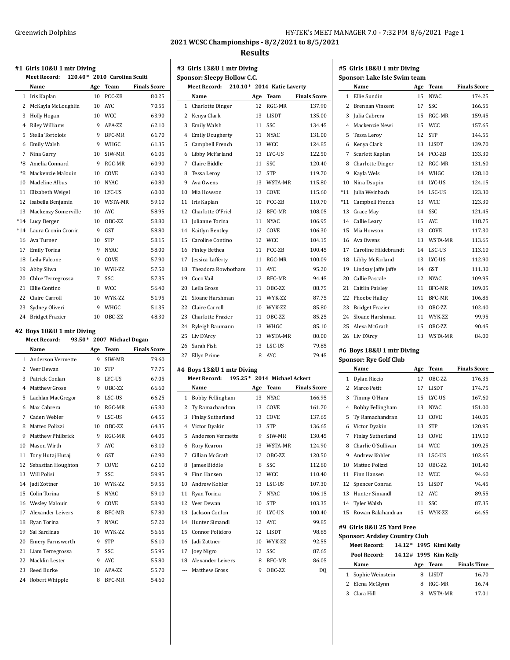### Greenwich Dolphins **Greenwich Dolphins** (Greenwich Dolphins and Dolphins and Dolphins and Dolphins and Dolphins and Dolphins and Dolphins and Dolphins and Dolphins and Dolphins and Dolphins and Dolphins and Dolphins and Do

**2021 WCSC Championships - 8/2/2021 to 8/5/2021**

#### **Results**

**#3 Girls 13&U 1 mtr Diving Sponsor: Sleepy Hollow C.C.**

## **#1 Girls 10&U 1 mtr Diving Meet Record: 120.40\* 2010 Carolina Sculti Name Age Team Finals Score** Iris Kaplan 10 PCC-ZB 80.25 McKayla McLoughlin 10 AYC 70.55 Holly Hogan 10 WCC 63.90 4 Riley Williams 9 APA-ZZ 62.10 Stella Tortolois 9 BFC-MR 61.70 Emily Walsh 9 WHGC 61.35 Nina Garry 10 SIW-MR 61.05 \*8 Amelia Connard 9 RGC-MR 60.90 \*8 Mackenzie Malouin 10 COVE 60.90 10 Madeline Albus 10 NYAC 60.80 11 Elizabeth Weigel 10 LYC-US 60.00 Isabella Benjamin 10 WSTA-MR 59.10 Mackenzy Somerville 10 AYC 58.95 \*14 Lucy Berger 10 OBC-ZZ 58.80 \*14 Laura Cronin Cronin 9 GST 58.80 Ava Turner 10 STP 58.15 Emily Torina 9 NYAC 58.00 18 Leila Falcone 9 COVE 57.90 Abby Sliwa 10 WYK-ZZ 57.50 20 Chloe Terregrossa 7 SSC 57.35 Ellie Contino 8 WCC 56.40 22 Claire Carroll 10 WYK-ZZ 51.95 23 Sydney Oliveri 9 WHGC 51.35 Bridget Frazier 10 OBC-ZZ 48.30 **#2 Boys 10&U 1 mtr Diving Meet Record: 93.50\* 2007 Michael Dugan Name Age Team Finals Score** Anderson Vermette 9 SIW-MR 79.60 2 Veer Dewan 10 STP 77.75 3 Patrick Conlan 8 LYC-US 67.05 Matthew Gross 9 OBC-ZZ 66.60 Lachlan MacGregor 8 LSC-US 66.25 Max Cabrera 10 RGC-MR 65.80 7 Caden Webler 9 LSC-US 64.55 Matteo Polizzi 10 OBC-ZZ 64.35 Matthew Philbrick 9 RGC-MR 64.05 Mason Wirth 7 AYC 63.10 11 Tony Hutaj Hutaj 9 GST 62.90 12 Sebastian Houghton 7 COVE 62.10

 Will Polisi 7 SSC 59.95 Jadi Zottner 10 WYK-ZZ 59.55 15 Colin Torina 5 NYAC 59.10 16 Wesley Malouin 9 COVE 58.90 17 Alexander Leivers 8 BFC-MR 57.80 18 Ryan Torina 7 NYAC 57.20 Sal Sardinas 10 WYK-ZZ 56.65 20 Emery Farnsworth 9 STP 56.10 21 Liam Terregrossa 7 SSC 55.95 Macklin Lester 9 AYC 55.80 Reed Burke 10 APA-ZZ 55.70 Robert Whipple 8 BFC-MR 54.60

|                | <b>Meet Record:</b>                              |         | 210.10* 2014 Katie Laverty |                     |
|----------------|--------------------------------------------------|---------|----------------------------|---------------------|
|                | Name                                             | Age     | <b>Team</b>                | <b>Finals Score</b> |
| 1              | <b>Charlotte Dinger</b>                          | 12      | RGC-MR                     | 137.90              |
| 2              | Kenya Clark                                      | 13      | LISDT                      | 135.00              |
| 3              | Emily Walsh                                      | 11      | SSC                        | 134.45              |
| $\overline{4}$ | <b>Emily Dougherty</b>                           | 11      | NYAC                       | 131.00              |
| 5              | Campbell French                                  | 13      | <b>WCC</b>                 | 124.85              |
| 6              | Libby McFarland                                  | 13      | LYC-US                     | 122.50              |
| 7              | Claire Biddle                                    | 11      | SSC                        | 120.40              |
| 8              | <b>Tessa Lerov</b>                               | 12      | <b>STP</b>                 | 119.70              |
| 9              | Ava Owens                                        | 13      | WSTA-MR                    | 115.80              |
| 10             | Mia Howson                                       | 13      | COVE                       | 115.60              |
| 11             | Iris Kaplan                                      | 10      | PCC-ZB                     | 110.70              |
| 12             | Charlotte O'Friel                                | 12      | BFC-MR                     | 108.05              |
| 13             | Julianne Torina                                  | 11      | <b>NYAC</b>                | 106.95              |
| 14             | Kaitlyn Bentley                                  | 12      | COVE                       | 106.30              |
| 15             | Caroline Contino                                 | 12      | <b>WCC</b>                 | 104.15              |
| 16             | <b>Finley Bethea</b>                             | 11      | PCC-ZB                     | 100.45              |
| 17             | <b>Jessica Lafferty</b>                          | 11      | RGC-MR                     | 100.09              |
| 18             | Theadora Rowbotham                               | 11      | <b>AYC</b>                 | 95.20               |
| 19             | Coco Vail                                        | 12      | BFC-MR                     | 94.45               |
| 20             | Leila Gross                                      | 11      | OBC-ZZ                     | 88.75               |
| 21             | Sloane Harshman                                  | 11      | WYK-ZZ                     | 87.75               |
| 22             | Claire Carroll                                   | 10      | WYK-ZZ                     | 85.80               |
| 23             | Charlotte Frazier                                | 11      | OBC-ZZ                     | 85.25               |
| 24             | Ryleigh Baumann                                  | 13      | WHGC                       | 85.10               |
| 25             | Liv D'Arcy                                       | 13      | WSTA-MR                    | 80.00               |
| 26             | Sarah Fish                                       | 13      | LSC-US                     | 79.85               |
| 27             | Ellyn Prime                                      | 8       | <b>AYC</b>                 | 79.45               |
|                |                                                  |         |                            |                     |
|                | #4 Boys 13&U 1 mtr Diving<br><b>Meet Record:</b> | 195.25* | 2014 Michael Ackert        |                     |
|                | Name                                             | Age     | Team                       | <b>Finals Score</b> |
| 1              | Bobby Fellingham                                 | 13      | <b>NYAC</b>                | 166.95              |
| 2              | Ty Ramachandran                                  | 13      | COVE                       | 161.70              |
| 3              | Finlay Sutherland                                | 13      | COVE                       | 137.65              |
| 4              | Victor Dyakin                                    | 13      | <b>STP</b>                 | 136.65              |
| 5              |                                                  |         |                            | 130.45              |
|                | Anderson Vermette                                | 9<br>13 | SIW-MR<br>WSTA-MR          | 124.90              |
| 6              | Rory Kearon<br>7 Cillian McGrath                 |         | 12 OBC-ZZ                  | 120.50              |
|                |                                                  |         |                            |                     |
| 8<br>9         | James Biddle<br>Finn Hansen                      | 8<br>12 | SSC                        | 112.80              |
|                |                                                  |         | WCC                        | 110.40              |
|                | 10 Andrew Kohler<br>11 Ryan Torina               | 7       | 13 LSC-US<br>NYAC          | 107.30<br>106.15    |
| 12             | Veer Dewan                                       | 10      | <b>STP</b>                 | 103.35              |
| 13             | Jackson Conlon                                   | 10      | LYC-US                     | 100.40              |
|                | Hunter Simandl                                   |         |                            |                     |
| 14             |                                                  | 12      | AYC                        | 99.85               |
| 15             | Connor Polidoro                                  | 12      | LISDT                      | 98.85               |
| 16             | Jadi Zottner                                     | 10      | WYK-ZZ                     | 92.55               |
|                | 17 Joey Nigro                                    | 12<br>8 | SSC<br>BFC-MR              | 87.65               |
| 18             | Alexander Leivers                                |         |                            | 86.05               |
|                |                                                  |         |                            |                     |
|                | --- Matthew Gross                                | 9       | OBC-ZZ                     | DQ                  |

#### **#5 Girls 18&U 1 mtr Diving Sponsor: Lake Isle Swim team**

|                | Name                                 | Age             | Team                   | <b>Finals Score</b> |
|----------------|--------------------------------------|-----------------|------------------------|---------------------|
| 1              | Ellie Sundin                         | 15              | <b>NYAC</b>            | 174.25              |
| 2              | <b>Brennan Vincent</b>               | 17              | SSC                    | 166.55              |
| 3              | Julia Cabrera                        | 15              | RGC-MR                 | 159.45              |
| $\overline{4}$ | Mackenzie Newi                       | 15              | <b>WCC</b>             | 157.65              |
| 5              | Tessa Leroy                          | 12              | <b>STP</b>             | 144.55              |
| 6              | Kenya Clark                          | 13              | LISDT                  | 139.70              |
| 7              | Scarlett Kaplan                      | 14              | PCC-ZB                 | 133.30              |
| 8              | <b>Charlotte Dinger</b>              | 12              | RGC-MR                 | 131.60              |
| 9              | Kayla Wels                           | 14              | WHGC                   | 128.10              |
| 10             | Nina Dsupin                          | 14              | LYC-US                 | 124.15              |
| $*11$          | Julia Weinbach                       | 14              | LSC-US                 | 123.30              |
| $*11$          | Campbell French                      | 13              | <b>WCC</b>             | 123.30              |
| 13             | Grace May                            | 14              | SSC                    | 121.45              |
| 14             | Callie Leary                         | 15              | <b>AYC</b>             | 118.75              |
| 15             | Mia Howson                           | 13              | COVE                   | 117.30              |
| 16             | Ava Owens                            | 13              | WSTA-MR                | 113.65              |
| 17             | Caroline Hildebrandt                 | 14              | LSC-US                 | 113.10              |
| 18             | Libby McFarland                      | 13              | LYC-US                 | 112.90              |
| 19             | Lindsay Jaffe Jaffe                  | 14              | GST                    | 111.30              |
| 20             | Callie Pascale                       | 12              | <b>NYAC</b>            | 109.95              |
| 21             | Caitlin Paisley                      | 11              | <b>BFC-MR</b>          | 109.05              |
| 22             | Phoebe Halley                        | 11              | BFC-MR                 | 106.85              |
| 23             | <b>Bridget Frazier</b>               | 10 <sup>1</sup> | OBC-ZZ                 | 102.40              |
| 24             | Sloane Harshman                      | 11              | WYK-ZZ                 | 99.95               |
| 25             | Alexa McGrath                        | 15              | OBC-ZZ                 | 90.45               |
| 26             | Liv D'Arcy                           | 13              | WSTA-MR                | 84.00               |
|                | #6 Boys 18&U 1 mtr Diving            |                 |                        |                     |
|                | <b>Sponsor: Rye Golf Club</b>        |                 |                        |                     |
|                |                                      |                 |                        |                     |
|                | Name                                 |                 | Team                   | <b>Finals Score</b> |
| $\mathbf{1}$   |                                      | Age<br>17       | OBC-ZZ                 | 176.35              |
| 2              | Dylan Riccio<br>Marco Petit          | 17              | LISDT                  | 174.75              |
| 3              | Timmy O'Hara                         | 15              | LYC-US                 | 167.60              |
| $\overline{4}$ | Bobby Fellingham                     | 13              | <b>NYAC</b>            | 151.00              |
| 5              | Ty Ramachandran                      | 13              | COVE                   | 140.05              |
| 6              | Victor Dyakin                        | 13              | <b>STP</b>             | 120.95              |
| 7              | Finlay Sutherland                    | 13              | COVE                   | 119.10              |
| 8              | Charlie O'Sullivan                   | 14              | <b>WCC</b>             | 109.25              |
|                | 9 Andrew Kohler                      | 13              | LSC-US                 | 102.65              |
|                | 10 Matteo Polizzi                    | 10              | OBC-ZZ                 | 101.40              |
|                | 11 Finn Hansen                       | 12              | <b>WCC</b>             | 94.60               |
|                | 12 Spencer Conrad                    | 15              | LISDT                  | 94.45               |
|                | 13 Hunter Simandl                    | 12              | <b>AYC</b>             | 89.55               |
|                | 14 Tyler Walsh                       | 11              | SSC                    | 87.35               |
| 15             | Rowan Balahandran                    | 15              | WYK-ZZ                 | 64.65               |
|                |                                      |                 |                        |                     |
|                | #9 Girls 8&U 25 Yard Free            |                 |                        |                     |
|                | <b>Sponsor: Ardsley Country Club</b> |                 |                        |                     |
|                | Meet Record:                         |                 | 14.12* 1995 Kimi Kelly |                     |
|                | Pool Record:                         |                 | 14.12# 1995 Kim Kelly  |                     |
|                | Name                                 |                 | Age Team               | <b>Finals Time</b>  |
| $\mathbf{1}$   | Sophie Weinstein                     | 8               | LISDT                  | 16.70               |
|                | 2 Elena McGlynn<br>3 Clara Hill      | 8<br>8          | RGC-MR<br>WSTA-MR      | 16.74<br>17.01      |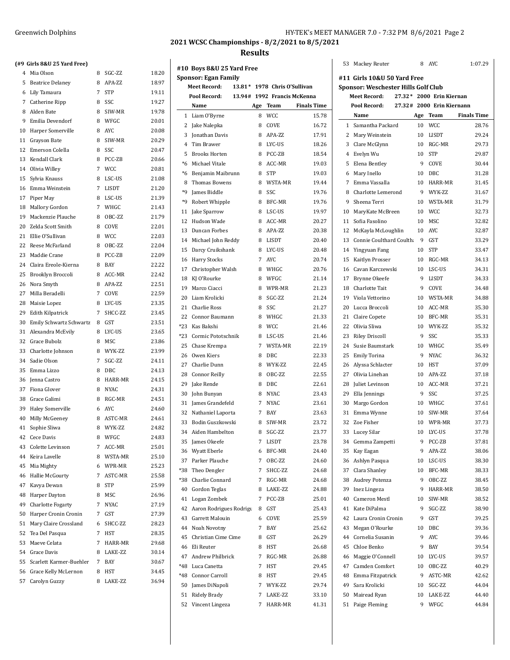| HY-TEK's MEET MANAGER 7.0 - 7:32 PM 8/6/2021 Page 2 |  |  |
|-----------------------------------------------------|--|--|
|-----------------------------------------------------|--|--|

 $\overline{1}$ 

**2021 WCSC Championships - 8/2/2021 to 8/5/2021**

#### **Results**

 $\overline{a}$ 

| 4        | Mia Olson               | 8      | SGC-ZZ                | 18.20 |
|----------|-------------------------|--------|-----------------------|-------|
| 5        | <b>Beatrice Delaney</b> | 8      | APA-ZZ                | 18.97 |
| 6        | Lily Tamaura            | 7      | <b>STP</b>            | 19.11 |
| 7        | Catherine Ripp          | 8      | SSC                   | 19.27 |
| 8        | Alden Bate              | 8      | SIW-MR                | 19.78 |
| 9        | Emilia Devendorf        | 8      | WFGC                  | 20.01 |
| 10       | Harper Somerville       | 8      | <b>AYC</b>            | 20.08 |
| 11       | Grayson Bate            | 8      | SIW-MR                | 20.29 |
| 12       | Emerson Colella         | 8      | SSC                   | 20.47 |
| 13       | Kendall Clark           | 8      | PCC-ZB                | 20.66 |
| 14       | Olivia Willey           | 7      | <b>WCC</b>            | 20.81 |
| 15       | Sylvia Knauss           | 8      | LSC-US                | 21.08 |
| 16       | Emma Weinstein          | 7      | <b>LISDT</b>          | 21.20 |
| 17       | Piper May               | 8      | LSC-US                | 21.39 |
| 18       | Mallory Gordon          | 7      | WHGC                  | 21.43 |
| 19       | Mackenzie Plauche       | 8      | OBC-ZZ                | 21.79 |
| 20       | Zelda Scott Smith       | 8      | COVE                  | 22.01 |
| 21       | Ellie O'Sullivan        | 8      | <b>WCC</b>            | 22.03 |
| 22       | Reese McFarland         | 8      | OBC-ZZ                | 22.04 |
| 23       | Maddie Crane            | 8      | PCC-ZB                | 22.09 |
| 24       | Claira Ereole-Kierna    | 8      | <b>BAY</b>            | 22.22 |
| 25       | Brooklyn Broccoli       | 8      | ACC-MR                | 22.42 |
| 26       | Nora Smyth              | 8      | APA-ZZ                | 22.51 |
| 27       | Milla Beradelli         | 7      | COVE                  | 22.59 |
| 28       | Maisie Lopez            | 8      | LYC-US                | 23.35 |
| 29       | Edith Kilpatrick        | 7      | SHCC-ZZ               | 23.45 |
| 30       | Emily Schwartz Schwartz | 8      | <b>GST</b>            | 23.51 |
| 31       | Alexandra McEvily       | 8      | LYC-US                | 23.65 |
| 32       | Grace Bubolz            | 8      | MSC                   | 23.86 |
| 33       | Charlotte Johnson       | 8      | WYK-ZZ                | 23.99 |
| 34       | Sadie Olson             | 7      | SGC-ZZ                | 24.11 |
| 35       | Emma Lizzo              | 8      | <b>DBC</b>            | 24.13 |
| 36       | Jenna Castro            | 8      | HARR-MR               | 24.15 |
|          | Fiona Glover            |        |                       | 24.31 |
| 37<br>38 | Grace Galimi            | 8<br>8 | <b>NYAC</b><br>RGC-MR | 24.51 |
|          |                         |        |                       |       |
| 39       | <b>Haley Somerville</b> | 6      | <b>AYC</b>            | 24.60 |
| 40       | Milly McGeeney          | 8      | ASTC-MR               | 24.61 |
| 41       | Sophie Sliwa            | 8      | WYK-ZZ                | 24.82 |
| 42       | Cece Davis              | 8      | WFGC                  | 24.83 |
| 43       | Colette Levinson        | 7      | ACC-MR                | 25.01 |
| 44       | Keira Lavelle           | 8      | WSTA-MR               | 25.10 |
| 45       | Mia Mighty              | 6      | WPR-MR                | 25.23 |
| 46       | Hallie McGourty         | 7      | ASTC-MR               | 25.58 |
| 47       | Kavya Dewan             | 8      | STP                   | 25.99 |
| 48       | Harper Dayton           | 8      | <b>MSC</b>            | 26.96 |
| 49       | Charlotte Fogarty       | 7      | <b>NYAC</b>           | 27.19 |
| 50       | Harper Cronin Cronin    | 7      | GST                   | 27.39 |
| 51       | Mary Claire Crossland   | 6      | SHCC-ZZ               | 28.23 |
| 52       | Tea Del Pasqua          | 7      | HST                   | 28.35 |
| 53       | Maeve Celata            | 7      | HARR-MR               | 29.68 |
| 54       | Grace Davis             | 8      | LAKE-ZZ               | 30.14 |
| 55       | Scarlett Karmer-Buehler | 7      | BAY                   | 30.67 |
| 56       | Grace Kelly McLernon    | 8      | HST                   | 34.45 |
| 57       | Carolyn Guzzy           | 8      | LAKE-ZZ               | 36.94 |

|                     |                                                                                                                                                                                                                                                                                                                                                                                                                                                                                                                               |                                                                                                                                                       |                                                                                                                                                                                                                                           |                                                                                                                                                                                                                                                                       |                                                                            |                                                                                                                                                                                                                                                                                                                                                                                                                                                                                  | 8                                                                                                                                                                                                                                     |                                                                                                                                | 1:07.29                                                                                                                                                                                                                                                                                                                                              |
|---------------------|-------------------------------------------------------------------------------------------------------------------------------------------------------------------------------------------------------------------------------------------------------------------------------------------------------------------------------------------------------------------------------------------------------------------------------------------------------------------------------------------------------------------------------|-------------------------------------------------------------------------------------------------------------------------------------------------------|-------------------------------------------------------------------------------------------------------------------------------------------------------------------------------------------------------------------------------------------|-----------------------------------------------------------------------------------------------------------------------------------------------------------------------------------------------------------------------------------------------------------------------|----------------------------------------------------------------------------|----------------------------------------------------------------------------------------------------------------------------------------------------------------------------------------------------------------------------------------------------------------------------------------------------------------------------------------------------------------------------------------------------------------------------------------------------------------------------------|---------------------------------------------------------------------------------------------------------------------------------------------------------------------------------------------------------------------------------------|--------------------------------------------------------------------------------------------------------------------------------|------------------------------------------------------------------------------------------------------------------------------------------------------------------------------------------------------------------------------------------------------------------------------------------------------------------------------------------------------|
|                     |                                                                                                                                                                                                                                                                                                                                                                                                                                                                                                                               |                                                                                                                                                       |                                                                                                                                                                                                                                           |                                                                                                                                                                                                                                                                       |                                                                            |                                                                                                                                                                                                                                                                                                                                                                                                                                                                                  |                                                                                                                                                                                                                                       |                                                                                                                                |                                                                                                                                                                                                                                                                                                                                                      |
|                     |                                                                                                                                                                                                                                                                                                                                                                                                                                                                                                                               |                                                                                                                                                       |                                                                                                                                                                                                                                           |                                                                                                                                                                                                                                                                       |                                                                            |                                                                                                                                                                                                                                                                                                                                                                                                                                                                                  |                                                                                                                                                                                                                                       |                                                                                                                                |                                                                                                                                                                                                                                                                                                                                                      |
|                     |                                                                                                                                                                                                                                                                                                                                                                                                                                                                                                                               |                                                                                                                                                       |                                                                                                                                                                                                                                           |                                                                                                                                                                                                                                                                       |                                                                            |                                                                                                                                                                                                                                                                                                                                                                                                                                                                                  |                                                                                                                                                                                                                                       |                                                                                                                                |                                                                                                                                                                                                                                                                                                                                                      |
|                     |                                                                                                                                                                                                                                                                                                                                                                                                                                                                                                                               |                                                                                                                                                       |                                                                                                                                                                                                                                           |                                                                                                                                                                                                                                                                       |                                                                            |                                                                                                                                                                                                                                                                                                                                                                                                                                                                                  |                                                                                                                                                                                                                                       |                                                                                                                                |                                                                                                                                                                                                                                                                                                                                                      |
|                     |                                                                                                                                                                                                                                                                                                                                                                                                                                                                                                                               |                                                                                                                                                       |                                                                                                                                                                                                                                           |                                                                                                                                                                                                                                                                       |                                                                            |                                                                                                                                                                                                                                                                                                                                                                                                                                                                                  |                                                                                                                                                                                                                                       |                                                                                                                                |                                                                                                                                                                                                                                                                                                                                                      |
|                     |                                                                                                                                                                                                                                                                                                                                                                                                                                                                                                                               |                                                                                                                                                       |                                                                                                                                                                                                                                           |                                                                                                                                                                                                                                                                       |                                                                            |                                                                                                                                                                                                                                                                                                                                                                                                                                                                                  |                                                                                                                                                                                                                                       |                                                                                                                                | <b>Finals Time</b>                                                                                                                                                                                                                                                                                                                                   |
|                     |                                                                                                                                                                                                                                                                                                                                                                                                                                                                                                                               |                                                                                                                                                       |                                                                                                                                                                                                                                           |                                                                                                                                                                                                                                                                       |                                                                            |                                                                                                                                                                                                                                                                                                                                                                                                                                                                                  |                                                                                                                                                                                                                                       |                                                                                                                                | 28.76                                                                                                                                                                                                                                                                                                                                                |
|                     |                                                                                                                                                                                                                                                                                                                                                                                                                                                                                                                               |                                                                                                                                                       |                                                                                                                                                                                                                                           |                                                                                                                                                                                                                                                                       |                                                                            |                                                                                                                                                                                                                                                                                                                                                                                                                                                                                  |                                                                                                                                                                                                                                       |                                                                                                                                | 29.24                                                                                                                                                                                                                                                                                                                                                |
|                     | 8                                                                                                                                                                                                                                                                                                                                                                                                                                                                                                                             |                                                                                                                                                       | 18.26                                                                                                                                                                                                                                     | 3                                                                                                                                                                                                                                                                     |                                                                            |                                                                                                                                                                                                                                                                                                                                                                                                                                                                                  | 10                                                                                                                                                                                                                                    | RGC-MR                                                                                                                         | 29.73                                                                                                                                                                                                                                                                                                                                                |
|                     | 8                                                                                                                                                                                                                                                                                                                                                                                                                                                                                                                             | PCC-ZB                                                                                                                                                | 18.54                                                                                                                                                                                                                                     | 4                                                                                                                                                                                                                                                                     | Evelyn Wu                                                                  |                                                                                                                                                                                                                                                                                                                                                                                                                                                                                  | 10                                                                                                                                                                                                                                    | <b>STP</b>                                                                                                                     | 29.87                                                                                                                                                                                                                                                                                                                                                |
| Michael Vitale      | 8                                                                                                                                                                                                                                                                                                                                                                                                                                                                                                                             | ACC-MR                                                                                                                                                | 19.03                                                                                                                                                                                                                                     | 5                                                                                                                                                                                                                                                                     | Elena Bentley                                                              |                                                                                                                                                                                                                                                                                                                                                                                                                                                                                  | 9                                                                                                                                                                                                                                     | COVE                                                                                                                           | 30.44                                                                                                                                                                                                                                                                                                                                                |
| Benjamin Maibrunn   | 8                                                                                                                                                                                                                                                                                                                                                                                                                                                                                                                             | <b>STP</b>                                                                                                                                            | 19.03                                                                                                                                                                                                                                     | 6                                                                                                                                                                                                                                                                     | Mary Inello                                                                |                                                                                                                                                                                                                                                                                                                                                                                                                                                                                  | 10                                                                                                                                                                                                                                    | DBC                                                                                                                            | 31.28                                                                                                                                                                                                                                                                                                                                                |
| Thomas Bowens       | 8                                                                                                                                                                                                                                                                                                                                                                                                                                                                                                                             | WSTA-MR                                                                                                                                               | 19.44                                                                                                                                                                                                                                     | 7                                                                                                                                                                                                                                                                     | Emma Vassalla                                                              |                                                                                                                                                                                                                                                                                                                                                                                                                                                                                  | 10                                                                                                                                                                                                                                    | HARR-MR                                                                                                                        | 31.45                                                                                                                                                                                                                                                                                                                                                |
| James Biddle        | 8                                                                                                                                                                                                                                                                                                                                                                                                                                                                                                                             | SSC                                                                                                                                                   | 19.76                                                                                                                                                                                                                                     | 8                                                                                                                                                                                                                                                                     |                                                                            |                                                                                                                                                                                                                                                                                                                                                                                                                                                                                  | 9                                                                                                                                                                                                                                     | WYK-ZZ                                                                                                                         | 31.67                                                                                                                                                                                                                                                                                                                                                |
| Robert Whipple      | 8                                                                                                                                                                                                                                                                                                                                                                                                                                                                                                                             | BFC-MR                                                                                                                                                | 19.76                                                                                                                                                                                                                                     | 9                                                                                                                                                                                                                                                                     | Sheena Terri                                                               |                                                                                                                                                                                                                                                                                                                                                                                                                                                                                  | 10                                                                                                                                                                                                                                    | WSTA-MR                                                                                                                        | 31.79                                                                                                                                                                                                                                                                                                                                                |
| Jake Sparrow        | 8                                                                                                                                                                                                                                                                                                                                                                                                                                                                                                                             | LSC-US                                                                                                                                                | 19.97                                                                                                                                                                                                                                     | 10                                                                                                                                                                                                                                                                    |                                                                            |                                                                                                                                                                                                                                                                                                                                                                                                                                                                                  | 10                                                                                                                                                                                                                                    | <b>WCC</b>                                                                                                                     | 32.73                                                                                                                                                                                                                                                                                                                                                |
| Hudson Wade         | 8                                                                                                                                                                                                                                                                                                                                                                                                                                                                                                                             | ACC-MR                                                                                                                                                | 20.27                                                                                                                                                                                                                                     | 11                                                                                                                                                                                                                                                                    | Sofia Fasolino                                                             |                                                                                                                                                                                                                                                                                                                                                                                                                                                                                  | 10                                                                                                                                                                                                                                    | <b>MSC</b>                                                                                                                     | 32.82                                                                                                                                                                                                                                                                                                                                                |
| Duncan Forbes       | 8                                                                                                                                                                                                                                                                                                                                                                                                                                                                                                                             | APA-ZZ                                                                                                                                                | 20.38                                                                                                                                                                                                                                     | 12                                                                                                                                                                                                                                                                    |                                                                            |                                                                                                                                                                                                                                                                                                                                                                                                                                                                                  | 10                                                                                                                                                                                                                                    | AYC                                                                                                                            | 32.87                                                                                                                                                                                                                                                                                                                                                |
| Michael John Reddy  | 8                                                                                                                                                                                                                                                                                                                                                                                                                                                                                                                             | LISDT                                                                                                                                                 | 20.40                                                                                                                                                                                                                                     | 13                                                                                                                                                                                                                                                                    |                                                                            |                                                                                                                                                                                                                                                                                                                                                                                                                                                                                  | 9                                                                                                                                                                                                                                     | GST                                                                                                                            | 33.29                                                                                                                                                                                                                                                                                                                                                |
| Darcy Cruikshank    | 8                                                                                                                                                                                                                                                                                                                                                                                                                                                                                                                             | LYC-US                                                                                                                                                | 20.48                                                                                                                                                                                                                                     | 14                                                                                                                                                                                                                                                                    | Yingyuan Fang                                                              |                                                                                                                                                                                                                                                                                                                                                                                                                                                                                  | 10                                                                                                                                                                                                                                    | <b>STP</b>                                                                                                                     | 33.47                                                                                                                                                                                                                                                                                                                                                |
| Harry Stocks        | 7                                                                                                                                                                                                                                                                                                                                                                                                                                                                                                                             | <b>AYC</b>                                                                                                                                            | 20.74                                                                                                                                                                                                                                     | 15                                                                                                                                                                                                                                                                    | Kaitlyn Prosser                                                            |                                                                                                                                                                                                                                                                                                                                                                                                                                                                                  | 10                                                                                                                                                                                                                                    | RGC-MR                                                                                                                         | 34.13                                                                                                                                                                                                                                                                                                                                                |
| Christopher Walsh   | 8                                                                                                                                                                                                                                                                                                                                                                                                                                                                                                                             | WHGC                                                                                                                                                  | 20.76                                                                                                                                                                                                                                     | 16                                                                                                                                                                                                                                                                    |                                                                            |                                                                                                                                                                                                                                                                                                                                                                                                                                                                                  | 10                                                                                                                                                                                                                                    | LSC-US                                                                                                                         | 34.31                                                                                                                                                                                                                                                                                                                                                |
| KJ O'Rourke         | 8                                                                                                                                                                                                                                                                                                                                                                                                                                                                                                                             | WFGC                                                                                                                                                  | 21.14                                                                                                                                                                                                                                     | 17                                                                                                                                                                                                                                                                    | Brynne Okeefe                                                              |                                                                                                                                                                                                                                                                                                                                                                                                                                                                                  | 9                                                                                                                                                                                                                                     | <b>LISDT</b>                                                                                                                   | 34.33                                                                                                                                                                                                                                                                                                                                                |
| Marco Ciacci        | 8                                                                                                                                                                                                                                                                                                                                                                                                                                                                                                                             | WPR-MR                                                                                                                                                | 21.23                                                                                                                                                                                                                                     | 18                                                                                                                                                                                                                                                                    |                                                                            |                                                                                                                                                                                                                                                                                                                                                                                                                                                                                  | 9                                                                                                                                                                                                                                     |                                                                                                                                | 34.48                                                                                                                                                                                                                                                                                                                                                |
| Liam Krolicki       | 8                                                                                                                                                                                                                                                                                                                                                                                                                                                                                                                             |                                                                                                                                                       |                                                                                                                                                                                                                                           | 19                                                                                                                                                                                                                                                                    |                                                                            |                                                                                                                                                                                                                                                                                                                                                                                                                                                                                  | 10                                                                                                                                                                                                                                    |                                                                                                                                | 34.88                                                                                                                                                                                                                                                                                                                                                |
|                     |                                                                                                                                                                                                                                                                                                                                                                                                                                                                                                                               |                                                                                                                                                       |                                                                                                                                                                                                                                           |                                                                                                                                                                                                                                                                       |                                                                            |                                                                                                                                                                                                                                                                                                                                                                                                                                                                                  |                                                                                                                                                                                                                                       |                                                                                                                                | 35.30                                                                                                                                                                                                                                                                                                                                                |
|                     |                                                                                                                                                                                                                                                                                                                                                                                                                                                                                                                               |                                                                                                                                                       |                                                                                                                                                                                                                                           |                                                                                                                                                                                                                                                                       |                                                                            |                                                                                                                                                                                                                                                                                                                                                                                                                                                                                  |                                                                                                                                                                                                                                       |                                                                                                                                | 35.31                                                                                                                                                                                                                                                                                                                                                |
|                     |                                                                                                                                                                                                                                                                                                                                                                                                                                                                                                                               |                                                                                                                                                       |                                                                                                                                                                                                                                           |                                                                                                                                                                                                                                                                       |                                                                            |                                                                                                                                                                                                                                                                                                                                                                                                                                                                                  |                                                                                                                                                                                                                                       |                                                                                                                                | 35.32                                                                                                                                                                                                                                                                                                                                                |
|                     |                                                                                                                                                                                                                                                                                                                                                                                                                                                                                                                               |                                                                                                                                                       |                                                                                                                                                                                                                                           |                                                                                                                                                                                                                                                                       |                                                                            |                                                                                                                                                                                                                                                                                                                                                                                                                                                                                  |                                                                                                                                                                                                                                       |                                                                                                                                | 35.33                                                                                                                                                                                                                                                                                                                                                |
|                     |                                                                                                                                                                                                                                                                                                                                                                                                                                                                                                                               |                                                                                                                                                       |                                                                                                                                                                                                                                           |                                                                                                                                                                                                                                                                       |                                                                            |                                                                                                                                                                                                                                                                                                                                                                                                                                                                                  |                                                                                                                                                                                                                                       |                                                                                                                                | 35.49                                                                                                                                                                                                                                                                                                                                                |
|                     |                                                                                                                                                                                                                                                                                                                                                                                                                                                                                                                               |                                                                                                                                                       |                                                                                                                                                                                                                                           |                                                                                                                                                                                                                                                                       |                                                                            |                                                                                                                                                                                                                                                                                                                                                                                                                                                                                  |                                                                                                                                                                                                                                       |                                                                                                                                | 36.32                                                                                                                                                                                                                                                                                                                                                |
|                     |                                                                                                                                                                                                                                                                                                                                                                                                                                                                                                                               |                                                                                                                                                       |                                                                                                                                                                                                                                           |                                                                                                                                                                                                                                                                       |                                                                            |                                                                                                                                                                                                                                                                                                                                                                                                                                                                                  |                                                                                                                                                                                                                                       |                                                                                                                                | 37.09                                                                                                                                                                                                                                                                                                                                                |
|                     |                                                                                                                                                                                                                                                                                                                                                                                                                                                                                                                               |                                                                                                                                                       |                                                                                                                                                                                                                                           |                                                                                                                                                                                                                                                                       |                                                                            |                                                                                                                                                                                                                                                                                                                                                                                                                                                                                  |                                                                                                                                                                                                                                       |                                                                                                                                |                                                                                                                                                                                                                                                                                                                                                      |
|                     |                                                                                                                                                                                                                                                                                                                                                                                                                                                                                                                               |                                                                                                                                                       |                                                                                                                                                                                                                                           |                                                                                                                                                                                                                                                                       |                                                                            |                                                                                                                                                                                                                                                                                                                                                                                                                                                                                  |                                                                                                                                                                                                                                       |                                                                                                                                | 37.18                                                                                                                                                                                                                                                                                                                                                |
|                     |                                                                                                                                                                                                                                                                                                                                                                                                                                                                                                                               |                                                                                                                                                       |                                                                                                                                                                                                                                           |                                                                                                                                                                                                                                                                       |                                                                            |                                                                                                                                                                                                                                                                                                                                                                                                                                                                                  |                                                                                                                                                                                                                                       |                                                                                                                                | 37.21                                                                                                                                                                                                                                                                                                                                                |
|                     |                                                                                                                                                                                                                                                                                                                                                                                                                                                                                                                               |                                                                                                                                                       |                                                                                                                                                                                                                                           |                                                                                                                                                                                                                                                                       |                                                                            |                                                                                                                                                                                                                                                                                                                                                                                                                                                                                  |                                                                                                                                                                                                                                       |                                                                                                                                | 37.25                                                                                                                                                                                                                                                                                                                                                |
|                     |                                                                                                                                                                                                                                                                                                                                                                                                                                                                                                                               |                                                                                                                                                       |                                                                                                                                                                                                                                           |                                                                                                                                                                                                                                                                       |                                                                            |                                                                                                                                                                                                                                                                                                                                                                                                                                                                                  |                                                                                                                                                                                                                                       |                                                                                                                                | 37.61                                                                                                                                                                                                                                                                                                                                                |
|                     |                                                                                                                                                                                                                                                                                                                                                                                                                                                                                                                               |                                                                                                                                                       |                                                                                                                                                                                                                                           |                                                                                                                                                                                                                                                                       |                                                                            |                                                                                                                                                                                                                                                                                                                                                                                                                                                                                  |                                                                                                                                                                                                                                       |                                                                                                                                | 37.64                                                                                                                                                                                                                                                                                                                                                |
|                     |                                                                                                                                                                                                                                                                                                                                                                                                                                                                                                                               |                                                                                                                                                       |                                                                                                                                                                                                                                           |                                                                                                                                                                                                                                                                       |                                                                            |                                                                                                                                                                                                                                                                                                                                                                                                                                                                                  |                                                                                                                                                                                                                                       |                                                                                                                                | 37.73                                                                                                                                                                                                                                                                                                                                                |
|                     |                                                                                                                                                                                                                                                                                                                                                                                                                                                                                                                               |                                                                                                                                                       |                                                                                                                                                                                                                                           |                                                                                                                                                                                                                                                                       |                                                                            |                                                                                                                                                                                                                                                                                                                                                                                                                                                                                  |                                                                                                                                                                                                                                       |                                                                                                                                | 37.78                                                                                                                                                                                                                                                                                                                                                |
|                     |                                                                                                                                                                                                                                                                                                                                                                                                                                                                                                                               |                                                                                                                                                       |                                                                                                                                                                                                                                           |                                                                                                                                                                                                                                                                       |                                                                            |                                                                                                                                                                                                                                                                                                                                                                                                                                                                                  |                                                                                                                                                                                                                                       |                                                                                                                                | 37.81                                                                                                                                                                                                                                                                                                                                                |
|                     | 6                                                                                                                                                                                                                                                                                                                                                                                                                                                                                                                             |                                                                                                                                                       |                                                                                                                                                                                                                                           |                                                                                                                                                                                                                                                                       |                                                                            |                                                                                                                                                                                                                                                                                                                                                                                                                                                                                  | 9                                                                                                                                                                                                                                     |                                                                                                                                | 38.06                                                                                                                                                                                                                                                                                                                                                |
|                     | 7                                                                                                                                                                                                                                                                                                                                                                                                                                                                                                                             |                                                                                                                                                       | 24.60                                                                                                                                                                                                                                     | 36                                                                                                                                                                                                                                                                    |                                                                            |                                                                                                                                                                                                                                                                                                                                                                                                                                                                                  | 10                                                                                                                                                                                                                                    |                                                                                                                                | 38.30                                                                                                                                                                                                                                                                                                                                                |
| Theo Dengler        | 7                                                                                                                                                                                                                                                                                                                                                                                                                                                                                                                             | SHCC-ZZ                                                                                                                                               | 24.68                                                                                                                                                                                                                                     | 37                                                                                                                                                                                                                                                                    | Clara Shanley                                                              |                                                                                                                                                                                                                                                                                                                                                                                                                                                                                  | 10                                                                                                                                                                                                                                    | BFC-MR                                                                                                                         | 38.33                                                                                                                                                                                                                                                                                                                                                |
| Charlie Connard     | 7                                                                                                                                                                                                                                                                                                                                                                                                                                                                                                                             | RGC-MR                                                                                                                                                | 24.68                                                                                                                                                                                                                                     | 38                                                                                                                                                                                                                                                                    | Audrey Potenza                                                             |                                                                                                                                                                                                                                                                                                                                                                                                                                                                                  | 9                                                                                                                                                                                                                                     | OBC-ZZ                                                                                                                         | 38.45                                                                                                                                                                                                                                                                                                                                                |
| Gordon Teglas       | 8                                                                                                                                                                                                                                                                                                                                                                                                                                                                                                                             | LAKE-ZZ                                                                                                                                               | 24.88                                                                                                                                                                                                                                     | 39                                                                                                                                                                                                                                                                    | Inez Lingeza                                                               |                                                                                                                                                                                                                                                                                                                                                                                                                                                                                  | 9                                                                                                                                                                                                                                     | HARR-MR                                                                                                                        | 38.50                                                                                                                                                                                                                                                                                                                                                |
| Logan Zombek        | 7                                                                                                                                                                                                                                                                                                                                                                                                                                                                                                                             | PCC-ZB                                                                                                                                                | 25.01                                                                                                                                                                                                                                     | 40                                                                                                                                                                                                                                                                    | Cameron Mestl                                                              |                                                                                                                                                                                                                                                                                                                                                                                                                                                                                  | 10                                                                                                                                                                                                                                    | SIW-MR                                                                                                                         | 38.52                                                                                                                                                                                                                                                                                                                                                |
|                     | 8                                                                                                                                                                                                                                                                                                                                                                                                                                                                                                                             | GST                                                                                                                                                   | 25.43                                                                                                                                                                                                                                     | 41                                                                                                                                                                                                                                                                    | Kate DiPalma                                                               |                                                                                                                                                                                                                                                                                                                                                                                                                                                                                  | 9                                                                                                                                                                                                                                     | SGC-ZZ                                                                                                                         | 38.90                                                                                                                                                                                                                                                                                                                                                |
| Garrett Malouin     | 6                                                                                                                                                                                                                                                                                                                                                                                                                                                                                                                             | COVE                                                                                                                                                  | 25.59                                                                                                                                                                                                                                     | 42                                                                                                                                                                                                                                                                    |                                                                            |                                                                                                                                                                                                                                                                                                                                                                                                                                                                                  | 9                                                                                                                                                                                                                                     | GST                                                                                                                            | 39.25                                                                                                                                                                                                                                                                                                                                                |
| Noah Novotny        | 7                                                                                                                                                                                                                                                                                                                                                                                                                                                                                                                             | BAY                                                                                                                                                   | 25.62                                                                                                                                                                                                                                     | 43                                                                                                                                                                                                                                                                    | Megan O'Rourke                                                             |                                                                                                                                                                                                                                                                                                                                                                                                                                                                                  | 10                                                                                                                                                                                                                                    | DBC                                                                                                                            | 39.36                                                                                                                                                                                                                                                                                                                                                |
| Christian Cime Cime | 8                                                                                                                                                                                                                                                                                                                                                                                                                                                                                                                             | GST                                                                                                                                                   | 26.29                                                                                                                                                                                                                                     | 44                                                                                                                                                                                                                                                                    | Cornelia Susanin                                                           |                                                                                                                                                                                                                                                                                                                                                                                                                                                                                  | 9                                                                                                                                                                                                                                     | AYC                                                                                                                            | 39.46                                                                                                                                                                                                                                                                                                                                                |
| Eli Reuter          | 8                                                                                                                                                                                                                                                                                                                                                                                                                                                                                                                             | HST                                                                                                                                                   | 26.68                                                                                                                                                                                                                                     | 45                                                                                                                                                                                                                                                                    | Chloe Benko                                                                |                                                                                                                                                                                                                                                                                                                                                                                                                                                                                  | 9                                                                                                                                                                                                                                     | BAY                                                                                                                            | 39.54                                                                                                                                                                                                                                                                                                                                                |
| Andrew Philbrick    | 7                                                                                                                                                                                                                                                                                                                                                                                                                                                                                                                             | RGC-MR                                                                                                                                                | 26.88                                                                                                                                                                                                                                     | 46                                                                                                                                                                                                                                                                    |                                                                            |                                                                                                                                                                                                                                                                                                                                                                                                                                                                                  | 10                                                                                                                                                                                                                                    | LYC-US                                                                                                                         | 39.57                                                                                                                                                                                                                                                                                                                                                |
| Luca Canetta        | 7                                                                                                                                                                                                                                                                                                                                                                                                                                                                                                                             | HST                                                                                                                                                   | 29.45                                                                                                                                                                                                                                     | 47                                                                                                                                                                                                                                                                    |                                                                            |                                                                                                                                                                                                                                                                                                                                                                                                                                                                                  | 10                                                                                                                                                                                                                                    | OBC-ZZ                                                                                                                         | 40.29                                                                                                                                                                                                                                                                                                                                                |
| Connor Carroll      | 8                                                                                                                                                                                                                                                                                                                                                                                                                                                                                                                             | HST                                                                                                                                                   | 29.45                                                                                                                                                                                                                                     | 48                                                                                                                                                                                                                                                                    |                                                                            |                                                                                                                                                                                                                                                                                                                                                                                                                                                                                  | 9                                                                                                                                                                                                                                     | ASTC-MR                                                                                                                        | 42.62                                                                                                                                                                                                                                                                                                                                                |
| James DiNapoli      | 7                                                                                                                                                                                                                                                                                                                                                                                                                                                                                                                             | WYK-ZZ                                                                                                                                                | 29.74                                                                                                                                                                                                                                     | 49                                                                                                                                                                                                                                                                    | Sara Krolicki                                                              |                                                                                                                                                                                                                                                                                                                                                                                                                                                                                  | 10                                                                                                                                                                                                                                    | SGC-ZZ                                                                                                                         | 44.04                                                                                                                                                                                                                                                                                                                                                |
| Ridely Brady        | 7                                                                                                                                                                                                                                                                                                                                                                                                                                                                                                                             | LAKE-ZZ                                                                                                                                               | 33.10                                                                                                                                                                                                                                     | 50                                                                                                                                                                                                                                                                    | Mairead Ryan                                                               |                                                                                                                                                                                                                                                                                                                                                                                                                                                                                  | 10                                                                                                                                                                                                                                    | LAKE-ZZ                                                                                                                        | 44.40                                                                                                                                                                                                                                                                                                                                                |
|                     | 7                                                                                                                                                                                                                                                                                                                                                                                                                                                                                                                             | HARR-MR                                                                                                                                               | 41.31                                                                                                                                                                                                                                     |                                                                                                                                                                                                                                                                       |                                                                            |                                                                                                                                                                                                                                                                                                                                                                                                                                                                                  |                                                                                                                                                                                                                                       | WFGC                                                                                                                           | 44.84                                                                                                                                                                                                                                                                                                                                                |
|                     | <b>Sponsor: Egan Family</b><br><b>Meet Record:</b><br>Pool Record:<br>Name<br>1 Liam O'Byrne<br>2 Jake Nalepka<br>3 Jonathan Davis<br>Tim Brawer<br><b>Brooks Horten</b><br><b>Charlie Ross</b><br><b>Connor Baumann</b><br>Kas Bakshi<br>Cormic Pototschnik<br>Chase Krempa<br>Owen Kiers<br>Charlie Dunn<br><b>Connor Reilly</b><br>Jake Rende<br>John Bunyan<br>James Grandefeld<br>Nathaniel Laporta<br>33 Bodin Guszkowski<br>34 Aiden Hambelton<br>James Okeefe<br>Wyatt Eberle<br>Parker Plauche<br>52 Vincent Lingeza | #10 Boys 8&U 25 Yard Free<br>Age<br>8<br>8<br>8<br>8<br>8<br>8<br>8<br>7<br>8<br>8<br>8<br>8<br>8<br>7<br>7<br>8<br>8<br>7<br>Aaron Rodrigues Rodrigu | Team<br><b>WCC</b><br>COVE<br>APA-ZZ<br>LYC-US<br>SGC-ZZ<br>SSC<br>WHGC<br><b>WCC</b><br>LSC-US<br>WSTA-MR<br>DBC<br>WYK-ZZ<br>OBC-ZZ<br>DBC<br><b>NYAC</b><br><b>NYAC</b><br><b>BAY</b><br>SIW-MR<br>SGC-ZZ<br>LISDT<br>BFC-MR<br>OBC-ZZ | 13.81* 1978 Chris O'Sullivan<br>13.94# 1992 Francis McKenna<br><b>Finals Time</b><br>15.78<br>16.72<br>17.91<br>21.24<br>21.27<br>21.33<br>21.46<br>21.46<br>22.19<br>22.33<br>22.45<br>22.55<br>22.61<br>23.43<br>23.61<br>23.63<br>23.72<br>23.77<br>23.78<br>24.40 | 20<br>21<br>22<br>23<br>24<br>25<br>26<br>27<br>28<br>29<br>30<br>31<br>35 | 53 Mackey Reuter<br><b>Meet Record:</b><br>Pool Record:<br>Name<br>Mary Weinstein<br>$\mathbf{2}$<br>Clare McGlynn<br>Charlotte Tait<br>Viola Vettorino<br>Lucca Broccoli<br>Claire Copete<br>Olivia Sliwa<br><b>Riley Driscoll</b><br>Susie Baumstark<br><b>Emily Torina</b><br>Alyssa Schlacter<br>Olivia Linehan<br>Juliet Levinson<br>Ella Jennings<br>Margo Gordon<br>Emma Wynne<br>32 Zoe Fisher<br>33 Lucey Silar<br>34<br>Kay Eagan<br>Ashlyn Pasqua<br>51 Paige Fleming | 1 Samantha Packard<br>Charlotte Lemerond<br>MaryKate McBreen<br>McKayla McLoughlin<br>Connie Coulthard Coulth:<br>Cavan Karczewski<br>Gemma Zampetti<br>Laura Cronin Cronin<br>Maggie O'Connell<br>Camden Comfort<br>Emma Fitzpatrick | #11 Girls 10&U 50 Yard Free<br>Age<br>10<br>10<br>10<br>10<br>10<br>9<br>10<br>9<br>10<br>10<br>10<br>9<br>10<br>10<br>10<br>9 | AYC<br><b>Sponsor: Weschester Hills Golf Club</b><br>27.32* 2000 Erin Kiernan<br>27.32# 2000 Erin Kiernann<br><b>Team</b><br><b>WCC</b><br>LISDT<br>COVE<br>WSTA-MR<br>ACC-MR<br><b>BFC-MR</b><br>WYK-ZZ<br>SSC<br>WHGC<br><b>NYAC</b><br>HST<br>APA-ZZ<br>ACC-MR<br>SSC<br>WHGC<br>SIW-MR<br>WPR-MR<br>10 LYC-US<br>PCC-ZB<br>APA-ZZ<br>LSC-US<br>9 |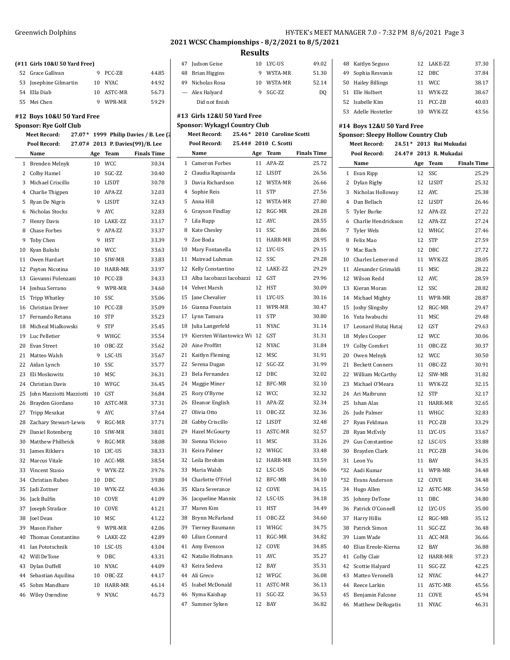|    | (#11 Girls 10&U 50 Yard Free)                               |    |              |                                       | 4              |
|----|-------------------------------------------------------------|----|--------------|---------------------------------------|----------------|
|    | 52 Grace Gallivan                                           | 9  | PCC-ZB       | 44.85                                 | 4              |
| 53 | Josephine Gilmartin                                         | 10 | <b>NYAC</b>  | 44.92                                 | 4              |
|    | 54 Ella Diab                                                | 10 | ASTC-MR      | 56.73                                 |                |
|    | 55 Mei Chen                                                 | 9  | WPR-MR       | 59.29                                 |                |
|    |                                                             |    |              |                                       | #1             |
|    | #12 Boys 10&U 50 Yard Free<br><b>Sponsor: Rye Golf Club</b> |    |              |                                       | Sp             |
|    | <b>Meet Record:</b>                                         |    |              | 27.07* 1999 Philip Davies / B. Lee (2 |                |
|    | Pool Record:                                                |    |              | 27.07# 2013 P. Davies(99)/B. Lee      |                |
|    | Name                                                        |    | Age Team     | <b>Finals Time</b>                    |                |
|    | 1 Brenden Melnyk                                            | 10 | <b>WCC</b>   | 30.34                                 |                |
|    | 2 Colby Hamel                                               | 10 | SGC-ZZ       | 30.40                                 |                |
|    | 3 Michael Criscillo                                         | 10 | LISDT        | 30.78                                 |                |
|    | 4 Charlie Thigpen                                           | 10 | APA-ZZ       | 32.03                                 |                |
|    | 5 Ryan De Nigris                                            | 9  | <b>LISDT</b> | 32.43                                 |                |
|    | 6 Nicholas Stocks                                           | 9  | <b>AYC</b>   | 32.83                                 |                |
|    | 7 Henry Davis                                               | 10 | LAKE-ZZ      | 33.17                                 |                |
|    | 8 Chase Forbes                                              | 9  | APA-ZZ       | 33.37                                 |                |
|    | 9 Toby Chen                                                 | 9  | <b>HST</b>   | 33.39                                 |                |
| 10 | Kyan Bakshi                                                 | 10 | <b>WCC</b>   | 33.63                                 | 1              |
|    | 11 Owen Hardart                                             | 10 | SIW-MR       | 33.83                                 | 1              |
|    | 12 Payton Nicotina                                          | 10 | HARR-MR      | 33.97                                 | 1              |
|    | 13 Giovanni Polenzani                                       | 10 | PCC-ZB       | 34.33                                 | 1              |
| 14 | Joshua Serrano                                              | 9  | WPR-MR       | 34.60                                 | 1              |
| 15 | <b>Tripp Whatley</b>                                        | 10 | SSC          | 35.06                                 | 1              |
| 16 | Christian Driver                                            | 10 | PCC-ZB       | 35.09                                 | 1              |
|    | 17 Fernando Retana                                          | 10 | <b>STP</b>   | 35.23                                 | 1              |
| 18 | Micheal Mialkowski                                          | 9  | <b>STP</b>   | 35.45                                 | 1              |
| 19 | Luc Pelletier                                               | 9  | WHGC         | 35.54                                 | 1              |
| 20 | Evan Street                                                 | 10 | OBC-ZZ       | 35.62                                 | 2              |
|    | 21 Matteo Walsh                                             | 9  | LSC-US       | 35.67                                 | 2              |
|    | 22 Aidan Lynch                                              | 10 | SSC          | 35.77                                 | 2              |
| 23 | Eli Moskowitz                                               | 10 | MSC          | 36.31                                 | 2              |
|    | 24 Christian Davis                                          | 10 | WFGC         | 36.45                                 | 2              |
| 25 | John Mazziotti Mazziotti 10                                 |    | GST          | 36.84                                 | 2              |
| 26 | Brayden Giordano                                            | 10 | ASTC-MR      | 37.31                                 | 2              |
| 27 | Tripp Meszkat                                               | 9  | AYC          | 37.64                                 | 2              |
| 28 | Zachary Stewart-Lewis                                       | 9  | RGC-MR       | 37.71                                 | 2              |
|    | 29 Daniel Rotenberg                                         |    | 10 SIW-MR    | 38.01                                 | 2              |
| 30 | Matthew Philbrick                                           | 9  | RGC-MR       | 38.08                                 | 3              |
| 31 | James Rikkers                                               | 10 | LYC-US       | 38.33                                 | 3              |
| 32 | Marcus Vitale                                               | 10 | ACC-MR       | 38.54                                 | 3              |
| 33 | Vincent Stasio                                              | 9  | WYK-ZZ       | 39.76                                 | 3              |
| 34 | Christian Rubeo                                             | 10 | <b>DBC</b>   | 39.80                                 | 3              |
| 35 | Jadi Zottner                                                | 10 | WYK-ZZ       | 40.36                                 | 3              |
| 36 | Jack Bulfin                                                 | 10 | COVE         | 41.09                                 | 3              |
| 37 | Joseph Straface                                             | 10 | COVE         | 41.21                                 | 3              |
| 38 | <b>Joel Dean</b>                                            | 10 | MSC          | 41.22                                 | 3              |
| 39 | Mason Fisher                                                | 9  | WPR-MR       | 42.06                                 | 3              |
| 40 | Thomas Constantino                                          | 9  | LAKE-ZZ      | 42.89                                 | 4              |
| 41 | Ian Pototschnik                                             | 10 | LSC-US       | 43.04                                 | 4              |
|    | 42 Will DeTone                                              | 9  | DBC          | 43.31                                 | 4              |
|    | 43 Dylan Duffell                                            | 10 | <b>NYAC</b>  | 44.09                                 | 4              |
|    | 44 Sebastian Aquilina                                       | 10 | OBC-ZZ       | 44.17                                 | 4              |
| 45 | Sohm Mandhare                                               | 10 | HARR-MR      | 46.14                                 | 4              |
| 46 | Wiley Oxendine                                              | 9  | <b>NYAC</b>  | 46.73                                 | $\overline{4}$ |

#### **Results**

| 47 | Judson Geise                         | 10 | <b>IYC-US</b>               | 49.02          |
|----|--------------------------------------|----|-----------------------------|----------------|
| 48 | <b>Brian Higgins</b>                 | 9  | WSTA-MR                     | 51.30          |
| 49 | Nicholas Rosa                        | 10 | WSTA-MR                     | 52.14          |
|    | --- Alex Halyard                     | 9  | $SGC-ZZ$                    | D <sub>0</sub> |
|    | Did not finish                       |    |                             |                |
|    | #13 Girls 12&U 50 Yard Free          |    |                             |                |
|    | <b>Sponsor: Wykagyl Country Club</b> |    |                             |                |
|    | <b>Meet Record:</b>                  |    | 25.46* 2010 Caroline Scotti |                |
|    | Pool Record:                         |    | 25.44# 2010 C. Scotti       |                |
|    |                                      |    |                             |                |

|    | 43.TTH                   |    | <b>LUIU</b> GJUL |                    |
|----|--------------------------|----|------------------|--------------------|
|    | Name                     |    | Age Team         | <b>Finals Time</b> |
|    | 1 Cameron Forbes         | 11 | APA-ZZ           | 25.72              |
| 2  | Claudia Rapisarda        | 12 | LISDT            | 26.56              |
| 3  | Davia Richardson         | 12 | WSTA-MR          | 26.66              |
|    | 4 Sophie Reis            | 11 | <b>STP</b>       | 27.56              |
| 5  | Anna Hill                | 12 | WSTA-MR          | 27.80              |
|    | 6 Grayson Findlay        | 12 | RGC-MR           | 28.28              |
|    | 7 Lila Rupp              | 12 | <b>AYC</b>       | 28.55              |
| 8  | Kate Chesley             | 11 | SSC.             | 28.86              |
| 9  | Zoe Boda                 | 11 | HARR-MR          | 28.95              |
| 10 | Mary Fontanella          | 12 | LYC-US           | 29.15              |
| 11 | Mairead Luhman           | 12 | SSC              | 29.28              |
| 12 | Kelly Constantino        | 12 | LAKE-ZZ          | 29.29              |
| 13 | Alba Iacobazzi Iacobazzi | 12 | GST              | 29.96              |
|    | 14 Velvet Marsh          | 12 | HST              | 30.09              |
| 15 | Jane Chevalier           | 11 | LYC-US           | 30.16              |
| 16 | Gianna Fountain          | 11 | WPR-MR           | 30.47              |
| 17 | Lynn Tamura              | 11 | <b>STP</b>       | 30.80              |
| 18 | Julia Langerfeld         | 11 | <b>NYAC</b>      | 31.14              |
| 19 | Kiersten Wilantowicz Wi  | 12 | <b>GST</b>       | 31.31              |
| 20 | Aine Proffitt            | 12 | <b>NYAC</b>      | 31.84              |
| 21 | Kaitlyn Fleming          | 12 | MSC              | 31.91              |
| 22 | Serena Dugan             | 12 | SGC-ZZ           | 31.99              |
| 23 | Bela Fernandez           | 12 | <b>DBC</b>       | 32.02              |
| 24 | Maggie Miner             | 12 | BFC-MR           | 32.10              |
| 25 | Rory O'Byrne             | 12 | <b>WCC</b>       | 32.32              |
| 26 | Eleanor English          | 11 | APA-ZZ           | 32.34              |
| 27 | Olivia Otto              | 11 | OBC-ZZ           | 32.36              |
| 28 | Gabby Criscillo          | 12 | <b>LISDT</b>     | 32.48              |
| 29 | Hazel McGourty           | 11 | ASTC-MR          | 32.57              |
| 30 | Sienna Vicioso           | 11 | <b>MSC</b>       | 33.26              |
| 31 | Keira Palmer             | 12 | WHGC             | 33.48              |
| 32 | Leila Ibrohim            | 12 | HARR-MR          | 33.59              |
| 33 | Maria Walsh              | 12 | LSC-US           | 34.06              |
| 34 | Charlotte O'Friel        | 12 | BFC-MR           | 34.10              |
| 35 | Klara Severance          | 12 | COVE             | 34.15              |
| 36 | Jacqueline Mannix        | 12 | LSC-US           | 34.18              |
| 37 | Maren Kim                | 11 | <b>HST</b>       | 34.49              |
|    | 38 Brynn McFarland       |    | 11 OBC-ZZ        | 34.60              |
|    | 39 Tierney Baumann       | 11 | WHGC             | 34.75              |
| 40 | Lilian Connard           | 11 | RGC-MR           | 34.82              |
| 41 | Amy Evenson              | 12 | COVE             | 34.85              |
|    | 42 Natalie Hofmann       | 11 | <b>AYC</b>       | 35.27              |
| 43 | Keira Sedeva             | 12 | BAY              | 35.31              |
|    | 44 Ali Greco             | 12 | WFGC             | 36.08              |
| 45 | Isabel McDonald          | 11 | ASTC-MR          | 36.13              |
| 46 | Nyma Kaishap             | 11 | SGC-ZZ           | 36.53              |
| 47 | Summer Syken             | 12 | BAY              | 36.82              |
|    |                          |    |                  |                    |

|    | 48 Kaitlyn Seguso                     |    | 12 LAKE-7.7. | 37.30 |
|----|---------------------------------------|----|--------------|-------|
| 49 | Sophia Resvanis                       |    | 12 DBC       | 37.84 |
|    | 50 Hailey Billings                    |    | 11 WCC       | 38.17 |
|    | 51 Elle Holbert                       |    | 11 WYK-7.7   | 38.67 |
|    | 52 Isabelle Kim                       | 11 | PCC-ZB       | 40.03 |
|    | 53 Adelle Hostetler                   |    | 10 WYK-7.7.  | 43.56 |
|    | #14 Boys 12&U 50 Yard Free            |    |              |       |
|    |                                       |    |              |       |
|    | Sponsor: Sleepy Hollow Country Club   |    |              |       |
|    | Meet Record: 24.51* 2013. Rui Mukudai |    |              |       |

### **Meet Record: 24.51\* 2013 Rui Mukudai Pool Record: 24.47# 2013 R. Mukadai Name Age Team Finals Time** Evan Ripp 12 SSC 25.29 Dylan Rigby 12 LISDT 25.32 Nicholas Holloway 12 AYC 25.38 Dan Bellach 12 LISDT 26.46 Tyler Burke 12 APA-ZZ 27.22 Charlie Hendrickson 12 APA-ZZ 27.24 Tyler Wels 12 WHGC 27.46 Felix Mao 12 STP 27.59 Mac Bach 12 DBC 27.72 10 Charles Lemerond 11 WYK-ZZ 28.05 Alexander Grimaldi 11 MSC 28.22 Wilson Redd 12 AYC 28.59 13 Kieran Moran 12 SSC 28.82 Michael Mighty 11 WPR-MR 28.87 Joshy Slingsby 12 RGC-MR 29.47 Yuta Iwabuchi 11 MSC 29.48 Leonard Hutaj Hutaj 12 GST 29.63

 Myles Cooper 12 WCC 30.06 Colby Comfort 11 OBC-ZZ 30.37 Owen Melnyk 12 WCC 30.50 Beckett Conners 11 OBC-ZZ 30.91 22 William McCarthy 12 SIW-MR 31.82 23 Michael O'Meara 11 WYK-ZZ 32.15 Ari Maibrunn 12 STP 32.17 Ishan Alas 11 HARR-MR 32.65 Jude Palmer 11 WHGC 32.83 27 Ryan Feldman 11 PCC-ZB 33.29 28 Ryan McEvily 11 LYC-US 33.67 Gus Constantine 12 LSC-US 33.88 Brayden Clark 11 PCC-ZB 34.06 Leon Yu 11 BAY 34.35 \*32 Aadi Kumar 11 WPR-MR 34.48 \*32 Evans Anderson 12 COVE 34.48 Hugo Allen 12 ASTC-MR 34.50 Johnny DeTone 11 DBC 34.80 Patrick O'Connell 12 LYC-US 35.00 Harry Hillis 12 RGC-MR 35.12 Patrick Simon 11 SGC-ZZ 36.48 Liam Wade 11 ACC-MR 36.66 Elias Ereole-Kierna 12 BAY 36.88 Colby Clair 12 HARR-MR 37.23 Scottie Halyard 11 SGC-ZZ 42.25 Matteo Veronelli 12 NYAC 44.27 Reece Larkin 11 ASTC-MR 45.56 Benjamin Falcone 11 COVE 45.94 Matthew DeRogatis 11 NYAC 46.31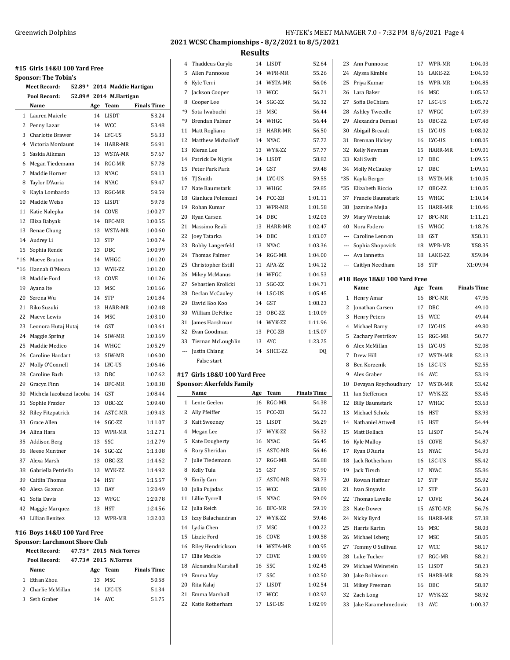**#15 Girls 14&U 100 Yard Free Sponsor: The Tobin's Meet Record: 52.89\* 2014 Maddie Hartigan Pool Record: 52.89# 2014 M.Hartigan Name Age Team Finals Time** Lauren Maierle 14 LISDT 53.24 Penny Lazar 14 WCC 53.48 Charlotte Brawer 14 LYC-US 56.33 Victoria Mordaunt 14 HARR-MR 56.91 Saskia Aikman 13 WSTA-MR 57.67 Megan Tiedemann 14 RGC-MR 57.78 Maddie Horner 13 NYAC 59.13 Taylor D'Auria 14 NYAC 59.47 Kayla Lombardo 13 RGC-MR 59.59 Maddie Weiss 13 LISDT 59.78 Katie Nalepka 14 COVE 1:00.27 Eliza Babyak 14 BFC-MR 1:00.55 Renae Chung 13 WSTA-MR 1:00.60 Audrey Li 13 STP 1:00.74 Sophia Rende 13 DBC 1:00.99 \*16 Maeve Bruton 14 WHGC 1:01.20 \*16 Hannah O'Meara 13 WYK-ZZ 1:01.20 Maddie Ford 13 COVE 1:01.26 19 Ayana Ite 13 MSC 1:01.66 Serena Wu 14 STP 1:01.84 Riko Suzuki 13 HARR-MR 1:02.48 Maeve Lewis 14 MSC 1:03.10 23 Leonora Hutaj Hutaj 14 GST 1:03.61 Maggie Spring 14 SIW-MR 1:03.69 Maddie Medico 14 WHGC 1:05.29 26 Caroline Hardart 13 SIW-MR 1:06.00 Molly O'Connell 14 LYC-US 1:06.46 Caroline Bach 13 DBC 1:07.62 Gracyn Finn 14 BFC-MR 1:08.38 Michela Iacobazzi Iacobazzi 14 GST 1:08.44 Sophie Frazier 13 OBC-ZZ 1:09.40 Riley Fitzpatrick 14 ASTC-MR 1:09.43 Grace Allen 14 SGC-ZZ 1:11.07 Alina Hara 13 WPR-MR 1:12.71 Addison Berg 13 SSC 1:12.79 Reese Muntner 14 SGC-ZZ 1:13.08 Alexa Marsh 13 OBC-ZZ 1:14.62 Gabriella Petriello 13 WYK-ZZ 1:14.92 Caitlin Thomas 14 HST 1:15.57 Alexa Guzman 13 BAY 1:20.49 Sofia Davis 13 WFGC 1:20.78 Maggie Marquez 13 HST 1:24.56 Lillian Benitez 13 WPR-MR 1:32.03 **#16 Boys 14&U 100 Yard Free**

# **Sponsor: Larchmont Shore Club**

**Meet Record: 47.73\* 2015 Nick Torres**

|   | Meet Record:       |     | 47.73° ZUI5 NICK IOFFES |                    |
|---|--------------------|-----|-------------------------|--------------------|
|   | Pool Record:       |     | 47.73# 2015 N.Torres    |                    |
|   | Name               | Age | Team                    | <b>Finals Time</b> |
| 1 | Ethan Zhou         | 13  | MSC.                    | 50.58              |
|   | 2 Charlie McMillan |     | 14 I.YC-US              | 51.34              |
|   | 3 Seth Graber      |     | 14 AYC                  | 51.75              |
|   |                    |     |                         |                    |

## **2021 WCSC Championships - 8/2/2021 to 8/5/2021**

|                   | 4 Thaddeus Curylo                        | 14  | LISDT       | 52.64              |                | 23 Ann Punnoose             | 17  | WPR-MR        | 1:04.03            |
|-------------------|------------------------------------------|-----|-------------|--------------------|----------------|-----------------------------|-----|---------------|--------------------|
| 5                 | Allen Punnoose                           | 14  | WPR-MR      | 55.26              | 24             | Alyssa Kimble               | 16  | LAKE-ZZ       | 1:04.50            |
| 6                 | Kyle Terri                               | 14  | WSTA-MR     | 56.06              | 25             | Priya Kumar                 | 16  | WPR-MR        | 1:04.85            |
| 7                 | Jackson Cooper                           | 13  | <b>WCC</b>  | 56.21              | 26             | Lara Baker                  | 16  | MSC           | 1:05.52            |
| 8                 | Cooper Lee                               | 14  | SGC-ZZ      | 56.32              | 27             | Sofia DeChiara              | 17  | LSC-US        | 1:05.72            |
| *9                | Sota Iwabuchi                            | 13  | MSC         | 56.44              | 28             | Ashley Tweedle              | 17  | WFGC          | 1:07.39            |
| *9                | Brendan Palmer                           | 14  | WHGC        | 56.44              | 29             | Alexandra Demasi            | 16  | OBC-ZZ        | 1:07.48            |
| 11                | Matt Rogliano                            | 13  | HARR-MR     | 56.50              | 30             | Abigail Breault             | 15  | LYC-US        | 1:08.02            |
| 12                | <b>Matthew Michailoff</b>                | 14  | <b>NYAC</b> | 57.72              | 31             | Brennan Hickey              | 16  | LYC-US        | 1:08.05            |
| 13                | Kieran Lee                               | 13  | WYK-ZZ      | 57.77              | 32             | Kelly Newman                | 15  | HARR-MR       | 1:09.01            |
|                   |                                          |     |             |                    |                |                             | 17  | DBC           |                    |
| 14                | Patrick De Nigris                        | 14  | LISDT       | 58.82              | 33             | Kali Swift                  |     |               | 1:09.55            |
| 15                | Peter Park Park                          | 14  | GST         | 59.48              | 34             | Molly McCauley              | 17  | DBC           | 1:09.61            |
| 16                | TJ Smith                                 | 14  | LYC-US      | 59.55              | *35            | Kayla Berger                | 13  | WSTA-MR       | 1:10.05            |
| 17                | Nate Baumstark                           | 13  | WHGC        | 59.85              | *35            | Elizabeth Riccio            | 17  | OBC-ZZ        | 1:10.05            |
| 18                | Gianluca Polenzani                       | 14  | PCC-ZB      | 1:01.11            | 37             | Francie Baumstark           | 15  | WHGC          | 1:10.14            |
| 19                | Rohan Kumar                              | 13  | WPR-MR      | 1:01.58            | 38             | Jazmine Mejia               | 15  | HARR-MR       | 1:10.46            |
| 20                | Ryan Carsen                              | 14  | DBC         | 1:02.03            | 39             | Mary Wrotniak               | 17  | BFC-MR        | 1:11.21            |
| 21                | Massimo Reali                            | 13  | HARR-MR     | 1:02.47            | 40             | Nora Fodero                 | 15  | WHGC          | 1:18.76            |
| 22                | Joey Tatarka                             | 14  | DBC         | 1:03.07            | $\overline{a}$ | Caroline Lennon             | 18  | GST           | X58.31             |
| 23                | <b>Bobby Langerfeld</b>                  | 13  | NYAC        | 1:03.36            | ---            | Sophia Shopovick            | 18  | WPR-MR        | X58.35             |
| 24                | Thomas Palmer                            | 14  | RGC-MR      | 1:04.00            |                | Ava Iannetta                | 18  | LAKE-ZZ       | X59.84             |
| 25                | Christopher Estill                       | 11  | APA-ZZ      | 1:04.12            |                | Caitlyn Needham             | 18  | <b>STP</b>    | X1:09.94           |
| 26                | Mikey McManus                            | 14  | WFGC        | 1:04.53            |                | #18 Boys 18&U 100 Yard Free |     |               |                    |
| 27                | Sebastien Krolicki                       | 13  | SGC-ZZ      | 1:04.71            |                | Name                        | Age | Team          | <b>Finals Time</b> |
| 28                | Declan McCauley                          | 14  | LSC-US      | 1:05.45            |                | 1 Henry Amar                | 16  | <b>BFC-MR</b> | 47.96              |
| 29                | David Koo Koo                            | 14  | GST         | 1:08.23            | 2              | Jonathan Carsen             | 17  | DBC           | 49.10              |
| 30                | William DeFelice                         | 13  | OBC-ZZ      | 1:10.09            |                |                             | 15  | <b>WCC</b>    | 49.44              |
| 31                | James Harshman                           | 14  | WYK-ZZ      | 1:11.96            | 3              | <b>Henry Peters</b>         | 17  |               | 49.80              |
| 32                | Evan Goodman                             | 13  | PCC-ZB      | 1:15.07            | 4              | Michael Barry               |     | LYC-US        |                    |
| 33                | Tiernan McLoughlin                       | 13  | AYC         | 1:23.25            | 5              | Zachary Pestrikov           | 15  | RGC-MR        | 50.77              |
| $\qquad \qquad -$ | Justin Chiang                            | 14  | SHCC-ZZ     | DQ                 | 6              | Alex McMillan               | 15  | LYC-US        | 52.08              |
|                   | False start                              |     |             |                    | 7              | Drew Hill                   | 17  | WSTA-MR       | 52.13              |
|                   |                                          |     |             |                    | 8              | Ben Korzenik                | 16  | LSC-US        | 52.55              |
|                   | #17 Girls 18&U 100 Yard Free             |     |             |                    | 9              | Alex Graber                 | 16  | <b>AYC</b>    | 53.19              |
|                   | <b>Sponsor: Akerfelds Family</b><br>Name |     | Team        | <b>Finals Time</b> | 10             | Devayan Roychoudhury        | 17  | WSTA-MR       | 53.42              |
|                   |                                          | Age |             |                    | 11             | <b>Ian Steffensen</b>       | 17  | WYK-ZZ        | 53.45              |
|                   | 1 Lente Geelen                           | 16  | RGC-MR      | 54.38              | 12             | <b>Billy Baumstark</b>      | 17  | WHGC          | 53.63              |
|                   | 2 Ally Pfeiffer                          | 15  | PCC-ZB      | 56.22              | 13             | Michael Scholz              | 16  | <b>HST</b>    | 53.93              |
|                   | 3 Kait Sweeney                           | 15  | LISDT       | 56.29              |                | 14 Nathaniel Attwell        | 15  | HST           | 54.44              |
| 4                 | Megan Lee                                | 17  | WYK-ZZ      | 56.32              |                | 15 Matt Bellach             | 15  | LISDT         | 54.74              |
|                   | 5 Kate Dougherty                         | 16  | NYAC        | 56.45              |                | 16 Kyle Malloy              | 15  | COVE          | 54.87              |
|                   | 6 Rory Sheridan                          | 15  | ASTC-MR     | 56.46              |                | 17 Ryan D'Auria             | 15  | <b>NYAC</b>   | 54.93              |
|                   | 7 Julie Tiedemann                        | 17  | RGC-MR      | 56.88              |                | 18 Jack Rotherham           | 16  | LSC-US        | 55.42              |
| 8                 | Kelly Tula                               | 15  | GST         | 57.90              |                | 19 Jack Tirsch              | 17  | <b>NYAC</b>   | 55.86              |
| 9                 | <b>Emily Carr</b>                        | 17  | ASTC-MR     | 58.73              |                | 20 Rowan Haffner            | 17  | <b>STP</b>    | 55.92              |
| 10                | Julia Pujadas                            | 15  | <b>WCC</b>  | 58.89              |                | 21 Ivan Sinyavin            | 17  | STP           | 56.03              |
| 11                | Lillie Tyrrell                           | 15  | <b>NYAC</b> | 59.09              | 22             | Thomas Lavelle              | 17  | COVE          | 56.24              |
| 12                | Julia Reich                              | 16  | BFC-MR      | 59.19              | 23             | Nate Dower                  | 15  | ASTC-MR       | 56.76              |
| 13                | Izzy Balachandran                        | 17  | WYK-ZZ      | 59.46              | 24             | Nicky Byrd                  | 16  | HARR-MR       | 57.38              |
| 14                | Lydia Chen                               | 17  | MSC         | 1:00.22            | 25             | Harris Karim                | 16  | MSC           | 58.03              |
| 15                | Lizzie Ford                              | 16  | COVE        | 1:00.58            | 26             | Michael Isberg              | 17  | MSC           | 58.05              |
| 16                | Riley Hendrickson                        | 14  | WSTA-MR     | 1:00.95            | 27             | Tommy O'Sullivan            | 17  | <b>WCC</b>    | 58.17              |
| 17                | Ellie Mackle                             | 17  | COVE        | 1:00.99            | 28             | Luke Tucker                 | 17  | RGC-MR        | 58.21              |
| 18                | Alexandra Marshall                       | 16  | SSC         | 1:02.45            | 29             | Michael Weinstein           | 15  | LISDT         | 58.23              |
| 19                | Emma May                                 | 17  | SSC         | 1:02.50            |                | 30 Jake Robinson            | 15  | HARR-MR       | 58.29              |
| 20                | Rita Kalaj                               | 17  | LISDT       | 1:02.54            |                | 31 Mikey Freeman            | 16  | DBC           | 58.87              |
| 21                | Emma Marshall                            | 17  | WCC         | 1:02.92            |                | 32 Zach Long                | 17  | WYK-ZZ        | 58.92              |
|                   | 22 Katie Rotherham                       | 17  | LSC-US      | 1:02.99            |                | 33 Jake Karamehmedovic      |     | 13 AYC        | 1:00.37            |
|                   |                                          |     |             |                    |                |                             |     |               |                    |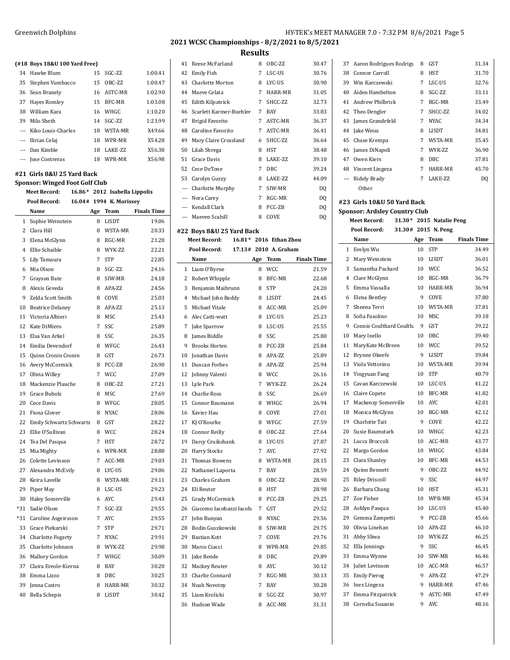**(#18 Boys 18&U 100 Yard Free)**

|    | #18 Boys 18&U 100 Yard Free) |    |                 |         |
|----|------------------------------|----|-----------------|---------|
|    | 34 Hawke Blum                |    | 15 SGC-ZZ       | 1:00.41 |
|    | 35 Stephen Vumbacco          |    | 15 OBC-77       | 1:00.47 |
|    | 36 Sean Branely              |    | 16 ASTC-MR      | 1:02.90 |
|    | 37 Hayes Romley              |    | 15 BFC-MR       | 1:03.08 |
| 38 | William Kara                 |    | 16 WHGC         | 1:10.20 |
|    | 39 Milo Sheth                |    | 14 SGC-7.7.     | 1:23.99 |
|    | --- Kiko Louis-Charles       | 18 | WSTA-MR         | X49.66  |
|    | --- Ilirian Celaj            | 18 | WPR-MR          | X54.28  |
|    | --- Dan Kimble               | 18 | <b>LAKE-7.7</b> | X56.38  |
|    | --- Jose Contreras           | 18 | WPR-MR          | X56.98  |

### **#21 Girls 8&U 25 Yard Back**

 $\overline{a}$ 

**Sponsor: Winged Foot Golf Club**

| <b>Meet Record:</b> |                         | 16.86* 2012 Isabella Lippolis |     |            |                         |                    |
|---------------------|-------------------------|-------------------------------|-----|------------|-------------------------|--------------------|
|                     | Pool Record:            |                               |     |            | 16.04# 1994 K. Morissey |                    |
|                     | Name                    |                               | Age |            | Team                    | <b>Finals Time</b> |
| $\mathbf{1}$        | Sophie Weinstein        |                               | 8   |            | <b>LISDT</b>            | 19.06              |
| $\overline{2}$      | Clara Hill              |                               | 8   |            | WSTA-MR                 | 20.33              |
| 3                   | Elena McGlynn           |                               | 8   |            | RGC-MR                  | 21.28              |
| 4                   | Ellie Schaible          |                               | 8   |            | WYK-ZZ                  | 22.21              |
| 5                   | Lily Tamaura            |                               | 7   | <b>STP</b> |                         | 22.85              |
| 6                   | Mia Olson               |                               | 8   |            | SGC-ZZ                  | 24.16              |
| 7                   | Grayson Bate            |                               | 8   |            | SIW-MR                  | 24.18              |
| 8                   | Alexis Geveda           |                               | 8   |            | APA-ZZ                  | 24.56              |
| 9                   | Zelda Scott Smith       |                               | 8   |            | COVE                    | 25.03              |
| 10                  | <b>Beatrice Delaney</b> |                               | 8   |            | APA-ZZ                  | 25.13              |
| 11                  | Victoria Albieri        |                               | 8   |            | <b>MSC</b>              | 25.43              |
| 12                  | Kate DiMiero            |                               | 7   | SSC        |                         | 25.89              |
| 13                  | Elsa Van Arkel          |                               | 8   | SSC        |                         | 26.35              |
| 14                  | Emilia Devendorf        |                               | 8   |            | WFGC                    | 26.43              |
| 15                  | Quinn Cronin Cronin     |                               | 8   | <b>GST</b> |                         | 26.73              |
| 16                  | Avery McCormick         |                               | 8   |            | PCC-ZB                  | 26.90              |
| 17                  | Olivia Willey           |                               | 7   |            | <b>WCC</b>              | 27.09              |
| 18                  | Mackenzie Plauche       |                               | 8   |            | OBC-ZZ                  | 27.21              |
| 19                  | Grace Bubolz            |                               | 8   |            | <b>MSC</b>              | 27.69              |
| 20                  | Cece Davis              |                               | 8   |            | WFGC                    | 28.05              |
| 21                  | Fiona Glover            |                               | 8   |            | <b>NYAC</b>             | 28.06              |
| 22                  | Emily Schwartz Schwartz |                               | 8   | <b>GST</b> |                         | 28.22              |
| 23                  | Ellie O'Sullivan        |                               | 8   |            | <b>WCC</b>              | 28.24              |
| 24                  | Tea Del Pasqua          |                               | 7   | <b>HST</b> |                         | 28.72              |
| 25                  | Mia Mighty              |                               | 6   |            | WPR-MR                  | 28.88              |
| 26                  | Colette Levinson        |                               | 7   |            | ACC-MR                  | 29.03              |
| 27                  | Alexandra McEvily       |                               | 8   |            | LYC-US                  | 29.06              |
| 28                  | Keira Lavelle           |                               | 8   |            | WSTA-MR                 | 29.11              |
| 29                  | Piper May               |                               | 8   |            | LSC-US                  | 29.23              |
| 30                  | <b>Haley Somerville</b> |                               | 6   | <b>AYC</b> |                         | 29.43              |
| *31                 | Sadie Olson             |                               | 7   |            | SGC-ZZ                  | 29.55              |
| $*31$               | Caroline Asgeirsson     |                               | 7   | <b>AYC</b> |                         | 29.55              |
| 33                  | Grace Piekarski         |                               | 7   | <b>STP</b> |                         | 29.71              |
| 34                  | Charlotte Fogarty       |                               | 7   |            | <b>NYAC</b>             | 29.91              |
| 35                  | Charlotte Johnson       |                               | 8   |            | WYK-ZZ                  | 29.98              |
| 36                  | Mallory Gordon          |                               | 7   |            | WHGC                    | 30.09              |
| 37                  | Claira Ereole-Kierna    |                               | 8   | BAY        |                         | 30.20              |
| 38                  | Emma Lizzo              |                               | 8   | <b>DBC</b> |                         | 30.25              |
| 39                  | Jenna Castro            |                               | 8   |            | HARR-MR                 | 30.32              |
| 40                  | <b>Bella Schepis</b>    |                               | 8   |            | <b>LISDT</b>            | 30.42              |

### **2021 WCSC Championships - 8/2/2021 to 8/5/2021**

| <b>Results</b> |                           |     |                        |                    |  |
|----------------|---------------------------|-----|------------------------|--------------------|--|
| 41             | Reese McFarland           | 8   | OBC-ZZ                 | 30.47              |  |
| 42             | Emily Fish                | 7   | LSC-US                 | 30.76              |  |
| 43             | Charlotte Morton          | 8   | LYC-US                 | 30.90              |  |
| 44             | Maeve Celata              | 7   | HARR-MR                | 31.05              |  |
| 45             | Edith Kilpatrick          | 7   | SHCC-ZZ                | 32.73              |  |
| 46             | Scarlett Karmer-Buehler   | 7   | BAY                    | 33.83              |  |
| 47             | Brigid Favorito           | 7   | ASTC-MR                | 36.37              |  |
| 48             | Caroline Favorito         | 7   | ASTC-MR                | 36.41              |  |
| 49             |                           | 6   | SHCC-ZZ                | 36.64              |  |
|                | Mary Claire Crossland     |     |                        |                    |  |
| 50             | Lilah Sbrega              | 8   | HST                    | 38.48              |  |
| 51             | Grace Davis               | 8   | LAKE-ZZ                | 39.10              |  |
| 52             | Cece DeTone               | 7   | <b>DBC</b>             | 39.24              |  |
|                | 53 Carolyn Guzzy          | 8   | LAKE-ZZ                | 44.09              |  |
|                | --- Charlotte Murphy      | 7   | SIW-MR                 | DQ                 |  |
| ---            | Nora Carey                | 7   | RGC-MR                 | DQ                 |  |
|                | --- Kendall Clark         | 8   | PCC-ZB                 | DQ                 |  |
|                | --- Maeven Scahill        | 8   | COVE                   | DQ                 |  |
|                | #22 Boys 8&U 25 Yard Back |     |                        |                    |  |
|                | <b>Meet Record:</b>       |     | 16.81* 2016 Ethan Zhou |                    |  |
|                | Pool Record:              |     | 17.13# 2010 A. Graham  |                    |  |
|                | Name                      | Age | Team                   | <b>Finals Time</b> |  |
| $\mathbf{1}$   | Liam O'Byrne              | 8   | WCC                    | 21.59              |  |
| 2              | Robert Whipple            | 8   | BFC-MR                 | 22.68              |  |
| 3              | Benjamin Maibrunn         | 8   | <b>STP</b>             | 24.20              |  |
| 4              | Michael John Reddy        | 8   | LISDT                  | 24.45              |  |
| 5              | Michael Vitale            | 8   | ACC-MR                 | 25.09              |  |
| 6              | Alec Catti-watt           | 8   | LYC-US                 | 25.23              |  |
| 7              | Jake Sparrow              | 8   | LSC-US                 | 25.55              |  |
| 8              | James Biddle              | 8   | SSC                    | 25.80              |  |
| 9              | <b>Brooks Horten</b>      | 8   | PCC-ZB                 | 25.84              |  |
| 10             | Jonathan Davis            | 8   | APA-ZZ                 | 25.89              |  |
| 11             | Duncan Forbes             | 8   | APA-ZZ                 | 25.94              |  |
| 12             | Johnny Valenti            | 8   | <b>WCC</b>             | 26.16              |  |
| 13             | Lyle Park                 | 7   | WYK-ZZ                 | 26.24              |  |
| 14             | Charlie Ross              | 8   | SSC                    | 26.69              |  |
| 15             | Connor Baumann            | 8   | WHGC                   | 26.94              |  |
| 16             | Xavier Hau                | 8   | COVE                   | 27.01              |  |
|                | 17 KJ O'Rourke            | 8   | WFGC                   | 27.59              |  |
|                | 18 Connor Reilly          | 8   | OBC-ZZ                 | 27.64              |  |
| 19             | Darcy Cruikshank          | 8   | LYC-US                 | 27.87              |  |
| 20             | <b>Harry Stocks</b>       | 7   | <b>AYC</b>             | 27.92              |  |
| 21             | <b>Thomas Bowens</b>      | 8   | WSTA-MR                | 28.15              |  |
| 22             | Nathaniel Laporta         | 7   | BAY                    | 28.59              |  |
| 23             | Charles Graham            | 8   | OBC-ZZ                 | 28.90              |  |
| 24             | Eli Reuter                | 8   | <b>HST</b>             | 28.98              |  |
| 25             | Grady McCormick           | 8   | PCC-ZB                 | 29.25              |  |
| 26             | Giacomo Iacobazzi Iacoba  | 7   | GST                    | 29.52              |  |
| 27             | John Bunyan               | 8   | <b>NYAC</b>            | 29.56              |  |
| 28             | Bodin Guszkowski          | 8   | SIW-MR                 | 29.75              |  |
| 29             | Bastian Kott              | 7   | COVE                   | 29.76              |  |
| 30             | Marco Ciacci              | 8   | WPR-MR                 | 29.85              |  |
| 31             | Jake Rende                | 8   | DBC                    | 29.89              |  |
| 32             | Mackey Reuter             | 8   | AYC                    | 30.12              |  |
|                | 33 Charlie Connard        | 7   | RGC-MR                 | 30.13              |  |
|                | 34 Noah Novotny           | 7   | BAY                    | 30.28              |  |
| 35             |                           | 8   | SGC-ZZ                 | 30.97              |  |
|                | Liam Krolicki             |     |                        |                    |  |

 $\overline{\phantom{a}}$ 

|                | 37 Aaron Rodrigues Rodrigu           | 8              | GST                      | 31.34              |
|----------------|--------------------------------------|----------------|--------------------------|--------------------|
| 38             | <b>Connor Carroll</b>                | 8              | <b>HST</b>               | 31.70              |
|                | 39 Win Karczewski                    | 7              | LSC-US                   | 32.76              |
| 40             | Aiden Hambelton                      | 8              | SGC-ZZ                   | 33.11              |
|                | 41 Andrew Philbrick                  | 7              | RGC-MR                   | 33.49              |
|                | 42 Theo Dengler                      | 7              | SHCC-ZZ                  | 34.02              |
| 43             | James Grandefeld                     | 7              | <b>NYAC</b>              | 34.34              |
| 44             | Jake Weiss                           | 8              | <b>LISDT</b>             | 34.81              |
| 45             | Chase Krempa                         | $\overline{7}$ | WSTA-MR                  | 35.45              |
| 46             | James DiNapoli                       | 7              | WYK-ZZ                   | 36.90              |
| 47             | Owen Kiers                           | 8              | DBC                      | 37.81              |
| 48             | Vincent Lingeza                      | 7              | HARR-MR                  | 45.70              |
| $\overline{a}$ | <b>Ridely Brady</b>                  | $\overline{7}$ | <b>LAKE-ZZ</b>           | DQ                 |
|                | Other                                |                |                          |                    |
|                | #23 Girls 10&U 50 Yard Back          |                |                          |                    |
|                | <b>Sponsor: Ardsley Country Club</b> |                |                          |                    |
|                | <b>Meet Record:</b>                  |                | 31.30* 2015 Natalie Peng |                    |
|                | Pool Record:                         |                | 31.30# 2015 N. Peng      |                    |
|                | Name                                 |                | Age Team                 | <b>Finals Time</b> |
|                | 1 Evelyn Wu                          | 10             | <b>STP</b>               | 34.49              |
|                | 2 Mary Weinstein                     | 10             | <b>LISDT</b>             | 36.01              |
| 3              | Samantha Packard                     | 10             | <b>WCC</b>               | 36.52              |
| $\overline{4}$ | Clare McGlynn                        | 10             | RGC-MR                   | 36.79              |
| 5              | Emma Vassalla                        | 10             |                          |                    |
| 6              |                                      |                | HARR-MR                  | 36.94              |
|                | Elena Bentlev                        | 9              | COVE                     | 37.80              |
| $\overline{7}$ | Sheena Terri                         | 10             | WSTA-MR                  | 37.81              |
| 8              | Sofia Fasolino                       | 10             | <b>MSC</b>               | 39.18              |
| 9              | Connie Coulthard Coulth              | $\overline{9}$ | <b>GST</b>               | 39.22              |
| 10             | Mary Inello                          | 10             | <b>DBC</b>               | 39.40              |
| 11             | MaryKate McBreen                     | 10             | <b>WCC</b>               | 39.52              |
| 12             | Brynne Okeefe                        | 9              | <b>LISDT</b>             | 39.84              |
| 13             | Viola Vettorino                      | 10             | WSTA-MR                  | 39.94              |
|                | 14 Yingyuan Fang                     | 10             | <b>STP</b>               | 40.79              |
| 15             | Cavan Karczewski                     | 10             | LSC-US                   | 41.22              |
| 16             | Claire Copete                        | 10             | BFC-MR                   | 41.82              |
|                | 17 Mackenzy Somerville               | 10             | <b>AYC</b>               | 42.01              |
| 18             | Monica McGlynn                       | 10             | RGC-MR                   | 42.12              |
| 19             | Charlotte Tait                       | 9              | COVE                     | 42.22              |
| 20             | Susie Baumstark                      | 10             | WHGC                     | 42.23              |

22 Margo Gordon 10 WHGC 43.84 23 Clara Shanley 10 BFC-MR 44.53 Quinn Bennett 9 OBC-ZZ 44.92 Riley Driscoll 9 SSC 44.97 Barbara Chang 10 HST 45.31 Zoe Fisher 10 WPR-MR 45.34 28 Ashlyn Pasqua 10 LSC-US 45.40 Gemma Zampetti 9 PCC-ZB 45.66 Olivia Linehan 10 APA-ZZ 46.10 Abby Sliwa 10 WYK-ZZ 46.25 Ella Jennings 9 SSC 46.45 Emma Wynne 10 SIW-MR 46.46 Juliet Levinson 10 ACC-MR 46.57 Emily Pierog 9 APA-ZZ 47.29 Inez Lingeza 9 HARR-MR 47.46 Emma Fitzpatrick 9 ASTC-MR 47.49 Cornelia Susanin 9 AYC 48.16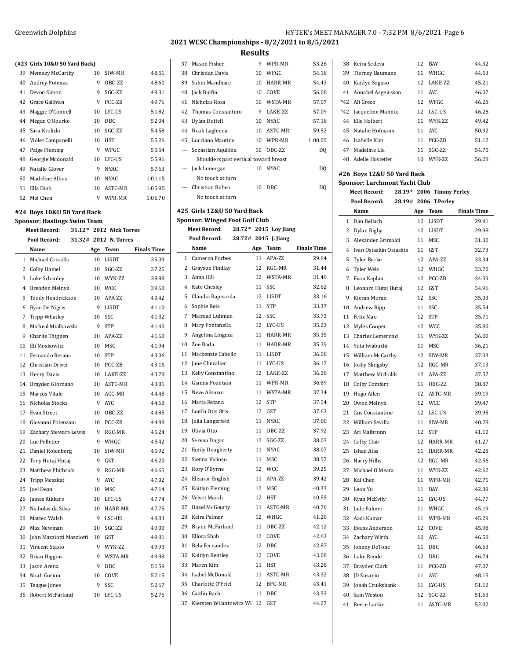#### **(#23 Girls 10&U 50 Yard Back)**

| 39 | Memsey McCarthy      | 10 | SIW-MR      | 48.51   |
|----|----------------------|----|-------------|---------|
| 40 | Audrey Potenza       | 9  | OBC-ZZ      | 48.60   |
| 41 | Devon Simon          | 9  | SGC-ZZ      | 49.31   |
| 42 | Grace Gallivan       | 9  | PCC-ZB      | 49.76   |
| 43 | Maggie O'Connell     | 10 | LYC-US      | 51.82   |
| 44 | Megan O'Rourke       | 10 | DBC         | 52.04   |
|    | 45 Sara Krolicki     | 10 | SGC-ZZ      | 54.58   |
|    | 46 Violet Campanelli | 10 | HST         | 55.26   |
| 47 | Paige Fleming        | 9  | WFGC        | 55.54   |
| 48 | Georgie Mcdonald     | 10 | LYC-US      | 55.96   |
| 49 | Natalie Glover       | 9  | <b>NYAC</b> | 57.63   |
| 50 | Madeline Albus       | 10 | <b>NYAC</b> | 1:01.15 |
| 51 | Ella Diab            | 10 | ASTC-MR     | 1:05.95 |
| 52 | Mei Chen             | 9  | WPR-MR      | 1:06.70 |

### **#24 Boys 10&U 50 Yard Back**

#### **Sponsor: Hastings Swim Team**

| <b>Meet Record:</b><br>31.12* 2012 Nick Torres |                          |                 |                       |                    |
|------------------------------------------------|--------------------------|-----------------|-----------------------|--------------------|
|                                                | Pool Record:             |                 | 31.32# 2012 N. Torres |                    |
|                                                | Name                     | Age             | Team                  | <b>Finals Time</b> |
| $\mathbf{1}$                                   | Michael Criscillo        | 10              | <b>LISDT</b>          | 35.09              |
| $\overline{2}$                                 | <b>Colby Hamel</b>       | 10              | SGC-ZZ                | 37.25              |
| 3                                              | Luke Schooley            | 10              | WYK-ZZ                | 38.88              |
| $\overline{4}$                                 | <b>Brenden Melnyk</b>    | 10              | <b>WCC</b>            | 39.60              |
| 5                                              | Teddy Hendrickson        | 10              | APA-ZZ                | 40.42              |
| 6                                              | Ryan De Nigris           | 9               | <b>LISDT</b>          | 41.10              |
| 7                                              | <b>Tripp Whatley</b>     | 10              | SSC                   | 41.32              |
| 8                                              | Micheal Mialkowski       | 9               | <b>STP</b>            | 41.40              |
| 9                                              | Charlie Thigpen          | 10              | APA-ZZ                | 41.60              |
| 10                                             | Eli Moskowitz            | 10              | <b>MSC</b>            | 41.94              |
| 11                                             | Fernando Retana          | 10              | <b>STP</b>            | 43.06              |
| 12                                             | Christian Driver         | 10              | PCC-ZB                | 43.16              |
| 13                                             | Henry Davis              | 10              | LAKE-ZZ               | 43.78              |
| 14                                             | Brayden Giordano         | 10              | ASTC-MR               | 43.81              |
| 15                                             | Marcus Vitale            | 10              | ACC-MR                | 44.48              |
| 16                                             | Nicholas Stocks          | 9               | <b>AYC</b>            | 44.68              |
| 17                                             | Evan Street              | 10              | OBC-ZZ                | 44.85              |
| 18                                             | Giovanni Polenzani       | $10-10$         | PCC-ZB                | 44.98              |
| 19                                             | Zachary Stewart-Lewis    | 9               | RGC-MR                | 45.24              |
| 20                                             | Luc Pelletier            | 9               | WHGC                  | 45.42              |
| 21                                             | Daniel Rotenberg         | 10              | SIW-MR                | 45.92              |
| 22                                             | Tony Hutaj Hutaj         | 9               | <b>GST</b>            | 46.20              |
| 23                                             | Matthew Philbrick        | 9               | RGC-MR                | 46.65              |
| 24                                             | Tripp Meszkat            | 9               | <b>AYC</b>            | 47.02              |
| 25                                             | <b>Joel Dean</b>         | 10              | <b>MSC</b>            | 47.14              |
| 26                                             | James Rikkers            | 10              | LYC-US                | 47.74              |
| 27                                             | Nicholas da Silva        | 10 <sup>1</sup> | HARR-MR               | 47.75              |
| 28                                             | Matteo Walsh             | 9               | LSC-US                | 48.83              |
| 29                                             | Max Newman               | 10              | SGC-ZZ                | 49.00              |
| 30                                             | John Mazziotti Mazziotti | 10              | GST                   | 49.81              |
| 31                                             | <b>Vincent Stasio</b>    | 9               | WYK-ZZ                | 49.93              |
| 32                                             | <b>Brian Higgins</b>     | 9               | WSTA-MR               | 49.98              |
| 33                                             | Jason Arena              | 9               | DBC                   | 51.59              |
| 34                                             | Noah Gurion              | 10              | COVE                  | 52.15              |
| 35                                             | Teague Jones             | 9               | SSC                   | 52.67              |
| 36                                             | Robert McFarland         | 10              | LYC-US                | 52.76              |

# **2021 WCSC Championships - 8/2/2021 to 8/5/2021**

### **Results**

|    | 37 Mason Fisher                       | 9  | WPR-MR  | 53.26   |
|----|---------------------------------------|----|---------|---------|
| 38 | Christian Davis                       | 10 | WFGC    | 54.18   |
| 39 | Sohm Mandhare                         | 10 | HARR-MR | 54.43   |
|    | 40 Jack Bulfin                        | 10 | COVE    | 56.08   |
| 41 | Nicholas Rosa                         | 10 | WSTA-MR | 57.07   |
|    | 42 Thomas Constantino                 | 9  | LAKE-ZZ | 57.09   |
| 43 | Dylan Duffell                         | 10 | NYAC.   | 57.18   |
|    | 44 Noah Laglenna                      | 10 | ASTC-MR | 59.52   |
|    | 45 Lucciano Mautino                   | 10 | WPR-MR  | 1:00.05 |
|    | Sebastian Aquilina                    | 10 | OBC-ZZ  | DQ      |
|    | Shoulders past vertical toward breast |    |         |         |
|    | Jack Lonergan                         | 10 | NYAC.   | DQ      |
|    | No touch at turn                      |    |         |         |
|    | Christian Rubeo                       | 10 | DBC.    | DQ      |
|    | No touch at turn                      |    |         |         |

### **#25 Girls 12&U 50 Yard Back**

 $\overline{\phantom{a}}$ 

### **Sponsor: Winged Foot Golf Club**

| <b>Meet Record:</b> |                        | $28.72*2015$ Loy Jiang |
|---------------------|------------------------|------------------------|
| Pool Record:        | $28.72# 2015$ J. Jiang |                        |

|                | Name                    | Age | Team         | <b>Finals Time</b> |
|----------------|-------------------------|-----|--------------|--------------------|
| $\mathbf{1}$   | Cameron Forbes          | 11  | APA-ZZ       | 29.84              |
| 2              | Grayson Findlay         | 12  | RGC-MR       | 31.44              |
| 3              | Anna Hill               | 12  | WSTA-MR      | 31.49              |
| $\overline{4}$ | <b>Kate Chesley</b>     | 11  | SSC          | 32.62              |
| 5              | Claudia Rapisarda       | 12  | <b>LISDT</b> | 33.16              |
| 6              | Sophie Reis             | 11  | <b>STP</b>   | 33.37              |
| 7              | Mairead Luhman          | 12  | SSC          | 33.73              |
| 8              | Mary Fontanella         | 12  | LYC-US       | 35.23              |
| 9              | Angelina Lingeza        | 11  | HARR-MR      | 35.35              |
| 10             | Zoe Boda                | 11  | HARR-MR      | 35.39              |
| 11             | Mackenzie Cabello       | 11  | <b>LISDT</b> | 36.08              |
| 12             | Jane Chevalier          | 11  | LYC-US       | 36.17              |
| 13             | Kelly Constantino       | 12  | LAKE-ZZ      | 36.28              |
| 14             | Gianna Fountain         | 11  | WPR-MR       | 36.89              |
| 15             | Neve Aikman             | 11  | WSTA-MR      | 37.34              |
| 16             | Maria Retana            | 12  | <b>STP</b>   | 37.54              |
| 17             | Luella Otis Otis        | 12  | <b>GST</b>   | 37.63              |
| 18             | Julia Langerfeld        | 11  | <b>NYAC</b>  | 37.80              |
| 19             | Olivia Otto             | 11  | OBC-ZZ       | 37.92              |
| 20             | Serena Dugan            | 12  | SGC-ZZ       | 38.03              |
| 21             | <b>Emily Dougherty</b>  | 11  | <b>NYAC</b>  | 38.07              |
| 22             | Sienna Vicioso          | 11  | <b>MSC</b>   | 38.57              |
| 23             | Rory O'Byrne            | 12  | <b>WCC</b>   | 39.25              |
| 24             | Eleanor English         | 11  | APA-ZZ       | 39.42              |
| 25             | Kaitlyn Fleming         | 12  | <b>MSC</b>   | 40.33              |
| 26             | Velvet Marsh            | 12  | <b>HST</b>   | 40.55              |
| 27             | Hazel McGourty          | 11  | ASTC-MR      | 40.70              |
| 28             | Keira Palmer            | 12  | WHGC         | 41.20              |
| 29             | Brynn McFarland         | 11  | OBC-ZZ       | 42.12              |
| 30             | Ellora Shah             | 12  | COVE         | 42.63              |
| 31             | Bela Fernandez          | 12  | <b>DBC</b>   | 42.87              |
| 32             | Kaitlyn Bentley         | 12  | COVE         | 43.08              |
| 33             | Maren Kim               | 11  | <b>HST</b>   | 43.28              |
| 34             | Isabel McDonald         | 11  | ASTC-MR      | 43.32              |
| 35             | Charlotte O'Friel       | 12  | BFC-MR       | 43.41              |
| 36             | Caitlin Bach            | 11  | DBC          | 43.53              |
| 37             | Kiersten Wilantowicz Wi | 12  | GST          | 44.27              |

| 38 Keira Sedeva       |    | 12 BAY       | 44.32 |
|-----------------------|----|--------------|-------|
| 39 Tierney Baumann    |    | 11 WHGC      | 44.53 |
| 40 Kaitlyn Seguso     |    | 12 LAKE-7.7. | 45.21 |
| 41 Annabel Asgeirsson |    | 11 AYC       | 46.07 |
| *42 Ali Greco         |    | 12 WFGC      | 46.28 |
| *42 Jacqueline Mannix |    | 12 LSC-US    | 46.28 |
| 44 Elle Holbert       |    | 11 WYK-7.7.  | 49.42 |
| 45 Natalie Hofmann    |    | 11 AYC       | 50.92 |
| 46 Isabelle Kim       | 11 | PCC-ZB       | 51.12 |
| 47 Madeline Liu       | 11 | SGC-7.7.     | 54.70 |
| 48 Adelle Hostetler   |    | 10 WYK-7.7.  | 56.28 |
|                       |    |              |       |

#### **#26 Boys 12&U 50 Yard Back Sponsor: Larchmont Yacht Club**

### **Meet Record: 28.19\* 2006 Timmy Perley**

|                | Pool Record:            |     | 28.19# 2006 T.Perley |                    |
|----------------|-------------------------|-----|----------------------|--------------------|
|                | Name                    | Age | <b>Team</b>          | <b>Finals Time</b> |
| 1              | Dan Bellach             | 12  | <b>LISDT</b>         | 29.91              |
| 2              | Dylan Rigby             | 12  | <b>LISDT</b>         | 29.98              |
| 3              | Alexander Grimaldi      | 11  | <b>MSC</b>           | 31.30              |
| $\overline{4}$ | Ivan Ostaskin Ostaskin  | 11  | <b>GST</b>           | 32.73              |
| 5              | <b>Tyler Burke</b>      | 12  | APA-ZZ               | 33.34              |
| 6              | <b>Tyler Wels</b>       | 12  | WHGC                 | 33.70              |
| $\overline{7}$ | Evan Kaplan             | 12  | PCC-ZB               | 34.59              |
| 8              | Leonard Hutaj Hutaj     | 12  | GST                  | 34.96              |
| 9              | Kieran Moran            | 12  | SSC                  | 35.03              |
| 10             | Andrew Ripp             | 11  | SSC                  | 35.54              |
| 11             | Felix Mao               | 12  | <b>STP</b>           | 35.71              |
| 12             | Myles Cooper            | 12  | <b>WCC</b>           | 35.80              |
| 13             | <b>Charles Lemerond</b> | 11  | WYK-ZZ               | 36.00              |
| 14             | Yuta Iwabuchi           | 11  | <b>MSC</b>           | 36.21              |
| 15             | William McCarthy        | 12  | SIW-MR               | 37.03              |
| 16             | <b>Joshy Slingsby</b>   | 12  | RGC-MR               | 37.13              |
| 17             | Matthew Michalik        | 12  | APA-ZZ               | 37.57              |
| 18             | Colby Comfort           | 11  | OBC-ZZ               | 38.87              |
| 19             | Hugo Allen              | 12  | ASTC-MR              | 39.19              |
| 20             | Owen Melnyk             | 12  | <b>WCC</b>           | 39.47              |
| 21             | Gus Constantine         | 12  | LSC-US               | 39.95              |
| 22             | William Sevilla         | 11  | SIW-MR               | 40.28              |
| 23             | Ari Maibrunn            | 12  | <b>STP</b>           | 41.10              |
| 24             | Colby Clair             | 12  | HARR-MR              | 41.27              |
| 25             | Ishan Alas              | 11  | HARR-MR              | 42.28              |
| 26             | <b>Harry Hillis</b>     | 12  | RGC-MR               | 42.56              |
| 27             | Michael O'Meara         | 11  | WYK-ZZ               | 42.62              |
| 28             | Kai Chen                | 11  | WPR-MR               | 42.71              |
| 29             | Leon Yu                 | 11  | <b>BAY</b>           | 42.89              |
| 30             | Ryan McEvily            | 11  | LYC-US               | 44.77              |
| 31             | Jude Palmer             | 11  | WHGC                 | 45.19              |
| 32             | Aadi Kumar              | 11  | WPR-MR               | 45.29              |
| 33             | Evans Anderson          | 12  | COVE                 | 45.98              |
| 34             | Zachary Wirth           | 12  | <b>AYC</b>           | 46.58              |
| 35             | Johnny DeTone           | 11  | DBC                  | 46.63              |
| 36             | Luke Rende              | 12  | <b>DBC</b>           | 46.74              |
| 37             | Brayden Clark           | 11  | PCC-ZB               | 47.07              |
| 38             | <b>ID</b> Susanin       | 11  | AYC                  | 48.15              |
| 39             | Jonah Cruikshank        | 11  | LYC-US               | 51.12              |
| 40             | Sam Weston              | 12  | SGC-ZZ               | 51.63              |
| 41             | Reece Larkin            | 11  | ASTC-MR              | 52.02              |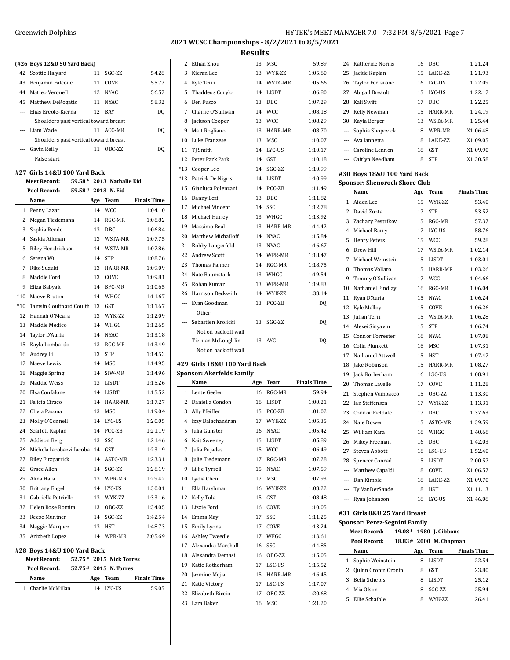|    | (#26 Boys 12&U 50 Yard Back)          |            |       |
|----|---------------------------------------|------------|-------|
|    | 42 Scottie Halyard                    | 11 SGC-7.7 | 54.28 |
| 43 | Benjamin Falcone                      | 11 COVE    | 55.77 |
|    | 44 Matteo Veronelli                   | 12 NYAC    | 56.57 |
|    | 45 Matthew DeRogatis                  | 11 NYAC    | 58.32 |
|    | --- Elias Ereole-Kierna               | 12 BAY     | DQ    |
|    | Shoulders past vertical toward breast |            |       |
|    | --- Liam Wade                         | 11 ACC-MR  | DO    |
|    | Shoulders past vertical toward breast |            |       |
|    | --- Gavin Reilly                      | 11 OBC-7.7 | DO    |
|    | False start                           |            |       |
|    | #27. Girls 14&II 100 Vard Rack        |            |       |

### **#27 Girls 14&U 100 Yard Back**

| <b>Meet Record:</b>         | 59.58* 2013 Nathalie Eid       |
|-----------------------------|--------------------------------|
| Pool Record:                | 59.58# 2013 N. Eid             |
| $\mathbf{M}$ = $\mathbf{M}$ | 172 a.C.<br>$A = -$ The masses |

|                | Name                        | Age | Team          | <b>Finals Time</b> |
|----------------|-----------------------------|-----|---------------|--------------------|
| 1              | Penny Lazar                 | 14  | <b>WCC</b>    | 1:04.10            |
| $\overline{c}$ | Megan Tiedemann             | 14  | RGC-MR        | 1:06.82            |
| 3              | Sophia Rende                | 13  | <b>DBC</b>    | 1:06.84            |
| $\overline{4}$ | Saskia Aikman               | 13  | WSTA-MR       | 1:07.75            |
| 5              | Riley Hendrickson           | 14  | WSTA-MR       | 1:07.86            |
| 6              | Serena Wu                   | 14  | <b>STP</b>    | 1:08.76            |
| 7              | Riko Suzuki                 | 13  | HARR-MR       | 1:09.09            |
| 8              | Maddie Ford                 | 13  | COVE          | 1:09.81            |
| 9              | Eliza Babyak                | 14  | <b>BFC-MR</b> | 1:10.65            |
| $*10$          | Maeve Bruton                | 14  | WHGC          | 1:11.67            |
| $*10$          | Tamsin Coulthard Coulth 13  |     | <b>GST</b>    | 1:11.67            |
| 12             | Hannah O'Meara              | 13  | WYK-ZZ        | 1:12.09            |
| 13             | Maddie Medico               | 14  | WHGC          | 1:12.65            |
| 14             | Taylor D'Auria              | 14  | <b>NYAC</b>   | 1:13.18            |
| 15             | Kayla Lombardo              | 13  | RGC-MR        | 1:13.49            |
| 16             | Audrey Li                   | 13  | <b>STP</b>    | 1:14.53            |
| 17             | Maeve Lewis                 | 14  | <b>MSC</b>    | 1:14.95            |
| 18             | Maggie Spring               | 14  | SIW-MR        | 1:14.96            |
| 19             | Maddie Weiss                | 13  | <b>LISDT</b>  | 1:15.26            |
| 20             | Elsa Confalone              | 14  | <b>LISDT</b>  | 1:15.52            |
| 21             | Felicia Ciraco              | 14  | HARR-MR       | 1:17.27            |
| 22             | Olivia Pazona               | 13  | <b>MSC</b>    | 1:19.04            |
| 23             | Molly O'Connell             | 14  | LYC-US        | 1:20.05            |
| 24             | Scarlett Kaplan             | 14  | PCC-ZB        | 1:21.19            |
| 25             | <b>Addison Berg</b>         | 13  | SSC           | 1:21.46            |
| 26             | Michela Iacobazzi Iacoba 14 |     | <b>GST</b>    | 1:23.19            |
| 27             | <b>Riley Fitzpatrick</b>    | 14  | ASTC-MR       | 1:23.31            |
| 28             | Grace Allen                 | 14  | SGC-ZZ        | 1:26.19            |
| 29             | Alina Hara                  | 13  | WPR-MR        | 1:29.42            |
| 30             | <b>Brittany Engel</b>       | 14  | LYC-US        | 1:30.01            |
| 31             | Gabriella Petriello         | 13  | WYK-ZZ        | 1:33.16            |
| 32             | Helen Rose Romita           | 13  | OBC-ZZ        | 1:34.05            |
| 33             | Reese Muntner               | 14  | SGC-ZZ        | 1:42.54            |
| 34             | Maggie Marquez              | 13  | <b>HST</b>    | 1:48.73            |
| 35             | Arizbeth Lopez              | 14  | WPR-MR        | 2:05.69            |
|                | #28 Boys 14&U 100 Yard Back |     |               |                    |

| <b>Meet Record:</b> |  | 52.75 * 2015 Nick Torres |                    |
|---------------------|--|--------------------------|--------------------|
| Pool Record:        |  | 52.75# 2015 N. Torres    |                    |
| Name                |  | Age Team                 | <b>Finals Time</b> |
| 1 Charlie McMillan  |  | 14 I.YC-IIS              | 59.05              |

| Greenwich Dolphins | HY-TEK's MEET MANAGER 7.0 - 7:32 PM 8/6/2021 Page 7 |
|--------------------|-----------------------------------------------------|
|                    | 2021 WCSC Championships - 8/2/2021 to 8/5/2021      |

# **Results**

| 2                        | Ethan Zhou                               | 13       | MSC           | 59.89              |
|--------------------------|------------------------------------------|----------|---------------|--------------------|
| 3                        | Kieran Lee                               | 13       | WYK-ZZ        | 1:05.60            |
| 4                        | Kyle Terri                               | 14       | WSTA-MR       | 1:05.66            |
| 5                        | Thaddeus Curylo                          |          | 14 LISDT      | 1:06.80            |
| 6                        | Ben Fusco                                | 13       | DBC           | 1:07.29            |
| 7                        | Charlie O'Sullivan                       | 14       | <b>WCC</b>    | 1:08.18            |
| 8                        | Jackson Cooper                           | 13       | <b>WCC</b>    | 1:08.29            |
| 9                        | Matt Rogliano                            | 13       | HARR-MR       | 1:08.70            |
| 10                       | Luke Franzese                            | 13       | MSC           | 1:10.07            |
| 11                       | TJ Smith                                 | 14       | LYC-US        | 1:10.17            |
| 12                       | Peter Park Park                          | 14       | GST           | 1:10.18            |
| *13                      | Cooper Lee                               | 14       | SGC-ZZ        | 1:10.99            |
| *13                      | Patrick De Nigris                        | 14       | LISDT         | 1:10.99            |
| 15                       | Gianluca Polenzani                       | 14       | PCC-ZB        | 1:11.49            |
| 16                       | Danny Lezi                               | 13       | DBC           | 1:11.82            |
| 17                       | Michael Vincent                          | 14       | SSC           | 1:12.78            |
| 18                       | Michael Hurley                           | 13       | WHGC          | 1:13.92            |
| 19                       | Massimo Reali                            | 13       | HARR-MR       | 1:14.42            |
| 20                       | <b>Matthew Michailoff</b>                | 14       | <b>NYAC</b>   | 1:15.84            |
| 21                       | <b>Bobby Langerfeld</b>                  | 13       | <b>NYAC</b>   | 1:16.67            |
| 22                       | <b>Andrew Scott</b>                      | 14       | WPR-MR        | 1:18.47            |
| 23                       | <b>Thomas Palmer</b>                     |          | 14 RGC-MR     | 1:18.75            |
| 24                       | Nate Baumstark                           | 13       | WHGC          | 1:19.54            |
| 25                       | Rohan Kumar                              | 13       | WPR-MR        | 1:19.83            |
| 26                       | Harrison Beckwith                        |          | 14 WYK-ZZ     | 1:38.14            |
| $\overline{\phantom{a}}$ | Evan Goodman                             | 13       | PCC-ZB        | DQ                 |
|                          | Other                                    |          |               |                    |
| ---                      | Sebastien Krolicki                       | 13       | SGC-ZZ        | DQ                 |
|                          | Not on back off wall                     |          |               |                    |
|                          |                                          |          |               |                    |
| $---$                    | Tiernan McLoughlin                       | 13       | AYC           | DQ                 |
|                          | Not on back off wall                     |          |               |                    |
|                          |                                          |          |               |                    |
|                          | #29 Girls 18&U 100 Yard Back             |          |               |                    |
|                          | <b>Sponsor: Akerfelds Family</b><br>Name |          | Age Team      | <b>Finals Time</b> |
|                          | 1 Lente Geelen                           | 16       | RGC-MR        | 59.94              |
| 2                        | Daniella Condon                          | 16       | <b>LISDT</b>  | 1:00.21            |
| 3                        | Ally Pfeiffer                            | 15       | PCC-ZB        | 1:01.02            |
| 4                        | Izzy Balachandran                        | 17       | WYK-ZZ        | 1:05.35            |
|                          |                                          | 16       | <b>NYAC</b>   |                    |
| 5<br>6                   | Julia Gunster                            | 15       | <b>LISDT</b>  | 1:05.42<br>1:05.89 |
| $\overline{7}$           | Kait Sweeney                             |          |               |                    |
|                          | Julia Pujadas                            | 15       | <b>WCC</b>    | 1:06.49            |
| 8                        | Julie Tiedemann                          | 17       | RGC-MR        | 1:07.28            |
| 9                        | Lillie Tyrrell                           | 15       | <b>NYAC</b>   | 1:07.59            |
| 10                       | Lydia Chen                               |          | 17 MSC        | 1:07.93            |
| 11                       | Ella Harshman                            | 16       | WYK-ZZ        | 1:08.22            |
| 12                       | Kelly Tula                               | 15       | GST           | 1:08.48            |
| 13                       | Lizzie Ford                              | 16       | COVE          | 1:10.05            |
| 14                       | Emma May                                 | 17       | SSC           | 1:11.25            |
| 15                       | <b>Emily Lyons</b>                       | 17       | COVE          | 1:13.24            |
| 16                       | Ashley Tweedle                           | 17       | WFGC          | 1:13.61            |
| 17                       | Alexandra Marshall                       | 16       | SSC           | 1:14.85            |
| 18                       | Alexandra Demasi                         | 16       | OBC-ZZ        | 1:15.05            |
| 19                       | Katie Rotherham                          | 17       | LSC-US        | 1:15.52            |
| 20                       | Jazmine Mejia                            | 15       | HARR-MR       | 1:16.45            |
| 21                       | Katie Victory                            |          | 17 LSC-US     | 1:17.07            |
| 22<br>23                 | Elizabeth Riccio<br>Lara Baker           | 17<br>16 | OBC-ZZ<br>MSC | 1:20.68<br>1:21.20 |

|    | 24 Katherine Norris         | 16 | DBC             | 1:21.24  |
|----|-----------------------------|----|-----------------|----------|
|    | 25 Jackie Kaplan            | 15 | <b>LAKE-7.7</b> | 1:21.93  |
|    | 26 Taylor Ferrarone         | 16 | LYC-US          | 1:22.09  |
| 27 | Abigail Breault             | 15 | LYC-US          | 1:22.17  |
|    | 28 Kali Swift               | 17 | DBC.            | 1:22.25  |
| 29 | Kelly Newman                | 15 | HARR-MR         | 1:24.19  |
|    | 30 Kayla Berger             | 13 | WSTA-MR         | 1:25.44  |
|    | --- Sophia Shopovick        | 18 | WPR-MR          | X1:06.48 |
|    | --- Ava Jannetta            | 18 | <b>LAKE-7.7</b> | X1:09.05 |
|    | --- Caroline Lennon         | 18 | <b>GST</b>      | X1:09.90 |
|    | --- Caitlyn Needham         | 18 | <b>STP</b>      | X1:30.58 |
|    | #30 Boys 18&U 100 Yard Back |    |                 |          |

# **Sponsor: Shenorock Shore Club**

|                | Name                                 | Age | <b>Team</b>            | <b>Finals Time</b> |
|----------------|--------------------------------------|-----|------------------------|--------------------|
| 1              | Aiden Lee                            | 15  | WYK-ZZ                 | 53.40              |
| $\overline{c}$ | David Zoota                          | 17  | <b>STP</b>             | 53.52              |
| 3              | Zachary Pestrikov                    | 15  | RGC-MR                 | 57.37              |
| $\overline{4}$ | Michael Barry                        | 17  | LYC-US                 | 58.76              |
| 5              | <b>Henry Peters</b>                  | 15  | <b>WCC</b>             | 59.28              |
| 6              | Drew Hill                            | 17  | <b>WSTA-MR</b>         | 1:02.14            |
| 7              | Michael Weinstein                    | 15  | <b>LISDT</b>           | 1:03.01            |
| 8              | Thomas Vollaro                       | 15  | HARR-MR                | 1:03.26            |
| 9              | Tommy O'Sullivan                     | 17  | <b>WCC</b>             | 1:04.66            |
| 10             | Nathaniel Findlay                    | 16  | RGC-MR                 | 1:06.04            |
| 11             | Ryan D'Auria                         | 15  | <b>NYAC</b>            | 1:06.24            |
| 12             | Kyle Malloy                          | 15  | COVE                   | 1:06.26            |
| 13             | Julian Terri                         | 15  | WSTA-MR                | 1:06.28            |
| 14             | Alexei Sinyavin                      | 15  | <b>STP</b>             | 1:06.74            |
| 15             | <b>Connor Forrester</b>              | 16  | <b>NYAC</b>            | 1:07.08            |
| 16             | Colin Plunkett                       | 16  | <b>MSC</b>             | 1:07.31            |
| 17             | Nathaniel Attwell                    | 15  | <b>HST</b>             | 1:07.47            |
| 18             | Jake Robinson                        | 15  | HARR-MR                | 1:08.27            |
| 19             | <b>Jack Rotherham</b>                | 16  | LSC-US                 | 1:08.91            |
| 20             | Thomas Lavelle                       | 17  | COVE                   | 1:11.28            |
| 21             | Stephen Vumbacco                     | 15  | OBC-ZZ                 | 1:13.30            |
| 22             | Ian Steffensen                       | 17  | WYK-ZZ                 | 1:13.31            |
| 23             | <b>Connor Fieldale</b>               | 17  | <b>DBC</b>             | 1:37.63            |
| 24             | Nate Dower                           | 15  | ASTC-MR                | 1:39.59            |
| 25             | William Kara                         | 16  | WHGC                   | 1:40.66            |
| 26             | Mikey Freeman                        | 16  | <b>DBC</b>             | 1:42.03            |
| 27             | Steven Abbott                        | 16  | LSC-US                 | 1:52.40            |
| 28             | Spencer Conrad                       | 15  | <b>LISDT</b>           | 2:00.57            |
| $---$          | Matthew Capaldi                      | 18  | COVE                   | X1:06.57           |
|                | --- Dan Kimble                       | 18  | LAKE-ZZ                | X1:09.70           |
| ---            | Ty VanDerSande                       | 18  | <b>HST</b>             | X1:11.13           |
| $\overline{a}$ | Ryan Johanson                        | 18  | LYC-US                 | X1:46.08           |
|                | #31 Girls 8&U 25 Yard Breast         |     |                        |                    |
|                | <b>Sponsor: Perez-Segnini Family</b> |     |                        |                    |
|                | <b>Meet Record:</b><br>19.08*        |     | 1980 J. Gibbons        |                    |
|                | Pool Record:                         |     | 18.83# 2000 M. Chapman |                    |
|                | Name                                 |     | Age Team               | <b>Finals Time</b> |
| 1              | Sophie Weinstein                     | 8   | <b>LISDT</b>           | 22.54              |
| 2              | Quinn Cronin Cronin                  | 8   | <b>GST</b>             | 23.80              |
| 3              | <b>Bella Schepis</b>                 | 8   | <b>LISDT</b>           | 25.12              |
| 4              | Mia Olson                            | 8   | SGC-ZZ                 | 25.94              |
| 5              | Ellie Schaible                       | 8   | WYK-ZZ                 | 26.41              |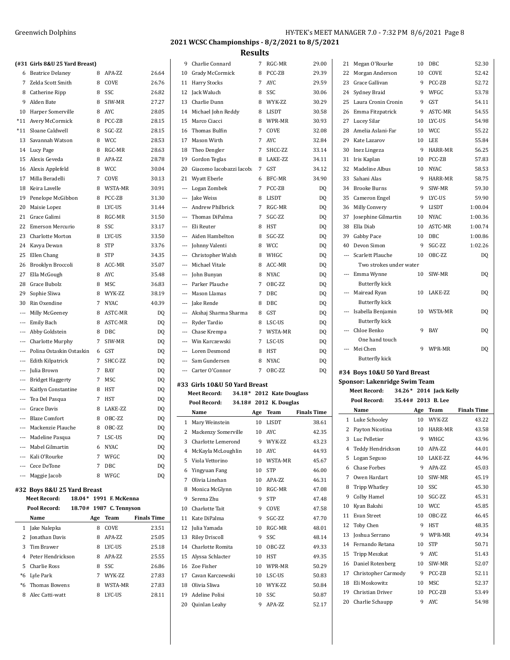|          |                                             |   |                         |                    |                      |                                  | nesults |                           |                    |    |                               |                    |    |                        |                    |
|----------|---------------------------------------------|---|-------------------------|--------------------|----------------------|----------------------------------|---------|---------------------------|--------------------|----|-------------------------------|--------------------|----|------------------------|--------------------|
|          | (#31 Girls 8&U 25 Yard Breast)              |   |                         |                    |                      | 9 Charlie Connard                |         | 7 RGC-MR                  | 29.00              |    | 21 Megan O'Rourke             |                    |    | 10 DBC                 | 52.30              |
|          | 6 Beatrice Delaney                          |   | 8 APA-ZZ                | 26.64              |                      | 10 Grady McCormick               |         | 8 PCC-ZB                  | 29.39              |    | 22 Morgan Anderson            |                    | 10 | COVE                   | 52.42              |
|          | 7 Zelda Scott Smith                         | 8 | COVE                    | 26.76              |                      | 11 Harry Stocks                  |         | 7 AYC                     | 29.59              |    | 23 Grace Gallivan             |                    | 9  | PCC-ZB                 | 52.72              |
|          | 8 Catherine Ripp                            | 8 | SSC                     | 26.82              |                      | 12 Jack Waluch                   | 8       | SSC                       | 30.06              |    | 24 Sydney Braid               |                    | 9  | WFGC                   | 53.78              |
| 9        | Alden Bate                                  | 8 | SIW-MR                  | 27.27              |                      | 13 Charlie Dunn                  |         | 8 WYK-ZZ                  | 30.29              |    | 25 Laura Cronin Cronin        |                    | 9  | GST                    | 54.11              |
|          | 10 Harper Somerville                        |   | 8 AYC                   | 28.05              |                      | 14 Michael John Reddy            |         | 8 LISDT                   | 30.58              |    | 26 Emma Fitzpatrick           |                    | 9  | ASTC-MR                | 54.55              |
|          | *11 Avery McCormick                         |   | 8 PCC-ZB                | 28.15              |                      | 15 Marco Ciacci                  |         | 8 WPR-MR                  | 30.93              |    | 27 Lucey Silar                |                    |    | 10 LYC-US              | 54.98              |
|          | *11 Sloane Caldwell                         |   | 8 SGC-ZZ                | 28.15              |                      | 16 Thomas Bulfin                 |         | 7 COVE                    | 32.08              |    | 28 Amelia Aslani-Far          |                    |    | 10 WCC                 | 55.22              |
|          | 13 Savannah Watson                          |   | 8 WCC                   | 28.53              |                      | 17 Mason Wirth                   |         | 7 AYC                     | 32.84              |    | 29 Kate Lazarov               |                    |    | 10 LEE                 | 55.84              |
|          | 14 Lucy Page                                |   | 8 RGC-MR                | 28.63              |                      | 18 Theo Dengler                  |         | 7 SHCC-ZZ                 | 33.14              |    | 30 Inez Lingeza               |                    |    | 9 HARR-MR              | 56.25              |
|          | 15 Alexis Geveda                            | 8 | APA-ZZ                  | 28.78              |                      | 19 Gordon Teglas                 |         | 8 LAKE-ZZ                 | 34.11              |    | 31 Iris Kaplan                |                    |    | 10 PCC-ZB              | 57.83              |
|          | 16 Alexis Applefeld                         | 8 | <b>WCC</b>              | 30.04              | 20                   | Giacomo Iacobazzi Iacoba         |         | 7 GST                     | 34.12              |    | 32 Madeline Albus             |                    |    | 10 NYAC                | 58.53              |
|          | 17 Milla Beradelli                          | 7 | COVE                    | 30.13              |                      | 21 Wyatt Eberle                  |         | 6 BFC-MR                  | 34.90              |    | 33 Sahani Alas                |                    | 9  | HARR-MR                | 58.75              |
|          | 18 Keira Lavelle                            | 8 | WSTA-MR                 | 30.91              |                      | --- Logan Zombek                 |         | 7 PCC-ZB                  | DQ                 |    | 34 Brooke Burns               |                    | 9  | SIW-MR                 | 59.30              |
| 19       | Penelope McGibbon                           | 8 | PCC-ZB                  | 31.30              | $\cdots$             | Jake Weiss                       | 8       | LISDT                     | DQ                 |    | 35 Cameron Engel              |                    | 9  | LYC-US                 | 59.90              |
|          | 20 Maisie Lopez                             | 8 | LYC-US                  | 31.44              | $\cdots$             | Andrew Philbrick                 |         | 7 RGC-MR                  | DQ                 |    | 36 Milly Convery              |                    | 9  | LISDT                  | 1:00.04            |
| 21       | Grace Galimi                                | 8 | RGC-MR                  | 31.50              | $\overline{a}$       | Thomas DiPalma                   |         | 7 SGC-ZZ                  | DQ                 | 37 | Josephine Gilmartin           |                    | 10 | NYAC                   | 1:00.36            |
| 22       | Emerson Mercurio                            | 8 | SSC                     | 33.17              | $\cdots$             | Eli Reuter                       |         | 8 HST                     | DQ                 | 38 | Ella Diab                     |                    | 10 | ASTC-MR                | 1:00.74            |
|          | 23 Charlotte Morton                         |   | 8 LYC-US                | 33.50              | $\cdots$             | Aiden Hambelton                  |         | 8 SGC-ZZ                  | DQ                 |    | 39 Gabby Pace                 |                    |    | 10 DBC                 | 1:00.86            |
|          | 24 Kavya Dewan                              |   | 8 STP                   | 33.76              | $\overline{a}$       | Johnny Valenti                   |         | 8 WCC                     | DQ                 |    | 40 Devon Simon                |                    | 9  | SGC-ZZ                 | 1:02.26            |
|          | 25 Ellen Chang                              |   | 8 STP                   | 34.35              | $\overline{a}$       | Christopher Walsh                |         | 8 WHGC                    | DQ                 |    | --- Scarlett Plauche          |                    |    | 10 OBC-ZZ              | DQ                 |
|          | 26 Brooklyn Broccoli                        | 8 | ACC-MR                  | 35.07              | $\cdots$             | Michael Vitale                   |         | 8 ACC-MR                  | DQ                 |    | Two strokes under water       |                    |    |                        |                    |
|          | 27 Ella McGough                             |   | 8 AYC                   | 35.48              | $\qquad \qquad - -$  | John Bunyan                      |         | 8 NYAC                    | DQ                 |    | --- Emma Wynne                |                    |    | 10 SIW-MR              | DQ                 |
| 28       | Grace Bubolz                                | 8 | MSC                     | 36.83              |                      | Parker Plauche                   |         | 7 OBC-ZZ                  | DQ                 |    | <b>Butterfly kick</b>         |                    |    |                        |                    |
|          | Sophie Sliwa                                |   |                         |                    |                      |                                  |         | 7 DBC                     |                    |    | --- Mairead Ryan              |                    |    | 10 LAKE-ZZ             | DQ                 |
| 29       |                                             | 8 | WYK-ZZ                  | 38.19              | $\cdots$             | Mason Llamas                     |         |                           | DQ                 |    | Butterfly kick                |                    |    |                        |                    |
| 30       | Rin Oxendine                                | 7 | NYAC                    | 40.39              | $\cdots$             | Jake Rende                       | 8       | DBC                       | DQ                 |    | --- Isabella Benjamin         |                    |    | 10 WSTA-MR             | DQ                 |
|          | Milly McGeeney                              | 8 | ASTC-MR                 | DQ                 | $\scriptstyle\cdots$ | Akshaj Sharma Sharma             |         | 8 GST                     | DQ                 |    | Butterfly kick                |                    |    |                        |                    |
| $---$    | Emily Bach                                  | 8 | ASTC-MR                 | DQ                 | $\scriptstyle\cdots$ | Ryder Tardio                     |         | 8 LSC-US                  | DQ                 |    | --- Chloe Benko               |                    |    | 9 BAY                  | DQ                 |
| $---$    | Abby Goldstein                              | 8 | DBC                     | DQ                 | $\cdots$             | Chase Krempa                     |         | 7 WSTA-MR                 | DQ                 |    | One hand touch                |                    |    |                        |                    |
|          | Charlotte Murphy                            |   | 7 SIW-MR                | DQ                 | $\cdots$             | Win Karczewski                   |         | 7 LSC-US                  | DQ                 |    | --- Mei Chen                  |                    |    | 9 WPR-MR               | DQ                 |
|          | Polina Ostaskin Ostaskin                    |   | 6 GST                   | DQ                 | $\cdots$             | Loren Desmond                    |         | 8 HST                     | <b>DQ</b>          |    |                               |                    |    |                        |                    |
| $---$    | Edith Kilpatrick                            |   | 7 SHCC-ZZ               | DQ                 |                      | Sam Gundersen                    |         | 8 NYAC                    | <b>DQ</b>          |    | Butterfly kick                |                    |    |                        |                    |
|          | Julia Brown                                 |   | 7 BAY                   | DQ                 |                      | --- Carter O'Connor              |         | 7 OBC-ZZ                  | DQ                 |    | #34 Boys 10&U 50 Yard Breast  |                    |    |                        |                    |
|          | <b>Bridget Haggerty</b>                     |   | 7 MSC                   | DQ                 |                      | #33 Girls 10&U 50 Yard Breast    |         |                           |                    |    | Sponsor: Lakenridge Swim Team |                    |    |                        |                    |
|          | Kaitlyn Constantine                         |   | 8 HST                   | DQ                 |                      | <b>Meet Record:</b>              |         | 34.18* 2012 Kate Douglass |                    |    | <b>Meet Record:</b>           |                    |    | 34.26* 2014 Jack Kelly |                    |
|          | Tea Del Pasqua                              |   | 7 HST                   | DQ                 |                      | Pool Record:                     |         | 34.18# 2012 K. Douglas    |                    |    | Pool Record:                  | 35.44# 2013 B. Lee |    |                        |                    |
|          | Grace Davis                                 | 8 | LAKE-ZZ                 | DQ                 |                      | Name                             |         | Age Team                  | <b>Finals Time</b> |    | Name                          |                    |    | Age Team               | <b>Finals Time</b> |
|          | --- Blaze Comfort                           | 8 | OBC-ZZ                  | DQ                 |                      | 1 Mary Weinstein                 |         | 10 LISDT                  | 38.61              |    | 1 Luke Schooley               |                    |    | 10 WYK-ZZ              | 43.22              |
|          | Mackenzie Plauche                           |   | 8 OBC-ZZ                | DQ                 |                      | 2 Mackenzy Somerville            |         | 10 AYC                    | 42.35              |    | 2 Payton Nicotina             |                    | 10 | HARR-MR                | 43.58              |
|          | Madeline Pasqua                             |   | 7 LSC-US                | DQ                 |                      | 3 Charlotte Lemerond             |         | 9 WYK-ZZ                  | 43.23              |    | 3 Luc Pelletier               |                    | 9  | WHGC                   | 43.96              |
| $---$    | Mabel Gilmartin                             | 6 | NYAC                    | DQ                 |                      | 4 McKayla McLoughlin             |         | 10 AYC                    | 44.93              |    | 4 Teddy Hendrickson           |                    |    | 10 APA-ZZ              | 44.01              |
|          | Kali O'Rourke                               |   | 7 WFGC                  | DQ                 |                      | 5 Viola Vettorino                |         | 10 WSTA-MR                | 45.67              |    | 5 Logan Seguso                |                    |    | 10 LAKE-ZZ             | 44.96              |
| $\cdots$ | Cece DeTone                                 |   | 7 DBC                   | DQ                 |                      | 6 Yingyuan Fang                  |         | 10 STP                    | 46.00              |    | 6 Chase Forbes                |                    | 9  | APA-ZZ                 | 45.03              |
|          | --- Maggie Jacob                            |   | 8 WFGC                  | DQ                 |                      | 7 Olivia Linehan                 |         | 10 APA-ZZ                 | 46.31              |    | 7 Owen Hardart                |                    | 10 | SIW-MR                 | 45.19              |
|          |                                             |   |                         |                    |                      |                                  |         |                           | 47.08              |    | 8 Tripp Whatley               |                    | 10 | SSC                    | 45.30              |
|          | #32 Boys 8&U 25 Yard Breast<br>Meet Record: |   | 18.04* 1991 F. McKenna  |                    |                      | 8 Monica McGlynn<br>9 Serena Zhu |         | 10 RGC-MR<br>9 STP        | 47.48              |    | 9 Colby Hamel                 |                    | 10 | SGC-ZZ                 | 45.31              |
|          | Pool Record:                                |   | 18.70# 1987 C. Tennyson |                    |                      |                                  |         |                           |                    |    | 10 Kyan Bakshi                |                    |    | 10 WCC                 | 45.85              |
|          |                                             |   |                         |                    |                      | 10 Charlotte Tait                | 9       | COVE                      | 47.58              |    | 11 Evan Street                |                    |    | 10 OBC-ZZ              | 46.45              |
|          | Name                                        |   | Age Team                | <b>Finals Time</b> |                      | 11 Kate DiPalma                  | 9       | SGC-ZZ                    | 47.70              |    | 12 Toby Chen                  |                    |    | 9 HST                  | 48.35              |
|          | 1 Jake Nalepka                              | 8 | COVE                    | 23.51              |                      | 12 Julia Yamada                  | 10      | RGC-MR                    | 48.01              |    | 13 Joshua Serrano             |                    |    | 9 WPR-MR               | 49.34              |
|          | 2 Jonathan Davis                            | 8 | APA-ZZ                  | 25.05              |                      | 13 Riley Driscoll                | 9       | SSC                       | 48.14              |    | 14 Fernando Retana            |                    |    | 10 STP                 | 50.71              |
|          | 3 Tim Brawer                                |   | 8 LYC-US                | 25.18              |                      | 14 Charlotte Romita              | 10      | OBC-ZZ                    | 49.33              |    | 15 Tripp Meszkat              |                    |    | 9 AYC                  | 51.43              |
|          | 4 Peter Hendrickson                         |   | 8 APA-ZZ                | 25.55              |                      | 15 Alyssa Schlacter              | 10      | HST                       | 49.35              |    | 16 Daniel Rotenberg           |                    |    | 10 SIW-MR              | 52.07              |
|          | 5 Charlie Ross                              |   | 8 SSC                   | 26.86              |                      | 16 Zoe Fisher                    |         | 10 WPR-MR                 | 50.29              |    | 17 Christopher Carmody        |                    |    | 9 PCC-ZB               | 52.11              |
|          | *6 Lyle Park                                |   | 7 WYK-ZZ                | 27.83              |                      | 17 Cavan Karczewski              |         | 10 LSC-US                 | 50.83              |    | 18 Eli Moskowitz              |                    |    | 10 MSC                 | 52.37              |
|          | *6 Thomas Bowens                            |   | 8 WSTA-MR               | 27.83              |                      | 18 Olivia Sliwa                  |         | 10 WYK-ZZ                 | 50.84              |    | 19 Christian Driver           |                    |    | 10 PCC-ZB              | 53.49              |
|          | 8 Alec Catti-watt                           |   | 8 LYC-US                | 28.11              |                      | 19 Adeline Polisi                |         | 10 SSC                    | 50.87              |    |                               |                    |    | 9 AYC                  | 54.98              |
|          |                                             |   |                         |                    |                      | 20 Quinlan Leahy                 |         | 9 APA-ZZ                  | 52.17              |    | 20 Charlie Schaupp            |                    |    |                        |                    |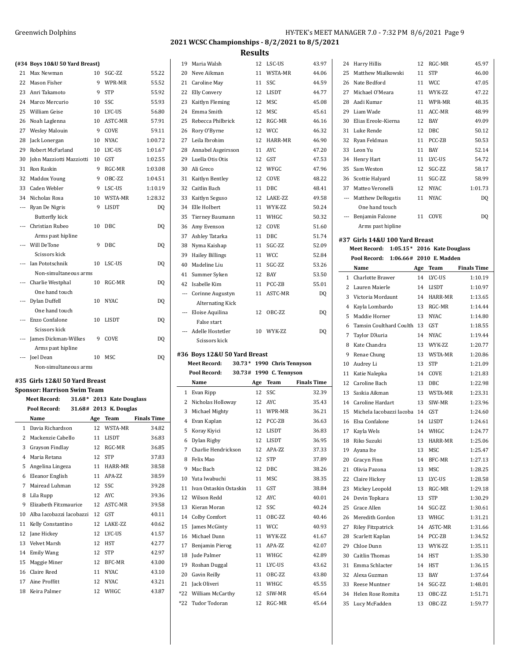Harry Hillis 12 RGC-MR 45.97

# **2021 WCSC Championships - 8/2/2021 to 8/5/2021**

|                | (#34 Boys 10&U 50 Yard Breast)     |    |                           |                    |    | 19 Maria Walsh                                 |
|----------------|------------------------------------|----|---------------------------|--------------------|----|------------------------------------------------|
|                | 21 Max Newman                      | 10 | SGC-ZZ                    | 55.22              | 20 | Neve Aikman                                    |
|                | 22 Mason Fisher                    | 9  | WPR-MR                    | 55.52              | 21 | Caroline May                                   |
|                | 23 Anri Takamoto                   | 9  | <b>STP</b>                | 55.92              | 22 | Elly Convery                                   |
|                | 24 Marco Mercurio                  | 10 | SSC                       | 55.93              | 23 | Kaitlyn Fleming                                |
|                | 25 William Geise                   | 10 | LYC-US                    | 56.80              | 24 | Emma Smith                                     |
|                | 26 Noah Laglenna                   | 10 | ASTC-MR                   | 57.91              | 25 | Rebecca Philbrick                              |
| 27             | <b>Wesley Malouin</b>              | 9  | COVE                      | 59.11              | 26 | Rory O'Byrne                                   |
| 28             | Jack Lonergan                      | 10 | <b>NYAC</b>               | 1:00.72            | 27 | Leila Ibrohim                                  |
| 29             | Robert McFarland                   | 10 | LYC-US                    | 1:01.67            | 28 | Annabel Asgeirsso                              |
| 30             | John Mazziotti Mazziotti           | 10 | GST                       | 1:02.55            | 29 | Luella Otis Otis                               |
| 31             | Ron Raskin                         | 9  | RGC-MR                    | 1:03.08            | 30 | Ali Greco                                      |
|                | 32 Maddox Young                    | 9  | OBC-ZZ                    | 1:04.51            | 31 | Kaitlyn Bentley                                |
|                | 33 Caden Webler                    | 9  | LSC-US                    | 1:10.19            |    | 32 Caitlin Bach                                |
|                | 34 Nicholas Rosa                   | 10 | WSTA-MR                   | 1:28.32            | 33 | Kaitlyn Seguso                                 |
| $\cdots$       | Ryan De Nigris                     | 9  | LISDT                     | DQ                 | 34 | Elle Holbert                                   |
|                | Butterfly kick                     |    |                           |                    | 35 | <b>Tierney Baumann</b>                         |
|                | --- Christian Rubeo                | 10 | DBC                       | DQ                 | 36 | Amy Evenson                                    |
|                | Arms past hipline                  |    |                           |                    | 37 | Ashley Tatarka                                 |
| $---$          | Will DeTone                        | 9  | DBC                       | DQ                 | 38 | Nyma Kaishap                                   |
|                | Scissors kick                      |    |                           |                    | 39 | <b>Hailey Billings</b>                         |
|                | Ian Pototschnik                    | 10 | LSC-US                    | DQ                 | 40 | Madeline Liu                                   |
|                | Non-simultaneous arms              |    |                           |                    | 41 | Summer Syken                                   |
| $---$          | Charlie Westphal                   | 10 | RGC-MR                    | DQ                 |    | 42 Isabelle Kim                                |
|                | One hand touch                     |    |                           |                    |    | --- Corinne Augustyn                           |
|                | Dylan Duffell                      | 10 | <b>NYAC</b>               | DQ                 |    | <b>Alternating Kick</b>                        |
|                | One hand touch                     |    |                           |                    |    | --- Eloise Aquilina                            |
| $\overline{a}$ | Enzo Confalone                     | 10 | LISDT                     | DQ                 |    | False start                                    |
|                | Scissors kick                      |    |                           |                    |    | --- Adelle Hostetler                           |
|                | James Dickman-Wilkes               | 9  | COVE                      | DQ                 |    | Scissors kick                                  |
|                | Arms past hipline                  |    |                           |                    |    |                                                |
|                | --- Joel Dean                      | 10 | MSC                       | DQ                 |    | #36 Boys 12&U 50 \<br><b>Meet Record:</b><br>3 |
|                | Non-simultaneous arms              |    |                           |                    |    | Pool Record:<br>3                              |
|                | #35 Girls 12&U 50 Yard Breast      |    |                           |                    |    | Name                                           |
|                | <b>Sponsor: Harrison Swim Team</b> |    |                           |                    |    | 1 Evan Ripp                                    |
|                | <b>Meet Record:</b>                |    | 31.68* 2013 Kate Douglass |                    | 2  | Nicholas Holloway                              |
|                | Pool Record:                       |    | 31.68# 2013 K. Douglas    |                    | 3  | Michael Mighty                                 |
|                | Name                               |    | Age Team                  | <b>Finals Time</b> |    | 4 Evan Kaplan                                  |
|                | 1 Davia Richardson                 |    | 12 WSTA-MR                | 34.82              | 5  | Koray Kiyici                                   |
|                | 2 Mackenzie Cabello                | 11 | LISDT                     | 36.83              |    | Dylan Rigby                                    |
| 3              |                                    |    |                           |                    | 6  |                                                |
|                | Grayson Findlay                    | 12 | RGC-MR                    | 36.85              | 7  | Charlie Hendricks                              |
|                | 4 Maria Retana                     | 12 | <b>STP</b>                | 37.83              | 8  | Felix Mao                                      |
|                | 5 Angelina Lingeza                 | 11 | HARR-MR                   | 38.58              | 9  | Mac Bach                                       |
|                | 6 Eleanor English                  | 11 | APA-ZZ                    | 38.59              | 10 | Yuta Iwabuchi                                  |
| 7              | Mairead Luhman                     | 12 | SSC                       | 39.28              | 11 | Ivan Ostaskin Osta                             |
| 8              | Lila Rupp                          | 12 | AYC                       | 39.36              | 12 | Wilson Redd                                    |
| 9              | Elizabeth Fitzmaurice              | 12 | ASTC-MR                   | 39.58              | 13 | Kieran Moran                                   |
| 10             | Alba Iacobazzi Iacobazzi           | 12 | GST                       | 40.11              | 14 | Colby Comfort                                  |
| 11             | Kelly Constantino                  | 12 | LAKE-ZZ                   | 40.62              | 15 | James McGinty                                  |
| 12             | Jane Hickey                        | 12 | LYC-US                    | 41.57              | 16 | Michael Dunn                                   |
| 13             | Velvet Marsh                       | 12 | HST                       | 42.77              | 17 | Benjamin Pierog                                |
| 14             | <b>Emily Wang</b>                  | 12 | STP                       | 42.97              | 18 | Jude Palmer                                    |
| 15             | Maggie Miner                       | 12 | BFC-MR                    | 43.00              | 19 | Roshan Duggal                                  |
| 16             | Claire Reed                        | 11 | <b>NYAC</b>               | 43.10              | 20 | Gavin Reilly                                   |
| 17             | Aine Proffitt                      | 12 | <b>NYAC</b>               | 43.21              |    | 21 Jack Oliveri                                |

| 19     | Maria Walsh                  | 12 | LSC-US                     | 43.97              |
|--------|------------------------------|----|----------------------------|--------------------|
| 20     | Neve Aikman                  | 11 | WSTA-MR                    | 44.06              |
| 21     | Caroline May                 | 11 | SSC.                       | 44.59              |
| 22     | Elly Convery                 | 12 | LISDT                      | 44.77              |
| 23     | Kaitlyn Fleming              | 12 | <b>MSC</b>                 | 45.08              |
| 24     | Emma Smith                   | 12 | MSC                        | 45.61              |
| 25     | Rebecca Philbrick            | 12 | RGC-MR                     | 46.16              |
| 26     | Rory O'Byrne                 | 12 | <b>WCC</b>                 | 46.32              |
| 27     | Leila Ibrohim                | 12 | HARR-MR                    | 46.90              |
| 28     | Annabel Asgeirsson           | 11 | <b>AYC</b>                 | 47.20              |
| 29     | Luella Otis Otis             | 12 | GST                        | 47.53              |
| 30     | Ali Greco                    | 12 | WFGC                       | 47.96              |
| 31     | Kaitlyn Bentley              | 12 | COVE                       | 48.22              |
| 32     | Caitlin Bach                 | 11 | DBC                        | 48.41              |
| 33     | Kaitlyn Seguso               | 12 | LAKE-ZZ                    | 49.58              |
| 34     | Elle Holbert                 | 11 | WYK-ZZ                     | 50.24              |
| 35     | Tierney Baumann              | 11 | WHGC                       | 50.32              |
| 36     | Amy Evenson                  | 12 | COVE                       | 51.60              |
| 37     | Ashley Tatarka               | 11 | <b>DBC</b>                 | 51.74              |
| 38     | Nyma Kaishap                 | 11 | SGC-ZZ                     | 52.09              |
| 39     | <b>Hailey Billings</b>       | 11 | <b>WCC</b>                 | 52.84              |
| 40     | Madeline Liu                 | 11 | SGC-ZZ                     | 53.26              |
| 41     | Summer Syken                 | 12 | <b>BAY</b>                 | 53.50              |
|        | 42 Isabelle Kim              | 11 | PCC-ZB                     | 55.01              |
| $\sim$ | Corinne Augustyn             | 11 | ASTC-MR                    | DQ                 |
|        | <b>Alternating Kick</b>      |    |                            |                    |
| $---$  | Eloise Aquilina              | 12 | OBC-ZZ                     | DQ                 |
|        | False start                  |    |                            |                    |
| $---$  | Adelle Hostetler             |    | 10 WYK-ZZ                  | DQ                 |
|        |                              |    |                            |                    |
|        | Scissors kick                |    |                            |                    |
|        |                              |    |                            |                    |
|        | #36 Boys 12&U 50 Yard Breast |    |                            |                    |
|        | <b>Meet Record:</b>          |    | 30.73* 1990 Chris Tennyson |                    |
|        | Pool Record:                 |    | 30.73# 1990 C. Tennyson    |                    |
|        | Name                         |    | Age Team                   | <b>Finals Time</b> |
|        | 1 Evan Ripp                  | 12 | SSC                        | 32.39              |
|        | 2 Nicholas Holloway          | 12 | AYC                        | 35.43              |
|        | 3 Michael Mighty             |    | 11 WPR-MR                  | 36.21              |
| 4      | Evan Kaplan                  | 12 | PCC-ZB                     | 36.63              |
|        | 5 Koray Kiyici               |    | 12 LISDT                   | 36.83              |
|        | 6 Dylan Rigby                |    | 12 LISDT                   | 36.95              |
|        | 7 Charlie Hendrickson        | 12 | APA-ZZ                     | 37.33              |
|        | 8 Felix Mao                  | 12 | <b>STP</b>                 | 37.89              |
| 9      | Mac Bach                     | 12 | DBC                        | 38.26              |
|        | 10 Yuta Iwabuchi             | 11 | MSC                        | 38.35              |
|        | 11 Ivan Ostaskin Ostaskin    | 11 | GST                        | 38.84              |
| 12     | Wilson Redd                  | 12 | AYC                        | 40.01              |
|        | 13 Kieran Moran              | 12 | SSC                        | 40.24              |
|        | 14 Colby Comfort             | 11 | OBC-ZZ                     | 40.46              |
|        | 15 James McGinty             | 11 | WCC                        | 40.93              |
|        | 16 Michael Dunn              | 11 | WYK-ZZ                     | 41.67              |
|        | 17 Benjamin Pierog           | 11 | APA-ZZ                     | 42.07              |
|        | 18 Jude Palmer               | 11 | WHGC                       | 42.89              |
|        | 19 Roshan Duggal             | 11 | LYC-US                     | 43.62              |
|        | 20 Gavin Reilly              | 11 | OBC-ZZ                     | 43.80              |
|        | 21 Jack Oliveri              |    | 11 WHGC                    | 45.55              |
|        | *22 William McCarthy         | 12 | SIW-MR                     | 45.64              |
|        | *22 Tudor Todoran            | 12 | RGC-MR                     | 45.64              |

| 25           | Matthew Mialkowski                       | 11 | <b>STP</b>  | 46.00              |
|--------------|------------------------------------------|----|-------------|--------------------|
|              | 26 Nate Bedford                          | 11 | <b>WCC</b>  | 47.05              |
|              | 27 Michael O'Meara                       | 11 | WYK-ZZ      | 47.22              |
|              | 28 Aadi Kumar                            | 11 | WPR-MR      | 48.35              |
|              | 29 Liam Wade                             |    | 11 ACC-MR   | 48.99              |
|              | 30 Elias Ereole-Kierna                   | 12 | <b>BAY</b>  | 49.09              |
|              | 31 Luke Rende                            | 12 | DBC         | 50.12              |
| 32           | Ryan Feldman                             | 11 | PCC-ZB      | 50.53              |
| 33           | Leon Yu                                  | 11 | BAY         | 52.14              |
|              | 34 Henry Hart                            |    | 11 LYC-US   | 54.72              |
| 35           | Sam Weston                               | 12 | SGC-ZZ      | 58.17              |
|              | 36 Scottie Halyard                       | 11 | SGC-ZZ      | 58.99              |
|              | 37 Matteo Veronelli                      |    | 12 NYAC     | 1:01.73            |
|              | --- Matthew DeRogatis                    | 11 | <b>NYAC</b> | DQ                 |
|              |                                          |    |             |                    |
|              | One hand touch                           |    |             |                    |
|              | --- Benjamin Falcone                     |    | 11 COVE     | DQ                 |
|              | Arms past hipline                        |    |             |                    |
|              | #37 Girls 14&U 100 Yard Breast           |    |             |                    |
|              | Meet Record: 1:05.15* 2016 Kate Douglass |    |             |                    |
|              | Pool Record: 1:06.66# 2010 E. Madden     |    |             |                    |
|              | Name                                     |    | Age Team    | <b>Finals Time</b> |
| $\mathbf{1}$ | Charlotte Brawer                         | 14 | LYC-US      | 1:10.19            |
|              | 2 Lauren Maierle                         |    | 14 LISDT    | 1:10.97            |
|              |                                          |    |             | 1:13.65            |
| 3            | Victoria Mordaunt                        |    | 14 HARR-MR  |                    |
|              | 4 Kayla Lombardo                         |    | 13 RGC-MR   | 1:14.44            |
| 5            | Maddie Horner                            |    | 13 NYAC     | 1:14.80            |
| 6            | Tamsin Coulthard Coulth 13 GST           |    |             | 1:18.55            |
| 7            | Taylor D'Auria                           | 14 | NYAC        | 1:19.44            |
| 8            | Kate Chandra                             | 13 | WYK-ZZ      | 1:20.77            |
| 9            | Renae Chung                              | 13 | WSTA-MR     | 1:20.86            |
|              | 10 Audrey Li                             | 13 | <b>STP</b>  | 1:21.09            |
| 11           | Katie Nalepka                            | 14 | COVE        | 1:21.83            |
|              | 12 Caroline Bach                         | 13 | DBC         | 1:22.98            |
| 13           | Saskia Aikman                            | 13 | WSTA-MR     | 1:23.31            |
|              | 14 Caroline Hardart                      | 13 | SIW-MR      | 1:23.96            |
| 15           | Michela Iacobazzi Iacoba 14 GST          |    |             | 1:24.60            |
|              | 16 Elsa Confalone                        |    | 14 LISDT    | 1:24.61            |
|              | 17 Kayla Wels                            | 14 | WHGC        | 1:24.77            |
|              | 18 Riko Suzuki                           |    | 13 HARR-MR  | 1:25.06            |
| 19           | Ayana Ite                                | 13 | MSC         | 1:25.47            |
|              | 20 Gracyn Finn                           | 14 | BFC-MR      | 1:27.13            |
| 21           | Olivia Pazona                            | 13 | MSC         | 1:28.25            |
| 22           | Claire Hickey                            | 13 | LYC-US      | 1:28.58            |
| 23           | Mickey Leopold                           | 13 | RGC-MR      | 1:29.18            |
| 24           | Devin Topkara                            | 13 | <b>STP</b>  | 1:30.29            |
| 25           | Grace Allen                              | 14 | SGC-ZZ      | 1:30.61            |
| 26           | Meredith Gordon                          | 13 | WHGC        | 1:31.21            |
|              |                                          |    |             |                    |
| 27           | <b>Riley Fitzpatrick</b>                 | 14 | ASTC-MR     | 1:31.66            |
| 28           | Scarlett Kaplan                          | 14 | PCC-ZB      | 1:34.52            |
|              | 29 Chloe Dunn                            | 13 | WYK-ZZ      | 1:35.11            |
|              | 30 Caitlin Thomas                        | 14 | <b>HST</b>  | 1:35.30            |
| 31           | Emma Schlacter                           | 14 | <b>HST</b>  | 1:36.15            |
| 32           | Alexa Guzman                             | 13 | BAY         | 1:37.64            |
| 33           | Reese Muntner                            | 14 | SGC-ZZ      | 1:48.01            |
|              | 34 Helen Rose Romita                     | 13 | OBC-ZZ      | 1:51.71            |
| 35           | Lucy McFadden                            | 13 | OBC-ZZ      | 1:59.77            |
|              |                                          |    |             |                    |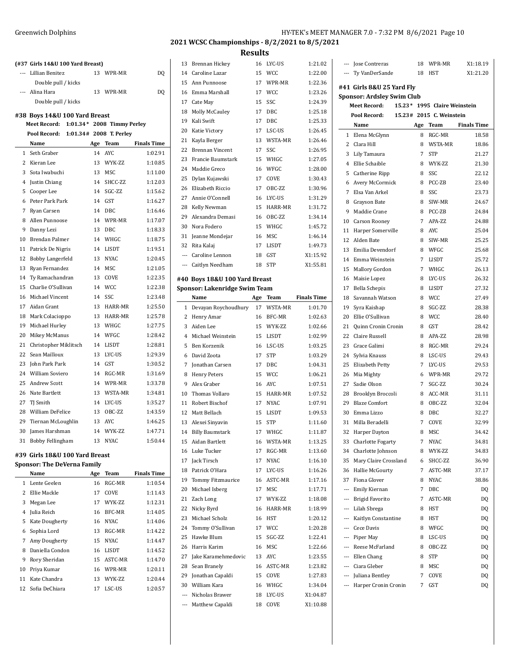|                 | (#37 Girls 14&U 100 Yard Breast) |     |                            |                    |
|-----------------|----------------------------------|-----|----------------------------|--------------------|
|                 | --- Lillian Benitez              | 13  | WPR-MR                     | DQ                 |
|                 | Double pull / kicks              |     |                            |                    |
| $---$           | Alina Hara                       | 13  | WPR-MR                     | DQ                 |
|                 | Double pull / kicks              |     |                            |                    |
|                 | #38 Boys 14&U 100 Yard Breast    |     |                            |                    |
|                 | <b>Meet Record:</b>              |     | 1:01.34* 2008 Timmy Perley |                    |
|                 | Pool Record:                     |     | 1:01.34# 2008 T. Perley    |                    |
|                 | Name                             | Age | <b>Team</b>                | <b>Finals Time</b> |
| $\mathbf{1}$    | Seth Graber                      | 14  | AYC.                       | 1:02.91            |
| 2               | Kieran Lee                       | 13  | <b>WYK-7.7</b>             | 1:10.85            |
| 3               | Sota Iwabuchi                    | 13  | MSC                        | 1:11.00            |
| $\overline{4}$  | Justin Chiang                    | 14  | SHCC-ZZ                    | 1:12.03            |
| 5               | Cooper Lee                       | 14  | SGC-ZZ                     | 1:15.62            |
| 6               | Peter Park Park                  | 14  | <b>GST</b>                 | 1:16.27            |
| 7               | Ryan Carsen                      | 14  | <b>DBC</b>                 | 1:16.46            |
| 8               | Allen Punnoose                   | 14  | WPR-MR                     | 1:17.07            |
| 9               | Danny Lezi                       | 13  | DBC                        | 1:18.33            |
| 10 <sup>1</sup> | Brendan Palmer                   | 14  | WHGC                       | 1:18.75            |
| 11              | Patrick De Nigris                | 14  | <b>LISDT</b>               | 1:19.51            |
| 12              | Bobby Langerfeld                 | 13  | <b>NYAC</b>                | 1:20.45            |
| 13              | Ryan Fernandez                   | 14  | <b>MSC</b>                 | 1:21.05            |
| 14              | Ty Ramachandran                  | 13  | COVE                       | 1:22.35            |
| 15              | Charlie O'Sullivan               | 14  | <b>WCC</b>                 | 1:22.38            |
| 16              | Michael Vincent                  | 14  | SSC                        | 1:23.48            |
| 17              | Aidan Grant                      | 13  | HARR-MR                    | 1:25.50            |
| 18              | Mark Colacioppo                  | 13  | HARR-MR                    | 1:25.78            |
| 19              | Michael Hurley                   | 13  | WHGC                       | 1:27.75            |
| 20              | Mikey McManus                    | 14  | WFGC                       | 1:28.42            |
| 21              | Christopher Miklitsch            | 14  | LISDT                      | 1:28.81            |
| 22              | Sean Mailloux                    | 13  | LYC-US                     | 1:29.39            |
| 23              | John Park Park                   | 14  | GST                        | 1:30.52            |
| 24              | <b>William Soviero</b>           | 14  | RGC-MR                     | 1:31.69            |
| 25              | <b>Andrew Scott</b>              | 14  | WPR-MR                     | 1:33.78            |
| 26              | Nate Bartlett                    | 13  | WSTA-MR                    | 1:34.81            |
| 27              | TJ Smith                         | 14  | LYC-US                     | 1:35.27            |
| 28              | <b>William DeFelice</b>          | 13  | OBC-ZZ                     | 1:43.59            |
| 29              | Tiernan McLoughlin               |     | 13 AYC                     | 1:46.25            |
| 30              | James Harshman                   | 14  | WYK-ZZ                     | 1:47.71            |
| 31              | Bobby Fellingham                 | 13  | <b>NYAC</b>                | 1:50.44            |

#### **#39 Girls 18&U 100 Yard Breast Sponsor: The DeVerna Family**

 $\overline{a}$ 

|                | Name            | Age | Team           | <b>Finals Time</b> |
|----------------|-----------------|-----|----------------|--------------------|
| 1              | Lente Geelen    | 16  | RGC-MR         | 1:10.54            |
| $\mathfrak{D}$ | Ellie Mackle    | 17  | <b>COVE</b>    | 1:11.43            |
| 3              | Megan Lee       | 17  | <b>WYK-7.7</b> | 1:12.31            |
| 4              | Julia Reich     | 16  | BFC-MR         | 1:14.05            |
| 5              | Kate Dougherty  | 16  | NYAC.          | 1:14.06            |
| 6              | Sophia Lord     | 13  | RGC-MR         | 1:14.22            |
| 7              | Amy Dougherty   | 15  | NYAC.          | 1:14.47            |
| 8              | Daniella Condon | 16  | LISDT          | 1:14.52            |
| 9              | Rory Sheridan   | 15  | ASTC-MR        | 1:14.70            |
| 10             | Priya Kumar     | 16  | WPR-MR         | 1:20.11            |
| 11             | Kate Chandra    | 13  | <b>WYK-7.7</b> | 1:20.44            |
| 12             | Sofia DeChiara  | 17  | LSC-US         | 1:20.57            |

# **2021 WCSC Championships - 8/2/2021 to 8/5/2021**

| 13     | Brennan Hickey                                                        | 16  | LYC-US       | 1:21.02            |
|--------|-----------------------------------------------------------------------|-----|--------------|--------------------|
| 14     | Caroline Lazar                                                        | 15  | <b>WCC</b>   | 1:22.00            |
| 15     | Ann Punnoose                                                          | 17  | WPR-MR       | 1:22.36            |
| 16     | Emma Marshall                                                         | 17  | <b>WCC</b>   | 1:23.26            |
| 17     | Cate May                                                              | 15  | SSC          | 1:24.39            |
| 18     | <b>Molly McCauley</b>                                                 | 17  | DBC          | 1:25.18            |
| 19     | Kali Swift                                                            | 17  | DBC          | 1:25.33            |
| 20     | Katie Victory                                                         | 17  | LSC-US       | 1:26.45            |
| 21     | Kayla Berger                                                          | 13  | WSTA-MR      | 1:26.46            |
| 22     | <b>Brennan Vincent</b>                                                | 17  | SSC          | 1:26.95            |
|        |                                                                       |     |              |                    |
| 23     | Francie Baumstark                                                     | 15  | WHGC         | 1:27.05            |
| 24     | Maddie Greco                                                          | 16  | WFGC         | 1:28.00            |
| 25     | Dylan Kujawski                                                        | 17  | COVE         | 1:30.43            |
| 26     | Elizabeth Riccio                                                      | 17  | OBC-ZZ       | 1:30.96            |
| 27     | Annie O'Connell                                                       | 16  | LYC-US       | 1:31.29            |
| 28     | Kelly Newman                                                          | 15  | HARR-MR      | 1:31.72            |
| 29     | Alexandra Demasi                                                      | 16  | OBC-ZZ       | 1:34.14            |
| 30     | Nora Fodero                                                           | 15  | WHGC         | 1:45.72            |
| 31     | Jeanne Mondejar                                                       | 16  | <b>MSC</b>   | 1:46.14            |
| 32     | Rita Kalaj                                                            | 17  | <b>LISDT</b> | 1:49.73            |
| $\sim$ | Caroline Lennon                                                       | 18  | GST          | X1:15.92           |
| $---$  | Caitlyn Needham                                                       | 18  | <b>STP</b>   | X1:55.81           |
|        |                                                                       |     |              |                    |
|        | #40 Boys 18&U 100 Yard Breast<br><b>Sponsor: Lakenridge Swim Team</b> |     |              |                    |
|        | Name                                                                  | Age | Team         | <b>Finals Time</b> |
|        |                                                                       |     |              |                    |
| 1      | Devayan Roychoudhury                                                  |     | 17 WSTA-MR   | 1:01.70            |
| 2      | Henry Amar                                                            | 16  | BFC-MR       | 1:02.63            |
| 3      | Aiden Lee                                                             | 15  | WYK-ZZ       | 1:02.66            |
|        |                                                                       |     |              |                    |
| 4      | Michael Weinstein                                                     | 15  | LISDT        | 1:02.99            |
| 5      | Ben Korzenik                                                          | 16  | LSC-US       | 1:03.25            |
| 6      | David Zoota                                                           | 17  | <b>STP</b>   | 1:03.29            |
| 7      | Jonathan Carsen                                                       | 17  | DBC          | 1:04.31            |
| 8      | <b>Henry Peters</b>                                                   | 15  | <b>WCC</b>   | 1:06.21            |
| 9      | Alex Graber                                                           | 16  | <b>AYC</b>   | 1:07.51            |
| 10     | Thomas Vollaro                                                        | 15  | HARR-MR      | 1:07.52            |
| 11     | Robert Bischof                                                        | 17  | <b>NYAC</b>  | 1:07.91            |
| 12     | Matt Bellach                                                          | 15  | LISDT        | 1:09.53            |
| 13     | Alexei Sinyavin                                                       | 15  | <b>STP</b>   | 1:11.60            |
|        | 14 Billy Baumstark                                                    |     | 17 WHGC      | 1:11.87            |
| 15     | Aidan Bartlett                                                        |     | 16 WSTA-MR   | 1:13.25            |
|        | 16 Luke Tucker                                                        |     | 17 RGC-MR    | 1:13.60            |
|        | 17 Jack Tirsch                                                        |     | 17 NYAC      | 1:16.10            |
| 18     | Patrick O'Hara                                                        |     | 17 LYC-US    | 1:16.26            |
| 19     | Tommy Fitzmaurice                                                     |     | 16 ASTC-MR   | 1:17.16            |
| 20     | Michael Isberg                                                        |     | 17 MSC       | 1:17.71            |
| 21     | Zach Long                                                             | 17  | WYK-ZZ       | 1:18.08            |
| 22     | Nicky Byrd                                                            | 16  | HARR-MR      | 1:18.99            |
| 23     | Michael Scholz                                                        | 16  | <b>HST</b>   | 1:20.12            |
| 24     | Tommy O'Sullivan                                                      | 17  | <b>WCC</b>   | 1:20.28            |
| 25     | Hawke Blum                                                            | 15  | SGC-ZZ       | 1:22.41            |
| 26     | Harris Karim                                                          | 16  | MSC          | 1:22.66            |
| 27     | Jake Karamehmedovic                                                   | 13  | AYC          | 1:23.55            |
| 28     | Sean Branely                                                          | 16  | ASTC-MR      | 1:23.82            |
| 29     | Jonathan Capaldi                                                      | 15  | COVE         | 1:27.83            |
| 30     | William Kara                                                          | 16  | WHGC         | 1:34.04            |
|        | --- Nicholas Brawer                                                   | 18  | LYC-US       | X1:04.87           |

|                          | --- Jose Contreras                                             |  | 18  | WPR-MR                       | X1:18.19           |  |  |  |
|--------------------------|----------------------------------------------------------------|--|-----|------------------------------|--------------------|--|--|--|
|                          | --- Ty VanDerSande                                             |  | 18  | <b>HST</b>                   | X1:21.20           |  |  |  |
|                          | #41 Girls 8&U 25 Yard Fly<br><b>Sponsor: Ardsley Swim Club</b> |  |     |                              |                    |  |  |  |
|                          | Meet Record:                                                   |  |     | 15.23* 1995 Claire Weinstein |                    |  |  |  |
|                          | Pool Record:                                                   |  |     | 15.23# 2015 C. Weinstein     |                    |  |  |  |
|                          | Name                                                           |  | Age | Team                         | <b>Finals Time</b> |  |  |  |
|                          | 1 Elena McGlynn                                                |  | 8   | RGC-MR                       | 18.58              |  |  |  |
|                          | 2 Clara Hill                                                   |  | 8   | WSTA-MR                      | 18.86              |  |  |  |
| 3                        | Lily Tamaura                                                   |  | 7   | <b>STP</b>                   | 21.27              |  |  |  |
| 4                        | Ellie Schaible                                                 |  | 8   | WYK-ZZ                       | 21.30              |  |  |  |
| 5                        | Catherine Ripp                                                 |  | 8   | SSC                          | 22.12              |  |  |  |
| 6                        | Avery McCormick                                                |  | 8   | PCC-ZB                       | 23.40              |  |  |  |
| 7                        | Elsa Van Arkel                                                 |  | 8   | SSC                          | 23.73              |  |  |  |
| 8                        | Grayson Bate                                                   |  | 8   | SIW-MR                       | 24.67              |  |  |  |
| 9                        | Maddie Crane                                                   |  | 8   | PCC-ZB                       | 24.84              |  |  |  |
|                          | 10 Carson Rooney                                               |  | 7   | APA-ZZ                       | 24.88              |  |  |  |
| 11                       | Harper Somerville                                              |  | 8   | <b>AYC</b>                   | 25.04              |  |  |  |
| 12                       | Alden Bate                                                     |  | 8   | SIW-MR                       | 25.25              |  |  |  |
| 13                       | Emilia Devendorf                                               |  | 8   | WFGC                         | 25.68              |  |  |  |
| 14                       | Emma Weinstein                                                 |  | 7   | <b>LISDT</b>                 | 25.72              |  |  |  |
| 15                       | Mallory Gordon                                                 |  | 7   | WHGC                         | 26.13              |  |  |  |
| 16                       | Maisie Lopez                                                   |  | 8   | LYC-US                       | 26.32              |  |  |  |
| 17                       | <b>Bella Schepis</b>                                           |  | 8   | <b>LISDT</b>                 | 27.32              |  |  |  |
| 18                       | Savannah Watson                                                |  | 8   | <b>WCC</b>                   | 27.49              |  |  |  |
| 19                       | Syra Kaishap                                                   |  | 8   | SGC-ZZ                       | 28.38              |  |  |  |
| 20                       | Ellie O'Sullivan                                               |  | 8   | <b>WCC</b>                   | 28.40              |  |  |  |
| 21                       | Quinn Cronin Cronin                                            |  | 8   | GST                          | 28.42              |  |  |  |
| 22                       | Claire Russell                                                 |  | 8   | APA-ZZ                       | 28.98              |  |  |  |
| 23                       | Grace Galimi                                                   |  | 8   | RGC-MR                       | 29.24              |  |  |  |
| 24                       | Sylvia Knauss                                                  |  | 8   | LSC-US                       | 29.43              |  |  |  |
| 25                       | Elizabeth Petty                                                |  | 7   | LYC-US                       | 29.53              |  |  |  |
| 26                       | Mia Mighty                                                     |  | 6   | WPR-MR                       | 29.72              |  |  |  |
| 27                       | Sadie Olson                                                    |  | 7   | SGC-ZZ                       | 30.24              |  |  |  |
| 28                       | Brooklyn Broccoli                                              |  | 8   | ACC-MR                       | 31.11              |  |  |  |
| 29                       | <b>Blaze Comfort</b>                                           |  | 8   | OBC-ZZ                       | 32.04              |  |  |  |
| 30                       | Emma Lizzo                                                     |  | 8   | <b>DBC</b>                   | 32.27              |  |  |  |
| 31                       | Milla Beradelli                                                |  | 7   | COVE                         | 32.99              |  |  |  |
|                          | 32 Harper Dayton                                               |  | 8   | MSC                          | 34.42              |  |  |  |
|                          | 33 Charlotte Fogarty                                           |  | 7   | NYAC                         | 34.81              |  |  |  |
|                          | 34 Charlotte Johnson                                           |  | 8   | WYK-ZZ                       | 34.83              |  |  |  |
| 35                       | Mary Claire Crossland                                          |  | 6   | SHCC-ZZ                      | 36.90              |  |  |  |
| 36                       | Hallie McGourty                                                |  | 7   | ASTC-MR                      | 37.17              |  |  |  |
| 37                       | Fiona Glover                                                   |  | 8   | <b>NYAC</b>                  | 38.86              |  |  |  |
|                          | --- Emily Kiernan                                              |  | 7   | DBC                          | DO                 |  |  |  |
| $\overline{\phantom{a}}$ | Brigid Favorito                                                |  | 7   | ASTC-MR                      | DQ                 |  |  |  |
|                          | --- Lilah Sbrega                                               |  | 8   | HST                          | DQ                 |  |  |  |
| ---                      | Kaitlyn Constantine                                            |  | 8   | HST                          | DQ                 |  |  |  |
|                          | --- Cece Davis                                                 |  | 8   | WFGC                         | DQ                 |  |  |  |
|                          |                                                                |  | 8   | LSC-US                       |                    |  |  |  |
|                          | --- Piper May<br>--- Reese McFarland                           |  | 8   | OBC-ZZ                       | DQ                 |  |  |  |
|                          | --- Ellen Chang                                                |  | 8   | STP                          | DQ                 |  |  |  |
|                          | --- Ciara Gleber                                               |  |     |                              | DQ                 |  |  |  |
|                          |                                                                |  | 8   | MSC                          | DQ                 |  |  |  |
|                          | --- Juliana Bentley                                            |  | 7   | COVE                         | DQ                 |  |  |  |
| $\overline{\phantom{a}}$ | Harper Cronin Cronin                                           |  | 7   | GST                          | DQ                 |  |  |  |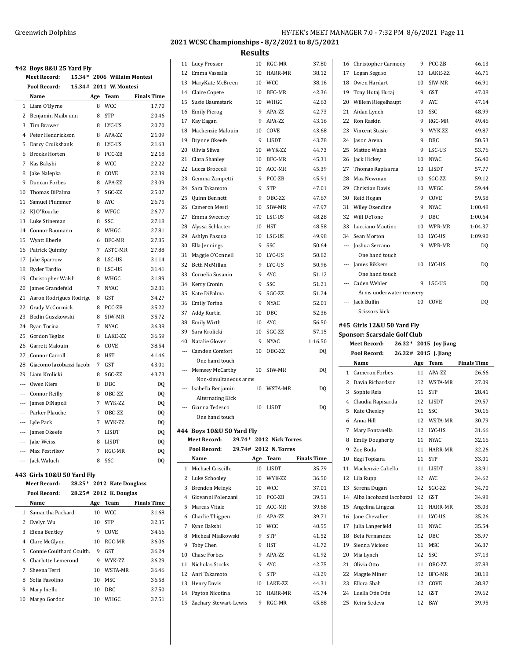|                          | #42 Boys 8&U 25 Yard Fly |                |                             |                    |
|--------------------------|--------------------------|----------------|-----------------------------|--------------------|
|                          | Meet Record:             |                | 15.34* 2006 Willaim Montesi |                    |
|                          | Pool Record:             |                | 15.34# 2011 W. Montesi      |                    |
|                          | Name                     | Age            | <b>Team</b>                 | <b>Finals Time</b> |
| $\mathbf{1}$             | Liam O'Byrne             | 8              | <b>WCC</b>                  | 17.70              |
| 2                        | Benjamin Maibrunn        | 8              | <b>STP</b>                  | 20.46              |
| 3                        | Tim Brawer               | 8              | LYC-US                      | 20.70              |
| 4                        | Peter Hendrickson        | 8              | APA-ZZ                      | 21.09              |
| 5                        | Darcy Cruikshank         | 8              | LYC-US                      | 21.63              |
| 6                        | <b>Brooks Horten</b>     | 8              | PCC-ZB                      | 22.18              |
| $\overline{7}$           | Kas Bakshi               | 8              | <b>WCC</b>                  | 22.22              |
| 8                        | Jake Nalepka             | 8              | COVE                        | 22.39              |
| 9                        | Duncan Forbes            | 8              | APA-ZZ                      | 23.09              |
| 10                       | Thomas DiPalma           | 7              | SGC-ZZ                      | 25.07              |
| 11                       | Samuel Plummer           | 8              | <b>AYC</b>                  | 26.75              |
| 12                       | KJ O'Rourke              | 8              | WFGC                        | 26.77              |
| 13                       | Luke Stineman            | 8              | SSC                         | 27.18              |
| 14                       | Connor Baumann           | 8              | WHGC                        | 27.81              |
| 15                       | <b>Wyatt Eberle</b>      | 6              | BFC-MR                      | 27.85              |
| 16                       | Patrick Quimby           | $\overline{7}$ | ASTC-MR                     | 27.88              |
| 17                       | Jake Sparrow             | 8              | LSC-US                      | 31.14              |
| 18                       | Ryder Tardio             | 8              | LSC-US                      | 31.41              |
| 19                       | Christopher Walsh        | 8              | WHGC                        | 31.89              |
| 20                       | James Grandefeld         | $\overline{7}$ | <b>NYAC</b>                 | 32.81              |
| 21                       | Aaron Rodrigues Rodrigu  | 8              | <b>GST</b>                  | 34.27              |
| 22                       | Grady McCormick          | 8              | PCC-ZB                      | 35.22              |
| 23                       | Bodin Guszkowski         | 8              | SIW-MR                      | 35.72              |
| 24                       | Ryan Torina              | 7              | <b>NYAC</b>                 | 36.38              |
| 25                       | Gordon Teglas            | 8              | LAKE-ZZ                     | 36.59              |
| 26                       | Garrett Malouin          | 6              | COVE                        | 38.54              |
| 27                       | <b>Connor Carroll</b>    | 8              | HST                         | 41.46              |
| 28                       | Giacomo Iacobazzi Iacoba | 7              | <b>GST</b>                  | 43.01              |
| 29                       | Liam Krolicki            | 8              | SGC-ZZ                      | 43.73              |
| $\overline{\phantom{a}}$ | Owen Kiers               | 8              | DBC                         | DQ                 |
|                          | --- Connor Reilly        | 8              | OBC-ZZ                      | DQ                 |
| $\overline{\phantom{a}}$ | James DiNapoli           | 7              | WYK-ZZ                      | DQ                 |
|                          | --- Parker Plauche       | 7              | OBC-ZZ                      | DQ                 |
|                          | --- Lyle Park            | $\overline{7}$ | WYK-ZZ                      | DQ                 |
|                          | --- James Okeefe         | $\overline{7}$ | <b>LISDT</b>                | DQ                 |
|                          | --- Jake Weiss           | 8              | <b>LISDT</b>                | DQ                 |
| $\overline{a}$           | Max Pestrikov            | $\overline{7}$ | RGC-MR                      | DQ                 |
|                          | --- Jack Waluch          | 8              | SSC                         | DQ                 |
|                          |                          |                |                             |                    |

### **#43 Girls 10&U 50 Yard Fly**

# **Meet Record: 28.25\* 2012 Kate Douglass Pool Record: 28.25# 2012 K. Douglas Name Age Team Finals Time** Samantha Packard 10 WCC 31.68 Evelyn Wu 10 STP 32.35 3 Elena Bentley 9 COVE 34.66

| 4 Clare McGlynn            | 10 | RGC-MR   | 36.06 |
|----------------------------|----|----------|-------|
| 5 Connie Coulthard Coulth: | 9  | GST      | 36.24 |
| 6 Charlotte Lemerond       | 9  | WYK-7.7. | 36.29 |
| 7 Sheena Terri             | 10 | WSTA-MR  | 36.46 |
| 8 Sofia Fasolino           | 10 | MSC.     | 36.58 |
| 9 Mary Inello              | 10 | DBC.     | 37.50 |
| 10 Margo Gordon            | 10 | WHGC     | 37.51 |

# **2021 WCSC Championships - 8/2/2021 to 8/5/2021**

**Results**

|                | 11 Lucy Prosser                                | 10      | RGC-MR                  | 37.80              |    | 16 Christopher Carmody                 | 9   | PCC-ZB                 | 46.13              |
|----------------|------------------------------------------------|---------|-------------------------|--------------------|----|----------------------------------------|-----|------------------------|--------------------|
| 12             | Emma Vassalla                                  | 10      | HARR-MR                 | 38.12              | 17 | Logan Seguso                           | 10  | LAKE-ZZ                | 46.71              |
| 13             | MaryKate McBreen                               | 10      | <b>WCC</b>              | 38.16              | 18 | Owen Hardart                           | 10  | SIW-MR                 | 46.91              |
| 14             | Claire Copete                                  | 10      | BFC-MR                  | 42.36              | 19 | Tony Hutaj Hutaj                       | 9   | GST                    | 47.08              |
| 15             | Susie Baumstark                                | 10      | WHGC                    | 42.63              | 20 | Willem Riegelhaupt                     | 9   | AYC                    | 47.14              |
| 16             | <b>Emily Pierog</b>                            | 9       | APA-ZZ                  | 42.73              | 21 | Aidan Lynch                            | 10  | SSC                    | 48.99              |
| 17             | Kay Eagan                                      | 9       | APA-ZZ                  | 43.16              | 22 | Ron Raskin                             | 9   | RGC-MR                 | 49.46              |
| 18             | Mackenzie Malouin                              | 10      | COVE                    | 43.68              | 23 | Vincent Stasio                         | 9   | WYK-ZZ                 | 49.87              |
| 19             | Brynne Okeefe                                  | 9       | LISDT                   | 43.78              | 24 | Jason Arena                            | 9   | DBC                    | 50.53              |
| 20             | Olivia Sliwa                                   | 10      | WYK-ZZ                  | 44.73              | 25 | Matteo Walsh                           | 9   | LSC-US                 | 53.76              |
| 21             | Clara Shanley                                  | 10      | BFC-MR                  | 45.31              | 26 | Jack Hickey                            | 10  | NYAC                   | 56.40              |
| 22             | Lucca Broccoli                                 | 10      | ACC-MR                  | 45.39              | 27 | Thomas Rapisarda                       | 10  | LISDT                  | 57.77              |
| 23             | Gemma Zampetti                                 | 9       | PCC-ZB                  | 45.91              | 28 | Max Newman                             | 10  | SGC-ZZ                 | 59.12              |
| 24             | Sara Takamoto                                  | 9       | <b>STP</b>              | 47.01              | 29 | Christian Davis                        | 10  | WFGC                   | 59.44              |
| 25             | Quinn Bennett                                  | 9       | OBC-ZZ                  | 47.67              | 30 | Reid Hogan                             | 9   | COVE                   | 59.58              |
| 26             | <b>Cameron Mestl</b>                           | 10      | SIW-MR                  | 47.97              | 31 | Wiley Oxendine                         | 9   | <b>NYAC</b>            | 1:00.48            |
| 27             | Emma Sweeney                                   | 10      | LSC-US                  | 48.28              | 32 | Will DeTone                            | 9   | DBC                    | 1:00.64            |
| 28             | Alyssa Schlacter                               | 10      | HST                     | 48.58              | 33 | Lucciano Mautino                       | 10  | WPR-MR                 | 1:04.37            |
| 29             | Ashlyn Pasqua                                  | 10      | LSC-US                  | 49.98              | 34 | Sean Morton                            | 10  | LYC-US                 | 1:09.90            |
| 30             | Ella Jennings                                  | 9       | SSC                     | 50.64              |    | --- Joshua Serrano                     | 9   | WPR-MR                 | DQ                 |
| 31             | Maggie O'Connell                               | 10      | LYC-US                  | 50.82              |    | One hand touch                         |     |                        |                    |
| 32             | Beth McMillan                                  | 9       | LYC-US                  | 50.96              |    | --- James Rikkers                      | 10  | LYC-US                 | DQ                 |
| 33             | Cornelia Susanin                               | 9       | AYC                     | 51.12              |    | One hand touch                         |     |                        |                    |
| 34             | Kerry Cronin                                   | 9       | SSC                     | 51.21              |    | --- Caden Webler                       | 9   | LSC-US                 | DQ                 |
| 35             | Kate DiPalma                                   | 9       | SGC-ZZ                  | 51.24              |    | Arms underwater recovery               |     |                        |                    |
| 36             | <b>Emily Torina</b>                            | 9       | <b>NYAC</b>             | 52.01              |    | --- Jack Bulfin                        | 10  | COVE                   | DQ                 |
| 37             | Addy Kurtin                                    | 10      | DBC                     | 52.36              |    | Scissors kick                          |     |                        |                    |
| 38             | <b>Emily Wirth</b>                             | 10      | <b>AYC</b>              | 56.50              |    | #45 Girls 12&U 50 Yard Fly             |     |                        |                    |
|                |                                                |         |                         |                    |    |                                        |     |                        |                    |
| 39             | Sara Krolicki                                  | 10      | SGC-ZZ                  | 57.15              |    | Sponsor: Scarsdale Golf Club           |     |                        |                    |
| 40             | Natalie Glover                                 | 9       | <b>NYAC</b>             | 1:16.50            |    | Meet Record:                           |     | 26.32 * 2015 Joy Jiang |                    |
| $\overline{a}$ | Camden Comfort                                 | 10      | OBC-ZZ                  | DQ                 |    | Pool Record:                           |     | 26.32# 2015 J. Jiang   |                    |
|                | One hand touch                                 |         |                         |                    |    | Name                                   | Age | <b>Team</b>            | <b>Finals Time</b> |
|                | --- Memsey McCarthy                            | 10      | SIW-MR                  | DQ                 |    | 1 Cameron Forbes                       | 11  | APA-ZZ                 | 26.66              |
|                | Non-simultaneous arms                          |         |                         |                    | 2  | Davia Richardson                       | 12  | WSTA-MR                | 27.09              |
| $---$          | Isabella Benjamin                              | 10      | WSTA-MR                 | DQ                 | 3  | Sophie Reis                            | 11  | <b>STP</b>             | 28.41              |
|                | <b>Alternating Kick</b>                        |         |                         |                    | 4  | Claudia Rapisarda                      | 12  | LISDT                  | 29.57              |
|                | --- Gianna Tedesco                             | 10      | LISDT                   | DQ                 | 5  | Kate Chesley                           | 11  | <b>SSC</b>             | 30.16              |
|                | One hand touch                                 |         |                         |                    | 6  | Anna Hill                              | 12  | WSTA-MR                | 30.79              |
|                | #44 Boys 10&U 50 Yard Fly                      |         |                         |                    | 7  | Mary Fontanella                        | 12  | LYC-US                 | 31.66              |
|                | Meet Record:                                   |         | 29.74* 2012 Nick Torres |                    |    | 8 Emily Dougherty                      |     | 11 NYAC                | 32.16              |
|                | Pool Record:                                   |         | 29.74# 2012 N. Torres   |                    | 9  | Zoe Boda                               |     | 11 HARR-MR             | 32.26              |
|                | Name                                           |         | Age Team                | <b>Finals Time</b> | 10 | Ezgi Topkara                           | 11  | <b>STP</b>             | 33.01              |
|                | 1 Michael Criscillo                            | 10      | LISDT                   | 35.79              | 11 | Mackenzie Cabello                      |     | 11 LISDT               | 33.91              |
|                | 2 Luke Schooley                                | 10      | WYK-ZZ                  | 36.50              |    | 12 Lila Rupp                           |     | 12 AYC                 | 34.62              |
|                | 3 Brenden Melnyk                               | 10      | <b>WCC</b>              | 37.01              | 13 | Serena Dugan                           | 12  | SGC-ZZ                 | 34.70              |
| 4              | Giovanni Polenzani                             | 10      | PCC-ZB                  | 39.51              | 14 | Alba Iacobazzi Iacobazzi               | 12  | GST                    | 34.98              |
| 5              | Marcus Vitale                                  | 10      | ACC-MR                  | 39.68              | 15 | Angelina Lingeza                       | 11  | HARR-MR                | 35.03              |
| 6              | Charlie Thigpen                                | 10      | APA-ZZ                  | 39.71              |    | 16 Jane Chevalier                      | 11  | LYC-US                 | 35.26              |
|                | 7 Kyan Bakshi                                  | 10      | <b>WCC</b>              | 40.55              | 17 | Julia Langerfeld                       | 11  | <b>NYAC</b>            | 35.54              |
| 8              | Micheal Mialkowski                             | 9       | <b>STP</b>              | 41.52              | 18 | Bela Fernandez                         | 12  | DBC                    | 35.97              |
| 9              | Toby Chen                                      | 9       | HST                     | 41.72              | 19 | Sienna Vicioso                         | 11  | MSC                    | 36.87              |
| 10             | Chase Forbes                                   | 9       | APA-ZZ                  | 41.92              | 20 | Mia Lynch                              | 12  | SSC                    | 37.13              |
|                | 11 Nicholas Stocks                             | 9       | AYC                     | 42.75              | 21 | Olivia Otto                            | 11  | OBC-ZZ                 | 37.83              |
|                | 12 Anri Takamoto                               | 9       | <b>STP</b>              | 43.29              | 22 | Maggie Miner                           |     | 12 BFC-MR              | 38.18              |
|                | 13 Henry Davis                                 | 10      | LAKE-ZZ                 | 44.31              |    | 23 Ellora Shah                         | 12  | COVE                   | 38.87              |
|                | 14 Payton Nicotina<br>15 Zachary Stewart-Lewis | 10<br>9 | HARR-MR<br>RGC-MR       | 45.74<br>45.88     |    | 24 Luella Otis Otis<br>25 Keira Sedeva | 12  | GST<br>12 BAY          | 39.62<br>39.95     |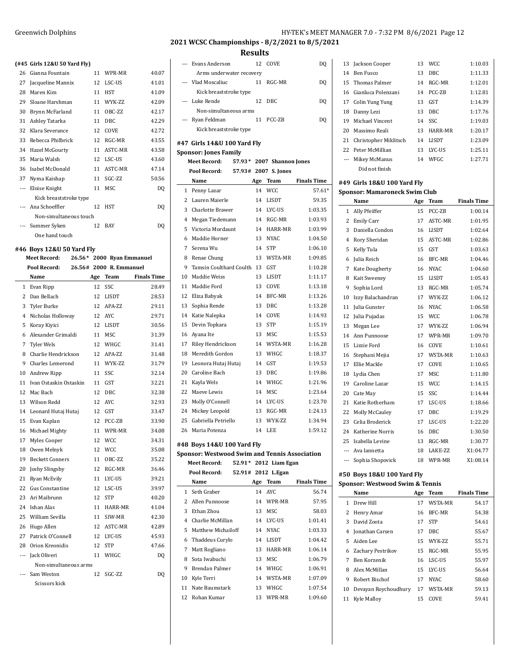# **(#45 Girls 12&U 50 Yard Fly)**

|                | #45 GILB 14&0 50 IaIU FIVI |    |             |       |
|----------------|----------------------------|----|-------------|-------|
| 26             | Gianna Fountain            | 11 | WPR-MR      | 40.07 |
| 27             | Jacqueline Mannix          | 12 | LSC-US      | 41.01 |
| 28             | Maren Kim                  | 11 | HST         | 41.09 |
| 29             | Sloane Harshman            | 11 | WYK-7.7.    | 42.09 |
| 30             | Brynn McFarland            | 11 | OBC-ZZ      | 42.17 |
| 31             | Ashley Tatarka             | 11 | DBC.        | 42.29 |
| 32             | Klara Severance            | 12 | <b>COVE</b> | 42.72 |
|                | 33 Rebecca Philbrick       | 12 | RGC-MR      | 43.55 |
| 34             | Hazel McGourty             | 11 | ASTC-MR     | 43.58 |
| 35             | Maria Walsh                | 12 | LSC-US      | 43.60 |
|                | 36 Isabel McDonald         | 11 | ASTC-MR     | 47.14 |
| 37             | Nyma Kaishap               | 11 | SGC-ZZ      | 50.56 |
| $\overline{a}$ | Eloise Knight              | 11 | MSC         | DQ    |
|                | Kick breaststroke type     |    |             |       |
|                | Ana Schoeffler             | 12 | <b>HST</b>  | DQ    |
|                | Non-simultaneous touch     |    |             |       |
| $\overline{a}$ | Summer Syken               | 12 | <b>BAY</b>  | DQ    |
|                | One hand touch             |    |             |       |
|                |                            |    |             |       |

### **#46 Boys 12&U 50 Yard Fly**

|                | <b>Meet Record:</b>     |     | 26.56* 2000 Ryan Emmanuel |                    |
|----------------|-------------------------|-----|---------------------------|--------------------|
|                | Pool Record:            |     | 26.56# 2000 R. Emmanuel   |                    |
|                | Name                    | Age | Team                      | <b>Finals Time</b> |
| $\mathbf{1}$   | Evan Ripp               | 12  | SSC                       | 28.49              |
| 2              | Dan Bellach             | 12  | LISDT                     | 28.53              |
| 3              | Tyler Burke             | 12  | APA-ZZ                    | 29.11              |
| 4              | Nicholas Holloway       | 12  | <b>AYC</b>                | 29.71              |
| 5              | Koray Kiyici            | 12  | <b>LISDT</b>              | 30.56              |
| 6              | Alexander Grimaldi      | 11  | <b>MSC</b>                | 31.39              |
| 7              | <b>Tyler Wels</b>       | 12  | WHGC                      | 31.41              |
| 8              | Charlie Hendrickson     | 12  | APA-ZZ                    | 31.48              |
| 9              | <b>Charles Lemerond</b> | 11  | WYK-ZZ                    | 31.79              |
| 10             | Andrew Ripp             | 11  | SSC                       | 32.14              |
| 11             | Ivan Ostaskin Ostaskin  | 11  | <b>GST</b>                | 32.21              |
| 12             | Mac Bach                | 12  | DBC                       | 32.38              |
| 13             | Wilson Redd             | 12  | <b>AYC</b>                | 32.93              |
| 14             | Leonard Hutaj Hutaj     | 12  | GST                       | 33.47              |
| 15             | Evan Kaplan             | 12  | PCC-ZB                    | 33.90              |
| 16             | Michael Mighty          | 11  | WPR-MR                    | 34.08              |
| 17             | Myles Cooper            | 12  | <b>WCC</b>                | 34.31              |
| 18             | Owen Melnyk             | 12  | WCC                       | 35.08              |
| 19             | <b>Beckett Conners</b>  | 11  | OBC-ZZ                    | 35.22              |
| 20             | Joshy Slingsby          | 12  | RGC-MR                    | 36.46              |
| 21             | Ryan McEvily            | 11  | LYC-US                    | 39.21              |
| 22             | <b>Gus Constantine</b>  | 12  | LSC-US                    | 39.97              |
| 23             | Ari Maibrunn            | 12  | <b>STP</b>                | 40.20              |
| 24             | Ishan Alas              | 11  | HARR-MR                   | 41.04              |
| 25             | William Sevilla         | 11  | SIW-MR                    | 42.30              |
| 26             | Hugo Allen              | 12  | ASTC-MR                   | 42.89              |
| 27             | Patrick O'Connell       | 12  | LYC-US                    | 45.93              |
| 28             | Orion Kreonidis         | 12  | <b>STP</b>                | 47.66              |
| $\overline{a}$ | Jack Oliveri            | 11  | WHGC                      | DQ                 |
|                | Non-simultaneous arms   |     |                           |                    |
|                | Sam Weston              | 12  | SGC-ZZ                    | DQ                 |
|                | Scissors kick           |     |                           |                    |

# Greenwich Dolphins **HY-TEK's MEET MANAGER 7.0 - 7:32 PM 8/6/2021** Page 12

# **2021 WCSC Championships - 8/2/2021 to 8/5/2021**

## **Results**

| $\overline{a}$ | Evans Anderson                                       | 12  | COVE                      | DQ                 |
|----------------|------------------------------------------------------|-----|---------------------------|--------------------|
|                | Arms underwater recovery                             |     |                           |                    |
| $\overline{a}$ | Vlad Moscaliuc                                       | 11  | RGC-MR                    | DO                 |
|                | Kick breaststroke type                               |     |                           |                    |
| ---            | Luke Rende                                           | 12  | DBC                       | DO                 |
|                | Non-simultaneous arms                                |     |                           |                    |
| $\overline{a}$ | Ryan Feldman                                         | 11  | PCC-ZB                    | DQ                 |
|                | Kick breaststroke type                               |     |                           |                    |
|                | #47 Girls 14&U 100 Yard Fly                          |     |                           |                    |
|                | <b>Sponsor: Jones Family</b>                         |     |                           |                    |
|                | <b>Meet Record:</b>                                  |     | 57.93* 2007 Shannon Jones |                    |
|                | Pool Record:                                         |     | 57.93# 2007 S. Jones      |                    |
|                | Name                                                 | Age | Team                      | <b>Finals Time</b> |
|                | 1 Penny Lazar                                        | 14  | <b>WCC</b>                | 57.61*             |
| $\overline{2}$ | Lauren Maierle                                       | 14  | <b>LISDT</b>              | 59.35              |
|                | 3 Charlotte Brawer                                   | 14  | LYC-US                    | 1:03.35            |
| $\overline{4}$ | Megan Tiedemann                                      | 14  | RGC-MR                    | 1:03.93            |
| 5              | Victoria Mordaunt                                    | 14  | HARR-MR                   | 1:03.99            |
| 6              | Maddie Horner                                        | 13  | <b>NYAC</b>               | 1:04.50            |
| 7              | Serena Wu                                            | 14  | <b>STP</b>                | 1:06.10            |
| 8              | Renae Chung                                          | 13  | WSTA-MR                   | 1:09.85            |
| 9              | Tamsin Coulthard Coulth 13                           |     | <b>GST</b>                | 1:10.28            |
| 10             | Maddie Weiss                                         | 13  | <b>LISDT</b>              | 1:11.17            |
| 11             | Maddie Ford                                          | 13  | COVE                      | 1:13.18            |
|                | 12 Eliza Babyak                                      | 14  | BFC-MR                    | 1:13.26            |
| 13             | Sophia Rende                                         | 13  | <b>DBC</b>                | 1:13.28            |
|                | 14 Katie Nalepka                                     | 14  | COVE                      | 1:14.93            |
| 15             | Devin Topkara                                        | 13  | <b>STP</b>                | 1:15.19            |
| 16             | Ayana Ite                                            | 13  | <b>MSC</b>                | 1:15.53            |
| 17             | Riley Hendrickson                                    | 14  | WSTA-MR                   | 1:16.28            |
| 18             | Meredith Gordon                                      | 13  | WHGC                      | 1:18.37            |
| 19             | Leonora Hutaj Hutaj                                  | 14  | <b>GST</b>                | 1:19.53            |
| 20             | Caroline Bach                                        | 13  | <b>DBC</b>                | 1:19.86            |
|                | 21 Kayla Wels                                        | 14  | WHGC                      | 1:21.96            |
| 22             | Maeve Lewis                                          | 14  | <b>MSC</b>                | 1:23.64            |
| 23             | Molly O'Connell                                      | 14  | LYC-US                    | 1:23.70            |
|                | 24 Mickey Leopold                                    | 13  | RGC-MR                    | 1:24.13            |
|                | 25 Gabriella Petriello                               | 13  | WYK-ZZ                    | 1:34.94            |
| 26             | Maria Potenza                                        | 14  | LEE                       | 1:59.12            |
|                | #48 Boys 14&U 100 Yard Fly                           |     |                           |                    |
|                | <b>Sponsor: Westwood Swim and Tennis Association</b> |     |                           |                    |
|                | Meet Record:                                         |     | 52.91* 2012 Liam Egan     |                    |
|                | Pool Record:                                         |     | 52.91# 2012 L.Egan        |                    |

|              | Name                 | Age | Team        | <b>Finals Time</b> |
|--------------|----------------------|-----|-------------|--------------------|
| $\mathbf{1}$ | Seth Graber          |     | 14 AYC      | 56.74              |
| 2            | Allen Punnoose       | 14  | WPR-MR      | 57.95              |
| 3            | Ethan Zhou           | 13  | MSC         | 58.03              |
| 4            | Charlie McMillan     | 14  | LYC-US      | 1:01.41            |
|              | 5 Matthew Michailoff | 14  | NYAC.       | 1:03.33            |
|              | 6 Thaddeus Curylo    | 14  | LISDT       | 1:04.42            |
| 7            | Matt Rogliano        | 13  | HARR-MR     | 1:06.14            |
| 8            | Sota Iwabuchi        | 13  | MSC.        | 1:06.79            |
| 9            | Brendan Palmer       | 14  | <b>WHGC</b> | 1:06.91            |
| 10           | Kyle Terri           | 14  | WSTA-MR     | 1:07.09            |
|              | 11 Nate Baumstark    | 13  | <b>WHGC</b> | 1:07.54            |
|              | 12 Rohan Kumar       | 13  | WPR-MR      | 1:09.60            |

|     | 13 Jackson Cooper        | 13 | WCC.       | 1:10.03 |
|-----|--------------------------|----|------------|---------|
|     | 14 Ben Fusco             | 13 | DBC.       | 1:11.33 |
|     | 15 Thomas Palmer         | 14 | RGC-MR     | 1:12.01 |
|     | 16 Gianluca Polenzani    | 14 | PCC-ZB     | 1:12.81 |
|     | 17 Colin Yung Yung       | 13 | <b>GST</b> | 1:14.39 |
| 18  | Danny Lezi               | 13 | DBC.       | 1:17.76 |
|     | 19 Michael Vincent       | 14 | - SSC      | 1:19.03 |
|     | 20 Massimo Reali         | 13 | HARR-MR    | 1:20.17 |
|     | 21 Christopher Miklitsch | 14 | LISDT      | 1:23.09 |
| 22. | Peter McMillian          | 13 | LYC-US     | 1:25.11 |
|     | Mikey McManus            | 14 | WFGC       | 1:27.71 |
|     | Did not finish           |    |            |         |

### **#49 Girls 18&U 100 Yard Fly**

|  | <b>Sponsor: Mamaroneck Swim Club</b> |  |
|--|--------------------------------------|--|
|--|--------------------------------------|--|

|                          | Name              | Age | Team           | <b>Finals Time</b> |
|--------------------------|-------------------|-----|----------------|--------------------|
| 1                        | Ally Pfeiffer     | 15  | PCC-ZB         | 1:00.14            |
| 2                        | Emily Carr        | 17  | ASTC-MR        | 1:01.95            |
| 3                        | Daniella Condon   | 16  | <b>LISDT</b>   | 1:02.64            |
| 4                        | Rory Sheridan     | 15  | ASTC-MR        | 1:02.86            |
| 5                        | Kelly Tula        | 15  | <b>GST</b>     | 1:03.63            |
| 6                        | Julia Reich       | 16  | BFC-MR         | 1:04.46            |
| 7                        | Kate Dougherty    | 16  | NYAC.          | 1:04.60            |
| 8                        | Kait Sweeney      | 15  | <b>LISDT</b>   | 1:05.43            |
| 9                        | Sophia Lord       | 13  | RGC-MR         | 1:05.74            |
| 10                       | Izzy Balachandran | 17  | <b>WYK-7.7</b> | 1:06.12            |
| 11                       | Julia Gunster     | 16  | NYAC.          | 1:06.58            |
| 12                       | Julia Pujadas     | 15  | <b>WCC</b>     | 1:06.78            |
| 13                       | Megan Lee         | 17  | WYK-ZZ         | 1:06.94            |
| 14                       | Ann Punnoose      | 17  | WPR-MR         | 1:09.70            |
| 15                       | Lizzie Ford       | 16  | COVE           | 1:10.61            |
| 16                       | Stephani Mejia    | 17  | WSTA-MR        | 1:10.63            |
| 17                       | Ellie Mackle      | 17  | COVE           | 1:10.65            |
| 18                       | Lydia Chen        | 17  | <b>MSC</b>     | 1:11.80            |
| 19                       | Caroline Lazar    | 15  | <b>WCC</b>     | 1:14.15            |
| 20                       | Cate May          | 15  | SSC            | 1:14.44            |
| 21                       | Katie Rotherham   | 17  | LSC-US         | 1:18.66            |
| 22                       | Molly McCauley    | 17  | DBC.           | 1:19.29            |
| 23                       | Celia Broderick   | 17  | LSC-US         | 1:22.20            |
| 24                       | Katherine Norris  | 16  | <b>DBC</b>     | 1:30.50            |
| 25                       | Isabella Levine   | 13  | RGC-MR         | 1:30.77            |
| $\overline{\phantom{a}}$ | Ava Iannetta      | 18  | LAKE-ZZ        | X1:04.77           |
| ---                      | Sophia Shopovick  | 18  | WPR-MR         | X1:08.14           |

### **#50 Boys 18&U 100 Yard Fly**

| <b>Sponsor: Westwood Swim &amp; Tennis</b> |  |  |
|--------------------------------------------|--|--|
|                                            |  |  |

|    | Name                 | Age | Team       | <b>Finals Time</b> |
|----|----------------------|-----|------------|--------------------|
|    | 1 Drew Hill          | 17  | WSTA-MR    | 54.17              |
|    | 2 Henry Amar         | 16  | BFC-MR     | 54.38              |
| 3  | David Zoota          | 17  | <b>STP</b> | 54.61              |
|    | 4 Jonathan Carsen    | 17  | DBC.       | 55.67              |
|    | 5 Aiden Lee          | 15  | WYK-7.7    | 55.71              |
|    | 6 Zachary Pestrikov  | 15  | RGC-MR     | 55.95              |
| 7  | Ben Korzenik         |     | 16 LSC-US  | 55.97              |
| 8  | Alex McMillan        | 15  | LYC-US     | 56.64              |
| 9  | Robert Bischof       | 17  | NYAC.      | 58.60              |
| 10 | Devayan Roychoudhury | 17  | WSTA-MR    | 59.13              |
| 11 | Kyle Mallov          | 15  | COVE       | 59.41              |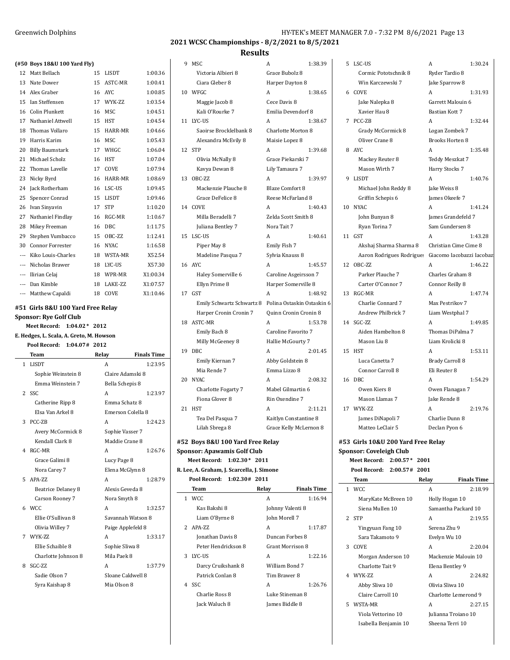### **Results** 9 MSC A 1:38.39

|  |  | (#50 Boys 18&U 100 Yard Fly) |  |  |  |
|--|--|------------------------------|--|--|--|
|--|--|------------------------------|--|--|--|

|                          | boys rough roo furully  |    |             |          |
|--------------------------|-------------------------|----|-------------|----------|
| 12                       | Matt Bellach            | 15 | LISDT       | 1:00.36  |
| 13                       | Nate Dower              | 15 | ASTC-MR     | 1:00.41  |
| 14                       | Alex Graber             | 16 | <b>AYC</b>  | 1:00.85  |
| 15                       | Ian Steffensen          | 17 | WYK-ZZ      | 1:03.54  |
| 16                       | <b>Colin Plunkett</b>   | 16 | <b>MSC</b>  | 1:04.51  |
| 17                       | Nathaniel Attwell       | 15 | HST         | 1:04.54  |
| 18                       | Thomas Vollaro          | 15 | HARR-MR     | 1:04.66  |
| 19                       | Harris Karim            | 16 | <b>MSC</b>  | 1:05.43  |
| 20                       | <b>Billy Baumstark</b>  | 17 | WHGC        | 1:06.04  |
| 21                       | Michael Scholz          | 16 | <b>HST</b>  | 1:07.04  |
| 22                       | Thomas Lavelle          | 17 | COVE        | 1:07.94  |
| 23                       | Nicky Byrd              | 16 | HARR-MR     | 1:08.69  |
| 24                       | Jack Rotherham          | 16 | LSC-US      | 1:09.45  |
| 25                       | Spencer Conrad          | 15 | LISDT       | 1:09.46  |
| 26                       | Ivan Sinyavin           | 17 | <b>STP</b>  | 1:10.20  |
| 27                       | Nathaniel Findlay       | 16 | RGC-MR      | 1:10.67  |
| 28                       | Mikey Freeman           | 16 | <b>DBC</b>  | 1:11.75  |
| 29                       | Stephen Vumbacco        | 15 | OBC-ZZ      | 1:12.41  |
| 30                       | <b>Connor Forrester</b> | 16 | <b>NYAC</b> | 1:16.58  |
| ---                      | Kiko Louis-Charles      | 18 | WSTA-MR     | X52.54   |
| $\overline{a}$           | Nicholas Brawer         | 18 | LYC-US      | X57.30   |
| $\overline{\phantom{a}}$ | Ilirian Celaj           | 18 | WPR-MR      | X1:00.34 |
| $\overline{a}$           | Dan Kimble              | 18 | LAKE-ZZ     | X1:07.57 |
| ---                      | Matthew Capaldi         | 18 | COVE        | X1:10.46 |

# **#51 Girls 8&U 100 Yard Free Relay**

**Sponsor: Rye Golf Club**

# **Meet Record: 1:04.02\* 2012**

### **E. Hedges, L. Scala, A. Greto, M. Howson**

**Pool Record: 1:04.07# 2012**

|   | <b>Team</b>               | Relay             | <b>Finals Time</b> |
|---|---------------------------|-------------------|--------------------|
|   | 1 LISDT                   | A                 | 1:23.95            |
|   | Sophie Weinstein 8        | Claire Adamski 8  |                    |
|   | Emma Weinstein 7          | Bella Schepis 8   |                    |
| 2 | - SSC                     | A                 | 1:23.97            |
|   | Catherine Ripp 8          | Emma Schatz 8     |                    |
|   | Elsa Van Arkel 8          | Emerson Colella 8 |                    |
|   | 3 PCC-ZB                  | A                 | 1:24.23            |
|   | Avery McCormick 8         | Sophie Vasser 7   |                    |
|   | Kendall Clark 8           | Maddie Crane 8    |                    |
| 4 | RGC-MR                    | A                 | 1:26.76            |
|   | Grace Galimi 8            | Lucy Page 8       |                    |
|   | Nora Carey 7              | Elena McGlynn 8   |                    |
| 5 | APA-7.7                   | A                 | 1:28.79            |
|   | <b>Beatrice Delaney 8</b> | Alexis Geveda 8   |                    |
|   | Carson Rooney 7           | Nora Smyth 8      |                    |
|   | 6 WCC                     | A                 | 1:32.57            |
|   | Ellie O'Sullivan 8        | Savannah Watson 8 |                    |
|   | Olivia Willey 7           | Paige Applefeld 8 |                    |
| 7 | <b>WYK-77</b>             | A                 | 1:33.17            |
|   | Ellie Schaible 8          | Sophie Sliwa 8    |                    |
|   | Charlotte Johnson 8       | Mila Paek 8       |                    |
| 8 | $SGC-7.7$                 | A                 | 1:37.79            |
|   | Sadie Olson 7             | Sloane Caldwell 8 |                    |
|   | Syra Kaishap 8            | Mia Olson 8       |                    |
|   |                           |                   |                    |

|    | Victoria Albieri 8        | Grace Bubolz 8             |         |
|----|---------------------------|----------------------------|---------|
|    | Ciara Gleber 8            | Harper Dayton 8            |         |
| 10 | <b>WFGC</b>               | A                          | 1:38.65 |
|    | Maggie Jacob 8            | Cece Davis 8               |         |
|    | Kali O'Rourke 7           | Emilia Devendorf 8         |         |
| 11 | LYC-US                    | A                          | 1:38.67 |
|    | Saoirse Brocklelbank 8    | Charlotte Morton 8         |         |
|    | Alexandra McEvily 8       | Maisie Lopez 8             |         |
| 12 | <b>STP</b>                | A                          | 1:39.68 |
|    | Olivia McNally 8          | Grace Piekarski 7          |         |
|    | Kavya Dewan 8             | Lily Tamaura 7             |         |
| 13 | OBC-7.7                   | A                          | 1:39.97 |
|    | Mackenzie Plauche 8       | <b>Blaze Comfort 8</b>     |         |
|    | Grace DeFelice 8          | Reese McFarland 8          |         |
| 14 | COVE                      | A                          | 1:40.43 |
|    | Milla Beradelli 7         | Zelda Scott Smith 8        |         |
|    | Juliana Bentley 7         | Nora Tait 7                |         |
| 15 | LSC-US                    | A                          | 1:40.61 |
|    | Piper May 8               | Emily Fish 7               |         |
|    | Madeline Pasqua 7         | Sylvia Knauss 8            |         |
| 16 | <b>AYC</b>                | A                          | 1:45.57 |
|    | Haley Somerville 6        | Caroline Asgeirsson 7      |         |
|    | Ellyn Prime 8             | Harper Somerville 8        |         |
| 17 | GST                       | A                          | 1:48.92 |
|    | Emily Schwartz Schwartz 8 | Polina Ostaskin Ostaskin 6 |         |
|    | Harper Cronin Cronin 7    | Quinn Cronin Cronin 8      |         |
| 18 | <b>ASTC-MR</b>            | A                          | 1:53.78 |
|    | Emily Bach 8              | Caroline Favorito 7        |         |
|    | Milly McGeeney 8          | Hallie McGourty 7          |         |
| 19 | DBC                       | A                          | 2:01.45 |
|    | Emily Kiernan 7           | Abby Goldstein 8           |         |
|    | Mia Rende 7               | Emma Lizzo 8               |         |
| 20 | <b>NYAC</b>               | А                          | 2:08.32 |
|    | Charlotte Fogarty 7       | Mabel Gilmartin 6          |         |
|    | Fiona Glover 8            | Rin Oxendine 7             |         |
| 21 | <b>HST</b>                | A                          | 2:11.21 |
|    | Tea Del Pasqua 7          | Kaitlyn Constantine 8      |         |
|    | Lilah Sbrega 8            | Grace Kelly McLernon 8     |         |

#### **#52 Boys 8&U 100 Yard Free Relay**

**Sponsor: Apawamis Golf Club Meet Record: 1:02.30\* 2011**

# **R. Lee, A. Graham, J. Scarcella, J. Simone Pool Record: 1:02.30# 2011**

|   | Team                | Relay            | <b>Finals Time</b> |
|---|---------------------|------------------|--------------------|
|   | 1 WCC               | A                | 1:16.94            |
|   | Kas Bakshi 8        | Johnny Valenti 8 |                    |
|   | Liam O'Byrne 8      | John Morell 7    |                    |
| 2 | APA-7.7.            | A                | 1:17.87            |
|   | Jonathan Davis 8    | Duncan Forbes 8  |                    |
|   | Peter Hendrickson 8 | Grant Morrison 8 |                    |
| 3 | LYC-US              | A                | 1:22.16            |
|   | Darcy Cruikshank 8  | William Bond 7   |                    |
|   | Patrick Conlan 8    | Tim Brawer 8     |                    |
| 4 | SSC.                | A                | 1.2676             |
|   | Charlie Ross 8      | Luke Stineman 8  |                    |
|   | Jack Waluch 8       | James Biddle 8   |                    |
|   |                     |                  |                    |

5 LSC-US A 1:30.24 Cormic Pototschnik 8 Ryder Tardio 8 Win Karczewski 7 Jake Sparrow 8 Jake Nalepka 8 Garrett Malouin 6 Xavier Hau 8 Bastian Kott 7 Grady McCormick 8 Logan Zombek 7 Oliver Crane 8 Brooks Horten 8 Mackey Reuter 8 Teddy Meszkat 7 Mason Wirth 7 **Harry Stocks** 7 Michael John Reddy 8 Jake Weiss 8 Griffin Schepis 6 James Okeefe 7 Carter O'Connor 7 Connor Reilly 8 Charlie Connard 7 Max Pestrikov 7 Andrew Philbrick 7 Liam Westphal 7 Mason Liu 8 Liam Krolicki 8 Luca Canetta 7 Brady Carroll 8 Connor Carroll 8 Eli Reuter 8

6 COVE A 1:31.93 7 PCC-ZB A 1:32.44 8 AYC A 1:35.48 9 LISDT A 1:40.76 10 NYAC A 1:41.24 John Bunyan 8 James Grandefeld 7 Ryan Torina 7 Sam Gundersen 8 11 GST A 1:43.28 Akshaj Sharma Sharma 8 Christian Cime Cime 8 Aaron Rodrigues Rodrigues Giacomo Iacobazzi Iacobaz 12 OBC-ZZ A 1:46.22 Parker Plauche 7 Charles Graham 8 13 RGC-MR A 1:47.74 14 SGC-ZZ A 1:49.85 Aiden Hambelton 8 Thomas DiPalma 7 15 HST A 1:53.11 16 DBC A 1:54.29 Owen Kiers 8 Owen Flanagan 7 Mason Llamas 7 Jake Rende 8 17 WYK-ZZ A 2:19.76 James DiNapoli 7 Charlie Dunn 8 Matteo LeClair 5 Declan Pyon 6

# **#53 Girls 10&U 200 Yard Free Relay**

#### **Sponsor: Coveleigh Club Meet Record: 2:00.57\* 2001**

 $\overline{a}$ 

|   | Pool Record: 2:00.57# 2001 |                     |                      |
|---|----------------------------|---------------------|----------------------|
|   | <b>Team</b>                | Relay               | <b>Finals Time</b>   |
|   | 1 WCC                      | A                   | 2:18.99              |
|   | MaryKate McBreen 10        | Holly Hogan 10      |                      |
|   | Siena Mullen 10            |                     | Samantha Packard 10  |
|   | 2 STP                      | A                   | 2:19.55              |
|   | Yingyuan Fang 10           | Serena Zhu 9        |                      |
|   | Sara Takamoto 9            | Evelyn Wu 10        |                      |
| 3 | COVE                       | A                   | 2:20.04              |
|   | Morgan Anderson 10         |                     | Mackenzie Malouin 10 |
|   | Charlotte Tait 9           | Elena Bentley 9     |                      |
|   | 4 WYK-77                   | A                   | 2.2482               |
|   | Abby Sliwa 10              | Olivia Sliwa 10     |                      |
|   | Claire Carroll 10          |                     | Charlotte Lemerond 9 |
|   | 5 WSTA-MR                  | A                   | 2.2715               |
|   | Viola Vettorino 10         | Julianna Troiano 10 |                      |
|   | Isabella Benjamin 10       | Sheena Terri 10     |                      |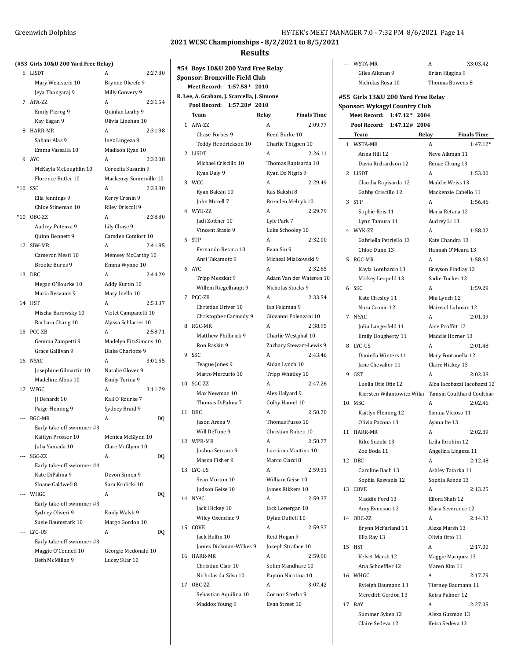# **(#53 Girls 10&U 200 Yard Free Relay)**

| #JJ   | ullis 1080 400 Taiu Free Relay J |                          |         |
|-------|----------------------------------|--------------------------|---------|
|       | 6 LISDT                          | Α                        | 2:27.80 |
|       | Mary Weinstein 10                | Brynne Okeefe 9          |         |
|       | Jeya Thangaraj 9                 | Milly Convery 9          |         |
|       | 7 APA-ZZ                         | Α                        | 2:31.54 |
|       | <b>Emily Pierog 9</b>            | Quinlan Leahy 9          |         |
|       | Kay Eagan 9                      | Olivia Linehan 10        |         |
| 8     | HARR-MR                          | A                        | 2:31.98 |
|       | Sahani Alas 9                    | Inez Lingeza 9           |         |
|       | Emma Vassalla 10                 | Madison Ryan 10          |         |
| 9     | <b>AYC</b>                       | Α                        | 2:32.08 |
|       | McKayla McLoughlin 10            | Cornelia Susanin 9       |         |
|       | Florence Butler 10               | Mackenzy Somerville 10   |         |
| $*10$ | SSC                              | A                        | 2:38.80 |
|       | Ella Jennings 9                  | Kerry Cronin 9           |         |
|       | Chloe Stineman 10                | Riley Driscoll 9         |         |
| $*10$ | OBC-ZZ                           | A                        | 2:38.80 |
|       | Audrey Potenza 9                 | Lily Chase 9             |         |
|       | Quinn Bennett 9                  | Camden Comfort 10        |         |
| 12    | SIW-MR                           | Α                        | 2:41.85 |
|       | Cameron Mestl 10                 | Memsey McCarthy 10       |         |
|       | <b>Brooke Burns 9</b>            | Emma Wynne 10            |         |
| 13    | DBC                              | Α                        | 2:44.29 |
|       | Megan O'Rourke 10                | Addy Kurtin 10           |         |
|       | Maria Resvanis 9                 | Mary Inello 10           |         |
|       | 14 HST                           | Α                        | 2:53.37 |
|       | Mischa Barowsky 10               | Violet Campanelli 10     |         |
|       | Barbara Chang 10                 | Alyssa Schlacter 10      |         |
| 15    | PCC-ZB                           | Α                        | 2:58.71 |
|       | Gemma Zampetti 9                 | Madelyn FitzSimons 10    |         |
|       | Grace Gallivan 9                 | <b>Blake Charlotte 9</b> |         |
| 16    | <b>NYAC</b>                      | Α                        | 3:01.55 |
|       | Josephine Gilmartin 10           | Natalie Glover 9         |         |
|       | Madeline Albus 10                | Emily Torina 9           |         |
|       | 17 WFGC                          | А                        | 3:11.79 |
|       | JJ Dehardt 10                    | Kali O'Rourke 7          |         |
|       | Paige Fleming 9                  | Sydney Braid 9           |         |
| ---   | RGC-MR                           | A                        | DQ      |
|       | Early take-off swimmer #3        |                          |         |
|       | Kaitlyn Prosser 10               | Monica McGlynn 10        |         |
|       | Julia Yamada 10                  | Clare McGlynn 10         |         |
|       | SGC-ZZ                           | A                        | DQ      |
|       | Early take-off swimmer #4        |                          |         |
|       | Kate DiPalma 9                   | Devon Simon 9            |         |
|       | Sloane Caldwell 8                | Sara Krolicki 10         |         |
|       | WHGC                             | A                        | DQ      |
|       | Early take-off swimmer #3        |                          |         |
|       | Sydney Oliveri 9                 | Emily Walsh 9            |         |
|       | Susie Baumstark 10               | Margo Gordon 10          |         |
| $---$ | LYC-US                           | A                        | DQ      |
|       | Early take-off swimmer #3        |                          |         |
|       | Maggie O'Connell 10              | Georgie Mcdonald 10      |         |
|       | Beth McMillan 9                  | Lucey Silar 10           |         |

### Greenwich Dolphins **HY-TEK's MEET MANAGER 7.0 - 7:32 PM 8/6/2021** Page 14

**2021 WCSC Championships - 8/2/2021 to 8/5/2021**

#### **Results**

|    | #54  Boys 10&U 200 Yard Free Relay<br>Sponsor: Bronxville Field Club |                                                |
|----|----------------------------------------------------------------------|------------------------------------------------|
|    | $1:57.58*2010$<br>Meet Record:                                       |                                                |
|    | R. Lee, A. Graham, J. Scarcella, J. Simone                           |                                                |
|    | Pool Record: 1:57.28# 2010                                           |                                                |
|    | <b>Team</b>                                                          | <b>Finals Time</b><br>Relay                    |
|    | 1 APA-ZZ                                                             | 2:09.77<br>A                                   |
|    | Chase Forbes 9                                                       | Reed Burke 10                                  |
|    | Teddy Hendrickson 10                                                 | Charlie Thigpen 10                             |
|    | 2 LISDT                                                              | A<br>2:26.11                                   |
|    | Michael Criscillo 10                                                 | Thomas Rapisarda 10                            |
|    | Ryan Daly 9                                                          | Ryan De Nigris 9                               |
|    | 3 WCC                                                                | A<br>2:29.49                                   |
|    | Kyan Bakshi 10                                                       | Kas Bakshi 8                                   |
|    | John Morell 7                                                        | Brenden Melnyk 10                              |
|    | 4 WYK-ZZ                                                             | A<br>2:29.79                                   |
|    | <b>Iadi Zottner 10</b>                                               | Lyle Park 7                                    |
|    | Vincent Stasio 9                                                     | Luke Schooley 10                               |
| 5  | <b>STP</b>                                                           | A<br>2:32.00                                   |
|    | Fernando Retana 10                                                   | Evan Siu 9                                     |
|    | Anri Takamoto 9                                                      | Micheal Mialkowski 9                           |
| 6  | AYC                                                                  | A<br>2:32.65                                   |
|    | Tripp Meszkat 9                                                      | Adam Van der Wateren 10                        |
|    | Willem Riegelhaupt 9                                                 | Nicholas Stocks 9                              |
| 7  | PCC-ZB                                                               | A<br>2:33.54                                   |
|    | Christian Driver 10                                                  | Ian Feldman 9                                  |
|    | Christopher Carmody 9                                                | Giovanni Polenzani 10                          |
| 8  | RGC-MR                                                               | A<br>2:38.95                                   |
|    | Matthew Philbrick 9                                                  |                                                |
|    | Ron Raskin 9                                                         | Charlie Westphal 10<br>Zachary Stewart-Lewis 9 |
| 9  | SSC                                                                  | 2:43.46<br>A                                   |
|    |                                                                      |                                                |
|    | Teague Jones 9                                                       | Aidan Lynch 10                                 |
|    | Marco Mercurio 10                                                    | Tripp Whatley 10                               |
|    | 10 SGC-ZZ                                                            | A<br>2:47.26                                   |
|    | Max Newman 10                                                        | Alex Halyard 9                                 |
|    | Thomas DiPalma 7                                                     | Colby Hamel 10                                 |
|    | 11 DBC                                                               | 2:50.70<br>A                                   |
|    | Jason Arena 9                                                        | Thomas Fusco 10                                |
|    | Will DeTone 9                                                        | Christian Rubeo 10                             |
|    | 12 WPR-MR                                                            | 2:50.77<br>A                                   |
|    | Joshua Serrano 9                                                     | Lucciano Mautino 10                            |
|    | Mason Fisher 9                                                       | Marco Ciacci 8                                 |
|    | 13 I.YC-US                                                           | A<br>2:59.31                                   |
|    | Sean Morton 10                                                       | William Geise 10                               |
|    | Judson Geise 10                                                      | James Rikkers 10                               |
|    | 14 NYAC                                                              | A<br>2:59.37                                   |
|    | Jack Hickey 10                                                       | Jack Lonergan 10                               |
|    | Wiley Oxendine 9                                                     | Dylan Duffell 10                               |
| 15 | COVE                                                                 | A<br>2:59.57                                   |
|    | Jack Bulfin 10                                                       | Reid Hogan 9                                   |
|    | James Dickman-Wilkes 9                                               | Joseph Straface 10                             |
| 16 | HARR-MR                                                              | A<br>2:59.98                                   |
|    | Christian Clair 10                                                   | Sohm Mandhare 10                               |
|    | Nicholas da Silva 10                                                 | Payton Nicotina 10                             |
| 17 | OBC-ZZ                                                               | A<br>3:07.42                                   |
|    | Sebastian Aquilina 10                                                | Connor Scerbo 9                                |
|    | Maddox Young 9                                                       | Evan Street 10                                 |
|    |                                                                      |                                                |

|    | --- WSTA-MR                              |                |       | A                                     | X3:03.42                    |
|----|------------------------------------------|----------------|-------|---------------------------------------|-----------------------------|
|    | Giles Aikman 9                           |                |       | Brian Higgins 9                       |                             |
|    | Nicholas Rosa 10                         |                |       | Thomas Bowens 8                       |                             |
|    |                                          |                |       |                                       |                             |
|    | #55 Girls 13&U 200 Yard Free Relay       |                |       |                                       |                             |
|    | <b>Sponsor: Wykagyl Country Club</b>     |                |       |                                       |                             |
|    | Meet Record:                             | $1:47.12*2004$ |       |                                       |                             |
|    | Pool Record:                             | 1:47.12# 2004  |       |                                       |                             |
|    | Team                                     |                | Relay |                                       | <b>Finals Time</b>          |
|    | 1 WSTA-MR                                |                |       | A                                     | 1:47.12*                    |
|    | Anna Hill 12                             |                |       | Neve Aikman 11                        |                             |
|    | Davia Richardson 12                      |                |       | Renae Chung 13                        |                             |
|    | 2 LISDT                                  |                |       | A                                     | 1:53.00                     |
|    | Claudia Rapisarda 12                     |                |       | Maddie Weiss 13                       |                             |
|    | Gabby Criscillo 12                       |                |       | Mackenzie Cabello 11                  |                             |
|    | 3 STP                                    |                |       | A                                     | 1:56.46                     |
|    | Sophie Reis 11                           |                |       | Maria Retana 12                       |                             |
|    | Lynn Tamura 11                           |                |       | Audrey Li 13                          |                             |
|    | 4 WYK-ZZ                                 |                |       | A                                     | 1:58.02                     |
|    | Gabriella Petriello 13                   |                |       | Kate Chandra 13                       |                             |
|    | Chloe Dunn 13                            |                |       | Hannah O'Meara 13                     |                             |
| 5  | RGC-MR                                   |                |       | A                                     | 1:58.60                     |
|    | Kayla Lombardo 13                        |                |       | Grayson Findlay 12                    |                             |
|    | Mickey Leopold 13                        |                |       | Sadie Tucker 13                       |                             |
|    | 6 SSC                                    |                |       | A                                     | 1:59.29                     |
|    | Kate Chesley 11                          |                |       | Mia Lynch 12                          |                             |
|    | Nora Cronin 12                           |                |       | Mairead Luhman 12                     |                             |
|    | 7 NYAC                                   |                |       | A                                     | 2:01.09                     |
|    | Julia Langerfeld 11                      |                |       | Aine Proffitt 12                      |                             |
|    | Emily Dougherty 11                       |                |       | Maddie Horner 13                      |                             |
|    | 8 LYC-US                                 |                |       | A                                     | 2:01.48                     |
|    | Daniella Winters 11                      |                |       | Mary Fontanella 12                    |                             |
|    | Jane Chevalier 11                        |                |       | Claire Hickey 13                      |                             |
|    | 9 GST                                    |                |       | A                                     | 2:02.08                     |
|    | Luella Otis Otis 12                      |                |       |                                       | Alba Iacobazzi Iacobazzi 12 |
|    | Kiersten Wilantowicz Wila                |                |       |                                       | Tamsin Coulthard Coulthar   |
|    | 10 MSC                                   |                |       | A                                     | 2:02.46                     |
|    | Kaitlyn Fleming 12                       |                |       | Sienna Vicioso 11                     |                             |
|    | Olivia Pazona 13                         |                |       | Ayana Ite 13                          |                             |
|    | 11 HARR-MR                               |                |       |                                       | 2:02.89                     |
|    | Riko Suzuki 13                           |                |       | Leila Ibrohim 12                      |                             |
|    | Zoe Boda 11                              |                |       | Angelina Lingeza 11                   |                             |
| 12 | DBC                                      |                |       | A                                     | 2:12.48                     |
|    | Caroline Bach 13                         |                |       | Ashley Tatarka 11                     |                             |
|    | Sophia Resvanis 12                       |                |       | Sophia Rende 13                       |                             |
|    | 13 COVE                                  |                |       | A                                     | 2:13.25                     |
|    | Maddie Ford 13                           |                |       | Ellora Shah 12                        |                             |
|    | Amy Evenson 12                           |                |       | Klara Severance 12                    |                             |
|    | 14 OBC-ZZ                                |                |       | A                                     | 2:14.32                     |
|    | Brynn McFarland 11                       |                |       | Alexa Marsh 13<br>Olivia Otto 11      |                             |
|    | Ella Ray 13                              |                |       |                                       |                             |
|    | 15 HST                                   |                |       | A                                     | 2:17.00                     |
|    | Velvet Marsh 12                          |                |       | Maggie Marquez 13                     |                             |
|    | Ana Schoeffler 12                        |                |       | Maren Kim 11                          |                             |
|    | 16 WHGC                                  |                |       | A                                     | 2:17.79                     |
|    | Ryleigh Baumann 13<br>Meredith Gordon 13 |                |       | Tierney Baumann 11<br>Keira Palmer 12 |                             |
| 17 | <b>BAY</b>                               |                |       | A                                     | 2:27.05                     |
|    | Summer Syken 12                          |                |       | Alexa Guzman 13                       |                             |

Claire Sedeva 12 Keira Sedeva 12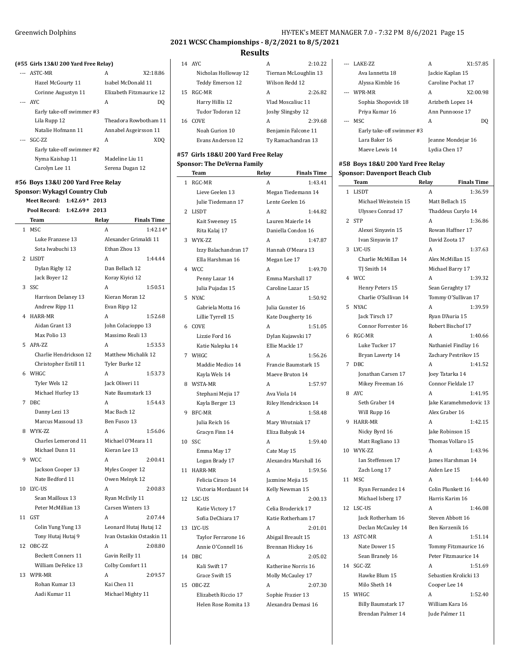$\overline{\phantom{0}}$ 

### **2021 WCSC Championships - 8/2/2021 to 8/5/2021**

### **Results**

|    | 14 AYC               | A                     | 2:10.22 |
|----|----------------------|-----------------------|---------|
|    | Nicholas Holloway 12 | Tiernan McLoughlin 13 |         |
|    | Teddy Emerson 12     | Wilson Redd 12        |         |
| 15 | RGC-MR               | A                     | 2:26.82 |
|    | Harry Hillis 12      | Vlad Moscaliuc 11     |         |
|    | Tudor Todoran 12     | Joshy Slingsby 12     |         |
| 16 | COVE                 | A                     | 2:39.68 |
|    | Noah Gurion 10       | Benjamin Falcone 11   |         |
|    | Evans Anderson 12    | Ty Ramachandran 13    |         |
|    |                      |                       |         |

#### **#57 Girls 18&U 200 Yard Free Relay Sponsor: The DeVerna Family**

|    | Team                 | Relay        | <b>Finals Time</b>    |
|----|----------------------|--------------|-----------------------|
| 1  | RGC-MR               | A            | 1:43.41               |
|    | Lieve Geelen 13      |              | Megan Tiedemann 14    |
|    | Julie Tiedemann 17   |              | Lente Geelen 16       |
| 2  | <b>LISDT</b>         | А            | 1:44.82               |
|    | Kait Sweeney 15      |              | Lauren Maierle 14     |
|    | Rita Kalaj 17        |              | Daniella Condon 16    |
| 3  | WYK-ZZ               | A            | 1:47.87               |
|    | Izzy Balachandran 17 |              | Hannah O'Meara 13     |
|    | Ella Harshman 16     | Megan Lee 17 |                       |
| 4  | WCC.                 | A            | 1:49.70               |
|    | Penny Lazar 14       |              | Emma Marshall 17      |
|    | Julia Pujadas 15     |              | Caroline Lazar 15     |
| 5  | <b>NYAC</b>          | A            | 1:50.92               |
|    | Gabriela Motta 16    |              | Julia Gunster 16      |
|    | Lillie Tyrrell 15    |              | Kate Dougherty 16     |
| 6  | COVE                 | A            | 1:51.05               |
|    | Lizzie Ford 16       |              | Dylan Kujawski 17     |
|    | Katie Nalepka 14     |              | Ellie Mackle 17       |
| 7  | WHGC                 | A            | 1:56.26               |
|    | Maddie Medico 14     |              | Francie Baumstark 15  |
|    | Kayla Wels 14        |              | Maeve Bruton 14       |
| 8  | WSTA-MR              | A            | 1:57.97               |
|    | Stephani Mejia 17    | Ava Viola 14 |                       |
|    | Kayla Berger 13      |              | Riley Hendrickson 14  |
| 9  | <b>BFC-MR</b>        | A            | 1:58.48               |
|    | Julia Reich 16       |              | Mary Wrotniak 17      |
|    | Gracyn Finn 14       |              | Eliza Babyak 14       |
| 10 | SSC                  | A            | 1:59.40               |
|    | Emma May 17          | Cate May 15  |                       |
|    | Logan Brady 17       |              | Alexandra Marshall 16 |
| 11 | <b>HARR-MR</b>       | А            | 1:59.56               |
|    | Felicia Ciraco 14    |              | Jazmine Mejia 15      |
|    | Victoria Mordaunt 14 |              | Kelly Newman 15       |
| 12 | LSC-US               | A            | 2:00.13               |
|    | Katie Victory 17     |              | Celia Broderick 17    |
|    | Sofia DeChiara 17    |              | Katie Rotherham 17    |
| 13 | LYC-US               | A            | 2:01.01               |
|    | Taylor Ferrarone 16  |              | Abigail Breault 15    |
|    | Annie O'Connell 16   |              | Brennan Hickey 16     |
| 14 | DBC                  | A            | 2:05.02               |
|    | Kali Swift 17        |              | Katherine Norris 16   |
|    | Grace Swift 15       |              | Molly McCauley 17     |
| 15 | OBC-7.7              | A            | 2:07.30               |
|    | Elizabeth Riccio 17  |              | Sophie Frazier 13     |
|    | Helen Rose Romita 13 |              | Alexandra Demasi 16   |

|       | --- LAKE-7.7.             | А                  | X1:57.85 |
|-------|---------------------------|--------------------|----------|
|       | Ava Jannetta 18           | Jackie Kaplan 15   |          |
|       | Alyssa Kimble 16          | Caroline Pochat 17 |          |
|       | --- WPR-MR                | A                  | X2:00.98 |
|       | Sophia Shopovick 18       | Arizbeth Lopez 14  |          |
|       | Priya Kumar 16            | Ann Punnoose 17    |          |
| $---$ | MSC.                      | A                  | DO       |
|       | Early take-off swimmer #3 |                    |          |
|       | Lara Baker 16             | Jeanne Mondejar 16 |          |
|       | Maeve Lewis 14            | Lydia Chen 17      |          |

### **#58 Boys 18&U 200 Yard Free Relay Sponsor: Davenport Beach Club**

|    | Team                      | Relay        | <b>Finals Time</b>     |  |
|----|---------------------------|--------------|------------------------|--|
| 1  | LISDT                     | А            | 1:36.59                |  |
|    | Michael Weinstein 15      |              | Matt Bellach 15        |  |
|    | <b>Ulysses Conrad 17</b>  |              | Thaddeus Curylo 14     |  |
| 2  | <b>STP</b>                | A            | 1:36.86                |  |
|    | Alexei Sinyavin 15        |              | Rowan Haffner 17       |  |
|    | Ivan Sinyavin 17          |              | David Zoota 17         |  |
| 3  | LYC-US                    | A            | 1:37.63                |  |
|    | Charlie McMillan 14       |              | Alex McMillan 15       |  |
|    | TJ Smith 14               |              | Michael Barry 17       |  |
| 4  | <b>WCC</b>                | A            | 1:39.32                |  |
|    | Henry Peters 15           |              | Sean Geraghty 17       |  |
|    | Charlie O'Sullivan 14     |              | Tommy O'Sullivan 17    |  |
| 5  | <b>NYAC</b>               | A            | 1:39.59                |  |
|    | Jack Tirsch 17            |              | Ryan D'Auria 15        |  |
|    | Connor Forrester 16       |              | Robert Bischof 17      |  |
| 6  | RGC-MR                    | A            | 1:40.66                |  |
|    | Luke Tucker 17            |              | Nathaniel Findlay 16   |  |
|    | Bryan Laverty 14          |              | Zachary Pestrikov 15   |  |
| 7  | D <sub>BC</sub>           | A            | 1:41.52                |  |
|    | Jonathan Carsen 17        |              | Joey Tatarka 14        |  |
|    | Mikey Freeman 16          |              | Connor Fieldale 17     |  |
| 8  | AYC.                      | A            | 1:41.95                |  |
|    | Seth Graber 14            |              | Jake Karamehmedovic 13 |  |
|    | Will Rupp 16              |              | Alex Graber 16         |  |
| 9  | HARR-MR                   | A            | 1:42.15                |  |
|    | Nicky Byrd 16             |              | Jake Robinson 15       |  |
|    | Matt Rogliano 13          |              | Thomas Vollaro 15      |  |
| 10 | WYK-ZZ                    | A            | 1:43.96                |  |
|    | Ian Steffensen 17         |              | James Harshman 14      |  |
|    | Zach Long 17              | Aiden Lee 15 |                        |  |
| 11 | MSC                       | A            | 1:44.40                |  |
|    | Ryan Fernandez 14         |              | Colin Plunkett 16      |  |
|    | Michael Isberg 17         |              | Harris Karim 16        |  |
| 12 | LSC-US                    | A            | 1:46.08                |  |
|    | Jack Rotherham 16         |              | Steven Abbott 16       |  |
|    | Declan McCauley 14        |              | Ben Korzenik 16        |  |
| 13 | ASTC-MR                   | A            | 1:51.14                |  |
|    | Nate Dower 15             |              | Tommy Fitzmaurice 16   |  |
|    | Sean Branely 16           |              | Peter Fitzmaurice 14   |  |
| 14 | SGC-ZZ                    | A            | 1:51.69                |  |
|    | Hawke Blum 15             |              | Sebastien Krolicki 13  |  |
|    | Milo Sheth 14             |              | Cooper Lee 14          |  |
| 15 | WHGC                      | A            | 1:52.40                |  |
|    | <b>Billy Baumstark 17</b> |              | William Kara 16        |  |
|    | Brendan Palmer 14         |              | Jude Palmer 11         |  |
|    |                           |              |                        |  |

### **(#55 Girls 13&U 200 Yard Free Relay)** --- ASTC-MR A X2:18.86 Hazel McGourty 11 Isabel McDonald 11 Corinne Augustyn 11 Elizabeth Fitzmaurice 12 --- AYC A DO Early take-off swimmer #3 Lila Rupp 12 Theadora Rowbotham 11 Natalie Hofmann 11 Annabel Asgeirsson 11 --- SGC-ZZ A XDQ Early take-off swimmer #2 Nyma Kaishap 11 Madeline Liu 11 Carolyn Lee 11 Serena Dugan 12 **#56 Boys 13&U 200 Yard Free Relay Sponsor: Wykagyl Country Club Meet Record: 1:42.69\* 2013 Pool Record: 1:42.69# 2013**

|                | <b>Team</b>               | Relay           | <b>Finals Time</b>        |  |
|----------------|---------------------------|-----------------|---------------------------|--|
| 1              | <b>MSC</b>                | A               | 1:42.14*                  |  |
|                | Luke Franzese 13          |                 | Alexander Grimaldi 11     |  |
|                | Sota Iwabuchi 13          | Ethan Zhou 13   |                           |  |
| 2              | <b>LISDT</b>              | A               | 1:44.44                   |  |
|                | Dylan Rigby 12            | Dan Bellach 12  |                           |  |
|                | Jack Boyer 12             | Koray Kiyici 12 |                           |  |
| 3              | SSC                       | A               | 1:50.51                   |  |
|                | Harrison Delaney 13       |                 | Kieran Moran 12           |  |
|                | Andrew Ripp 11            | Evan Ripp 12    |                           |  |
| $\overline{4}$ | HARR-MR                   | A               | 1:52.68                   |  |
|                | Aidan Grant 13            |                 | John Colacioppo 13        |  |
|                | Max Polio 13              |                 | Massimo Reali 13          |  |
| 5              | APA-ZZ                    | A               | 1:53.53                   |  |
|                | Charlie Hendrickson 12    |                 | Matthew Michalik 12       |  |
|                | Christopher Estill 11     | Tyler Burke 12  |                           |  |
| 6              | WHGC                      | A               | 1:53.73                   |  |
|                | Tyler Wels 12             | Jack Oliveri 11 |                           |  |
|                | Michael Hurley 13         |                 | Nate Baumstark 13         |  |
| 7              | DBC                       | A               | 1:54.43                   |  |
|                | Danny Lezi 13             | Mac Bach 12     |                           |  |
|                | Marcus Massoud 13         | Ben Fusco 13    |                           |  |
| 8              | WYK-ZZ                    | A               | 1:56.06                   |  |
|                | Charles Lemerond 11       |                 | Michael O'Meara 11        |  |
|                | Michael Dunn 11           | Kieran Lee 13   |                           |  |
| 9              | <b>WCC</b>                | A               | 2:00.41                   |  |
|                | Jackson Cooper 13         |                 | Myles Cooper 12           |  |
|                | Nate Bedford 11           |                 | Owen Melnyk 12            |  |
| 10             | LYC-US                    | A               | 2:00.83                   |  |
|                | Sean Mailloux 13          | Ryan McEvily 11 |                           |  |
|                | Peter McMillian 13        |                 | Carsen Winters 13         |  |
| 11             | <b>GST</b>                | A               | 2:07.44                   |  |
|                | Colin Yung Yung 13        |                 | Leonard Hutaj Hutaj 12    |  |
|                | Tony Hutaj Hutaj 9        |                 | Ivan Ostaskin Ostaskin 11 |  |
| 12             | OBC-ZZ                    | A               | 2:08.80                   |  |
|                | <b>Beckett Conners 11</b> | Gavin Reilly 11 |                           |  |
|                | William DeFelice 13       |                 | Colby Comfort 11          |  |
| 13             | WPR-MR                    | A               | 2:09.57                   |  |
|                | Rohan Kumar 13            | Kai Chen 11     |                           |  |
|                | Aadi Kumar 11             |                 | Michael Mighty 11         |  |
|                |                           |                 |                           |  |